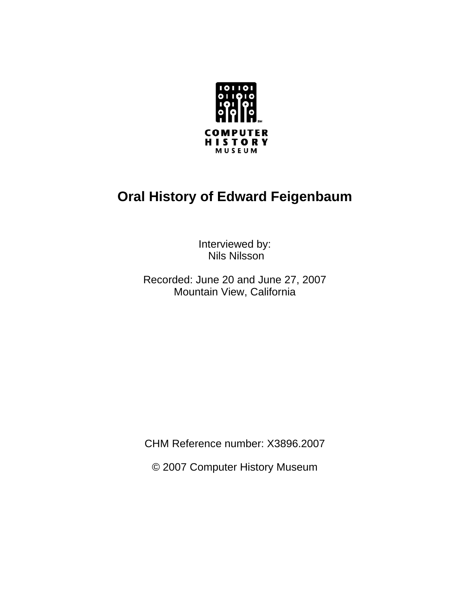

# **Oral History of Edward Feigenbaum**

Interviewed by: Nils Nilsson

Recorded: June 20 and June 27, 2007 Mountain View, California

CHM Reference number: X3896.2007

© 2007 Computer History Museum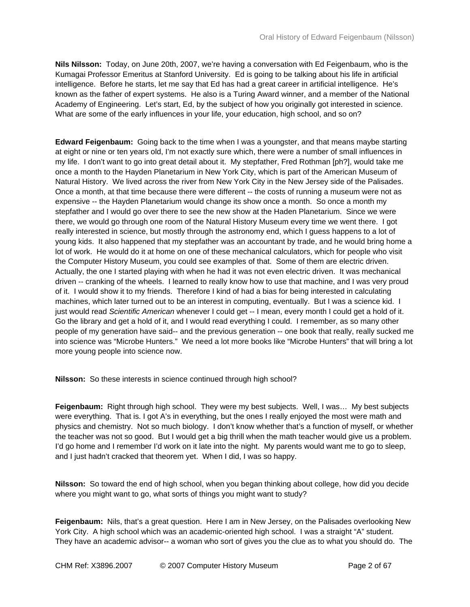**Nils Nilsson:** Today, on June 20th, 2007, we're having a conversation with Ed Feigenbaum, who is the Kumagai Professor Emeritus at Stanford University. Ed is going to be talking about his life in artificial intelligence. Before he starts, let me say that Ed has had a great career in artificial intelligence. He's known as the father of expert systems. He also is a Turing Award winner, and a member of the National Academy of Engineering. Let's start, Ed, by the subject of how you originally got interested in science. What are some of the early influences in your life, your education, high school, and so on?

**Edward Feigenbaum:** Going back to the time when I was a youngster, and that means maybe starting at eight or nine or ten years old, I'm not exactly sure which, there were a number of small influences in my life. I don't want to go into great detail about it. My stepfather, Fred Rothman [ph?], would take me once a month to the Hayden Planetarium in New York City, which is part of the American Museum of Natural History. We lived across the river from New York City in the New Jersey side of the Palisades. Once a month, at that time because there were different -- the costs of running a museum were not as expensive -- the Hayden Planetarium would change its show once a month. So once a month my stepfather and I would go over there to see the new show at the Haden Planetarium. Since we were there, we would go through one room of the Natural History Museum every time we went there. I got really interested in science, but mostly through the astronomy end, which I guess happens to a lot of young kids. It also happened that my stepfather was an accountant by trade, and he would bring home a lot of work. He would do it at home on one of these mechanical calculators, which for people who visit the Computer History Museum, you could see examples of that. Some of them are electric driven. Actually, the one I started playing with when he had it was not even electric driven. It was mechanical driven -- cranking of the wheels. I learned to really know how to use that machine, and I was very proud of it. I would show it to my friends. Therefore I kind of had a bias for being interested in calculating machines, which later turned out to be an interest in computing, eventually. But I was a science kid. I just would read *Scientific American* whenever I could get -- I mean, every month I could get a hold of it. Go the library and get a hold of it, and I would read everything I could. I remember, as so many other people of my generation have said-- and the previous generation -- one book that really, really sucked me into science was "Microbe Hunters." We need a lot more books like "Microbe Hunters" that will bring a lot more young people into science now.

**Nilsson:** So these interests in science continued through high school?

**Feigenbaum:** Right through high school. They were my best subjects. Well, I was… My best subjects were everything. That is. I got A's in everything, but the ones I really enjoyed the most were math and physics and chemistry. Not so much biology. I don't know whether that's a function of myself, or whether the teacher was not so good. But I would get a big thrill when the math teacher would give us a problem. I'd go home and I remember I'd work on it late into the night. My parents would want me to go to sleep, and I just hadn't cracked that theorem yet. When I did, I was so happy.

**Nilsson:** So toward the end of high school, when you began thinking about college, how did you decide where you might want to go, what sorts of things you might want to study?

**Feigenbaum:** Nils, that's a great question. Here I am in New Jersey, on the Palisades overlooking New York City. A high school which was an academic-oriented high school. I was a straight "A" student. They have an academic advisor-- a woman who sort of gives you the clue as to what you should do. The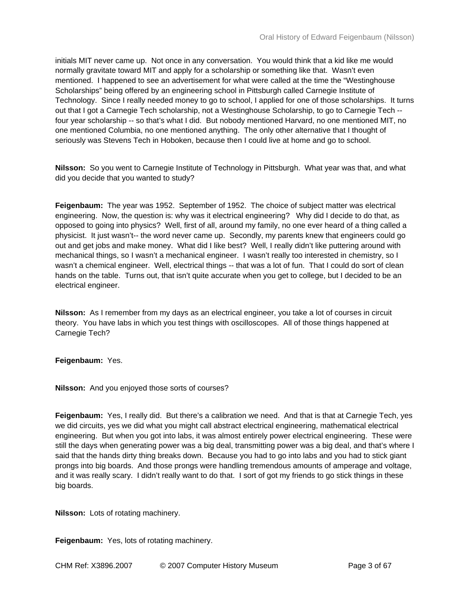initials MIT never came up. Not once in any conversation. You would think that a kid like me would normally gravitate toward MIT and apply for a scholarship or something like that. Wasn't even mentioned. I happened to see an advertisement for what were called at the time the "Westinghouse Scholarships" being offered by an engineering school in Pittsburgh called Carnegie Institute of Technology. Since I really needed money to go to school, I applied for one of those scholarships. It turns out that I got a Carnegie Tech scholarship, not a Westinghouse Scholarship, to go to Carnegie Tech - four year scholarship -- so that's what I did. But nobody mentioned Harvard, no one mentioned MIT, no one mentioned Columbia, no one mentioned anything. The only other alternative that I thought of seriously was Stevens Tech in Hoboken, because then I could live at home and go to school.

**Nilsson:** So you went to Carnegie Institute of Technology in Pittsburgh. What year was that, and what did you decide that you wanted to study?

**Feigenbaum:** The year was 1952. September of 1952. The choice of subject matter was electrical engineering. Now, the question is: why was it electrical engineering? Why did I decide to do that, as opposed to going into physics? Well, first of all, around my family, no one ever heard of a thing called a physicist. It just wasn't-- the word never came up. Secondly, my parents knew that engineers could go out and get jobs and make money. What did I like best? Well, I really didn't like puttering around with mechanical things, so I wasn't a mechanical engineer. I wasn't really too interested in chemistry, so I wasn't a chemical engineer. Well, electrical things -- that was a lot of fun. That I could do sort of clean hands on the table. Turns out, that isn't quite accurate when you get to college, but I decided to be an electrical engineer.

**Nilsson:** As I remember from my days as an electrical engineer, you take a lot of courses in circuit theory. You have labs in which you test things with oscilloscopes. All of those things happened at Carnegie Tech?

**Feigenbaum:** Yes.

**Nilsson:** And you enjoyed those sorts of courses?

**Feigenbaum:** Yes, I really did. But there's a calibration we need. And that is that at Carnegie Tech, yes we did circuits, yes we did what you might call abstract electrical engineering, mathematical electrical engineering. But when you got into labs, it was almost entirely power electrical engineering. These were still the days when generating power was a big deal, transmitting power was a big deal, and that's where I said that the hands dirty thing breaks down. Because you had to go into labs and you had to stick giant prongs into big boards. And those prongs were handling tremendous amounts of amperage and voltage, and it was really scary. I didn't really want to do that. I sort of got my friends to go stick things in these big boards.

**Nilsson:** Lots of rotating machinery.

**Feigenbaum:** Yes, lots of rotating machinery.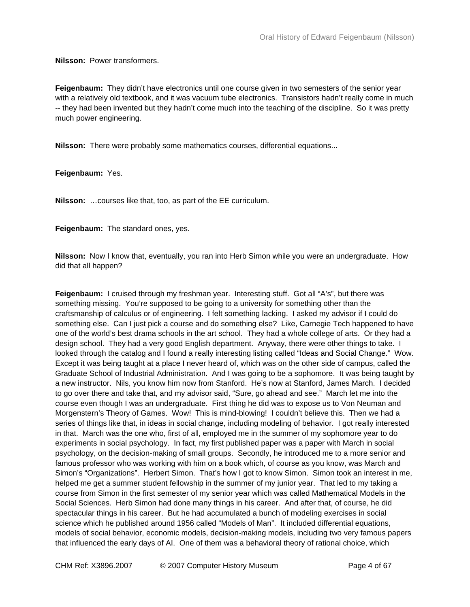**Nilsson:** Power transformers.

**Feigenbaum:** They didn't have electronics until one course given in two semesters of the senior year with a relatively old textbook, and it was vacuum tube electronics. Transistors hadn't really come in much -- they had been invented but they hadn't come much into the teaching of the discipline. So it was pretty much power engineering.

**Nilsson:** There were probably some mathematics courses, differential equations...

**Feigenbaum:** Yes.

**Nilsson:** …courses like that, too, as part of the EE curriculum.

**Feigenbaum:** The standard ones, yes.

**Nilsson:** Now I know that, eventually, you ran into Herb Simon while you were an undergraduate. How did that all happen?

**Feigenbaum:** I cruised through my freshman year. Interesting stuff. Got all "A's", but there was something missing. You're supposed to be going to a university for something other than the craftsmanship of calculus or of engineering. I felt something lacking. I asked my advisor if I could do something else. Can I just pick a course and do something else? Like, Carnegie Tech happened to have one of the world's best drama schools in the art school. They had a whole college of arts. Or they had a design school. They had a very good English department. Anyway, there were other things to take. I looked through the catalog and I found a really interesting listing called "Ideas and Social Change." Wow. Except it was being taught at a place I never heard of, which was on the other side of campus, called the Graduate School of Industrial Administration. And I was going to be a sophomore. It was being taught by a new instructor. Nils, you know him now from Stanford. He's now at Stanford, James March. I decided to go over there and take that, and my advisor said, "Sure, go ahead and see." March let me into the course even though I was an undergraduate. First thing he did was to expose us to Von Neuman and Morgenstern's Theory of Games. Wow! This is mind-blowing! I couldn't believe this. Then we had a series of things like that, in ideas in social change, including modeling of behavior. I got really interested in that. March was the one who, first of all, employed me in the summer of my sophomore year to do experiments in social psychology. In fact, my first published paper was a paper with March in social psychology, on the decision-making of small groups. Secondly, he introduced me to a more senior and famous professor who was working with him on a book which, of course as you know, was March and Simon's "Organizations". Herbert Simon. That's how I got to know Simon. Simon took an interest in me, helped me get a summer student fellowship in the summer of my junior year. That led to my taking a course from Simon in the first semester of my senior year which was called Mathematical Models in the Social Sciences. Herb Simon had done many things in his career. And after that, of course, he did spectacular things in his career. But he had accumulated a bunch of modeling exercises in social science which he published around 1956 called "Models of Man". It included differential equations, models of social behavior, economic models, decision-making models, including two very famous papers that influenced the early days of AI. One of them was a behavioral theory of rational choice, which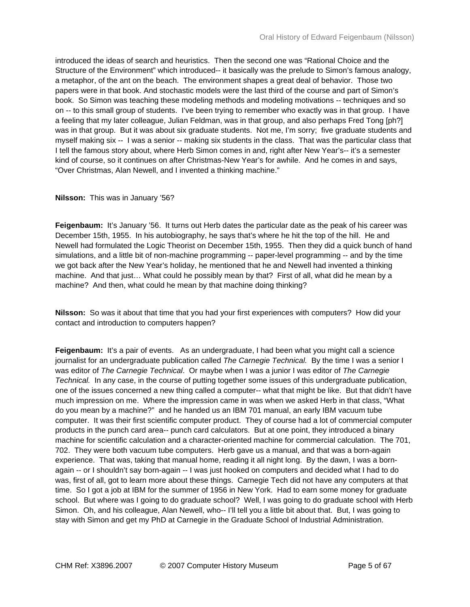introduced the ideas of search and heuristics. Then the second one was "Rational Choice and the Structure of the Environment" which introduced-- it basically was the prelude to Simon's famous analogy, a metaphor, of the ant on the beach. The environment shapes a great deal of behavior. Those two papers were in that book. And stochastic models were the last third of the course and part of Simon's book. So Simon was teaching these modeling methods and modeling motivations -- techniques and so on -- to this small group of students. I've been trying to remember who exactly was in that group. I have a feeling that my later colleague, Julian Feldman, was in that group, and also perhaps Fred Tong [ph?] was in that group. But it was about six graduate students. Not me, I'm sorry; five graduate students and myself making six -- I was a senior -- making six students in the class. That was the particular class that I tell the famous story about, where Herb Simon comes in and, right after New Year's-- it's a semester kind of course, so it continues on after Christmas-New Year's for awhile. And he comes in and says, "Over Christmas, Alan Newell, and I invented a thinking machine."

## **Nilsson:** This was in January '56?

**Feigenbaum:** It's January '56. It turns out Herb dates the particular date as the peak of his career was December 15th, 1955. In his autobiography, he says that's where he hit the top of the hill. He and Newell had formulated the Logic Theorist on December 15th, 1955. Then they did a quick bunch of hand simulations, and a little bit of non-machine programming -- paper-level programming -- and by the time we got back after the New Year's holiday, he mentioned that he and Newell had invented a thinking machine. And that just… What could he possibly mean by that? First of all, what did he mean by a machine? And then, what could he mean by that machine doing thinking?

**Nilsson:** So was it about that time that you had your first experiences with computers? How did your contact and introduction to computers happen?

**Feigenbaum:** It's a pair of events. As an undergraduate, I had been what you might call a science journalist for an undergraduate publication called *The Carnegie Technical.* By the time I was a senior I was editor of *The Carnegie Technical*. Or maybe when I was a junior I was editor of *The Carnegie Technical.* In any case, in the course of putting together some issues of this undergraduate publication, one of the issues concerned a new thing called a computer-- what that might be like. But that didn't have much impression on me. Where the impression came in was when we asked Herb in that class, "What do you mean by a machine?" and he handed us an IBM 701 manual, an early IBM vacuum tube computer. It was their first scientific computer product. They of course had a lot of commercial computer products in the punch card area-- punch card calculators. But at one point, they introduced a binary machine for scientific calculation and a character-oriented machine for commercial calculation. The 701, 702. They were both vacuum tube computers. Herb gave us a manual, and that was a born-again experience. That was, taking that manual home, reading it all night long. By the dawn, I was a bornagain -- or I shouldn't say born-again -- I was just hooked on computers and decided what I had to do was, first of all, got to learn more about these things. Carnegie Tech did not have any computers at that time. So I got a job at IBM for the summer of 1956 in New York. Had to earn some money for graduate school. But where was I going to do graduate school? Well, I was going to do graduate school with Herb Simon. Oh, and his colleague, Alan Newell, who-- I'll tell you a little bit about that. But, I was going to stay with Simon and get my PhD at Carnegie in the Graduate School of Industrial Administration.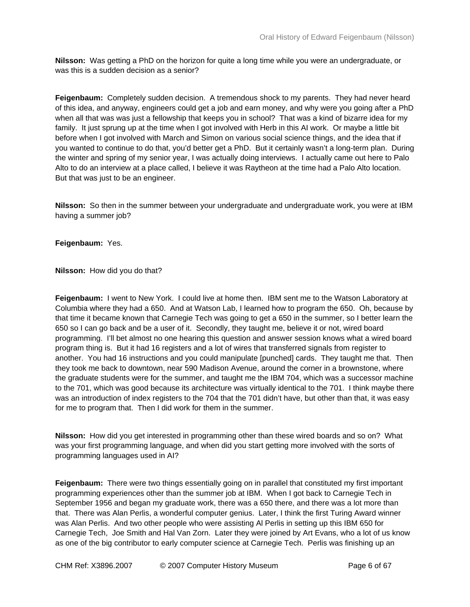**Nilsson:** Was getting a PhD on the horizon for quite a long time while you were an undergraduate, or was this is a sudden decision as a senior?

**Feigenbaum:** Completely sudden decision. A tremendous shock to my parents. They had never heard of this idea, and anyway, engineers could get a job and earn money, and why were you going after a PhD when all that was was just a fellowship that keeps you in school? That was a kind of bizarre idea for my family. It just sprung up at the time when I got involved with Herb in this AI work. Or maybe a little bit before when I got involved with March and Simon on various social science things, and the idea that if you wanted to continue to do that, you'd better get a PhD. But it certainly wasn't a long-term plan. During the winter and spring of my senior year, I was actually doing interviews. I actually came out here to Palo Alto to do an interview at a place called, I believe it was Raytheon at the time had a Palo Alto location. But that was just to be an engineer.

**Nilsson:** So then in the summer between your undergraduate and undergraduate work, you were at IBM having a summer job?

**Feigenbaum:** Yes.

**Nilsson:** How did you do that?

**Feigenbaum:** I went to New York. I could live at home then. IBM sent me to the Watson Laboratory at Columbia where they had a 650. And at Watson Lab, I learned how to program the 650. Oh, because by that time it became known that Carnegie Tech was going to get a 650 in the summer, so I better learn the 650 so I can go back and be a user of it. Secondly, they taught me, believe it or not, wired board programming. I'll bet almost no one hearing this question and answer session knows what a wired board program thing is. But it had 16 registers and a lot of wires that transferred signals from register to another. You had 16 instructions and you could manipulate [punched] cards. They taught me that. Then they took me back to downtown, near 590 Madison Avenue, around the corner in a brownstone, where the graduate students were for the summer, and taught me the IBM 704, which was a successor machine to the 701, which was good because its architecture was virtually identical to the 701. I think maybe there was an introduction of index registers to the 704 that the 701 didn't have, but other than that, it was easy for me to program that. Then I did work for them in the summer.

**Nilsson:** How did you get interested in programming other than these wired boards and so on? What was your first programming language, and when did you start getting more involved with the sorts of programming languages used in AI?

**Feigenbaum:** There were two things essentially going on in parallel that constituted my first important programming experiences other than the summer job at IBM. When I got back to Carnegie Tech in September 1956 and began my graduate work, there was a 650 there, and there was a lot more than that. There was Alan Perlis, a wonderful computer genius. Later, I think the first Turing Award winner was Alan Perlis. And two other people who were assisting Al Perlis in setting up this IBM 650 for Carnegie Tech, Joe Smith and Hal Van Zorn. Later they were joined by Art Evans, who a lot of us know as one of the big contributor to early computer science at Carnegie Tech. Perlis was finishing up an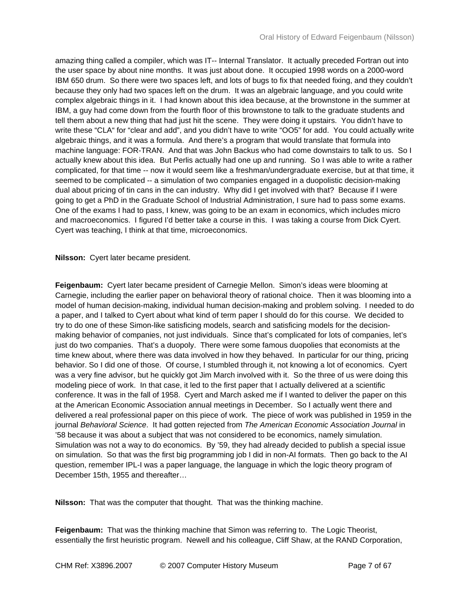amazing thing called a compiler, which was IT-- Internal Translator. It actually preceded Fortran out into the user space by about nine months. It was just about done. It occupied 1998 words on a 2000-word IBM 650 drum. So there were two spaces left, and lots of bugs to fix that needed fixing, and they couldn't because they only had two spaces left on the drum. It was an algebraic language, and you could write complex algebraic things in it. I had known about this idea because, at the brownstone in the summer at IBM, a guy had come down from the fourth floor of this brownstone to talk to the graduate students and tell them about a new thing that had just hit the scene. They were doing it upstairs. You didn't have to write these "CLA" for "clear and add", and you didn't have to write "OO5" for add. You could actually write algebraic things, and it was a formula. And there's a program that would translate that formula into machine language: FOR-TRAN. And that was John Backus who had come downstairs to talk to us. So I actually knew about this idea. But Perlis actually had one up and running. So I was able to write a rather complicated, for that time -- now it would seem like a freshman/undergraduate exercise, but at that time, it seemed to be complicated -- a simulation of two companies engaged in a duopolistic decision-making dual about pricing of tin cans in the can industry. Why did I get involved with that? Because if I were going to get a PhD in the Graduate School of Industrial Administration, I sure had to pass some exams. One of the exams I had to pass, I knew, was going to be an exam in economics, which includes micro and macroeconomics. I figured I'd better take a course in this. I was taking a course from Dick Cyert. Cyert was teaching, I think at that time, microeconomics.

**Nilsson:** Cyert later became president.

**Feigenbaum:** Cyert later became president of Carnegie Mellon. Simon's ideas were blooming at Carnegie, including the earlier paper on behavioral theory of rational choice. Then it was blooming into a model of human decision-making, individual human decision-making and problem solving. I needed to do a paper, and I talked to Cyert about what kind of term paper I should do for this course. We decided to try to do one of these Simon-like satisficing models, search and satisficing models for the decisionmaking behavior of companies, not just individuals. Since that's complicated for lots of companies, let's just do two companies. That's a duopoly. There were some famous duopolies that economists at the time knew about, where there was data involved in how they behaved. In particular for our thing, pricing behavior. So I did one of those. Of course, I stumbled through it, not knowing a lot of economics. Cyert was a very fine advisor, but he quickly got Jim March involved with it. So the three of us were doing this modeling piece of work. In that case, it led to the first paper that I actually delivered at a scientific conference. It was in the fall of 1958. Cyert and March asked me if I wanted to deliver the paper on this at the American Economic Association annual meetings in December. So I actually went there and delivered a real professional paper on this piece of work. The piece of work was published in 1959 in the journal *Behavioral Science*. It had gotten rejected from *The American Economic Association Journal* in '58 because it was about a subject that was not considered to be economics, namely simulation. Simulation was not a way to do economics. By '59, they had already decided to publish a special issue on simulation. So that was the first big programming job I did in non-AI formats. Then go back to the AI question, remember IPL-I was a paper language, the language in which the logic theory program of December 15th, 1955 and thereafter…

**Nilsson:** That was the computer that thought. That was the thinking machine.

**Feigenbaum:** That was the thinking machine that Simon was referring to. The Logic Theorist, essentially the first heuristic program. Newell and his colleague, Cliff Shaw, at the RAND Corporation,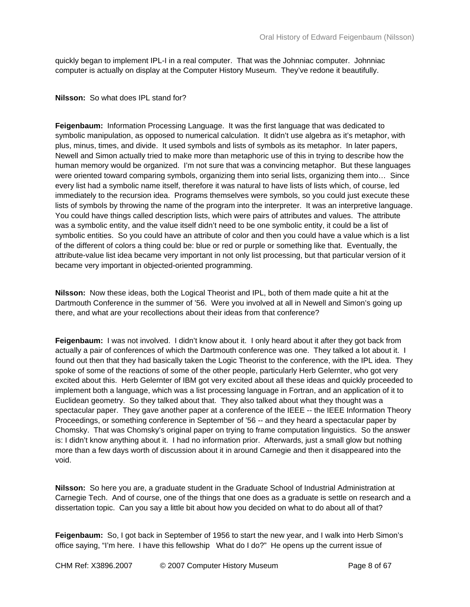quickly began to implement IPL-I in a real computer. That was the Johnniac computer. Johnniac computer is actually on display at the Computer History Museum. They've redone it beautifully.

**Nilsson:** So what does IPL stand for?

**Feigenbaum:** Information Processing Language. It was the first language that was dedicated to symbolic manipulation, as opposed to numerical calculation. It didn't use algebra as it's metaphor, with plus, minus, times, and divide. It used symbols and lists of symbols as its metaphor. In later papers, Newell and Simon actually tried to make more than metaphoric use of this in trying to describe how the human memory would be organized. I'm not sure that was a convincing metaphor. But these languages were oriented toward comparing symbols, organizing them into serial lists, organizing them into… Since every list had a symbolic name itself, therefore it was natural to have lists of lists which, of course, led immediately to the recursion idea. Programs themselves were symbols, so you could just execute these lists of symbols by throwing the name of the program into the interpreter. It was an interpretive language. You could have things called description lists, which were pairs of attributes and values. The attribute was a symbolic entity, and the value itself didn't need to be one symbolic entity, it could be a list of symbolic entities. So you could have an attribute of color and then you could have a value which is a list of the different of colors a thing could be: blue or red or purple or something like that. Eventually, the attribute-value list idea became very important in not only list processing, but that particular version of it became very important in objected-oriented programming.

**Nilsson:** Now these ideas, both the Logical Theorist and IPL, both of them made quite a hit at the Dartmouth Conference in the summer of '56. Were you involved at all in Newell and Simon's going up there, and what are your recollections about their ideas from that conference?

**Feigenbaum:** I was not involved. I didn't know about it. I only heard about it after they got back from actually a pair of conferences of which the Dartmouth conference was one. They talked a lot about it. I found out then that they had basically taken the Logic Theorist to the conference, with the IPL idea. They spoke of some of the reactions of some of the other people, particularly Herb Gelernter, who got very excited about this. Herb Gelernter of IBM got very excited about all these ideas and quickly proceeded to implement both a language, which was a list processing language in Fortran, and an application of it to Euclidean geometry. So they talked about that. They also talked about what they thought was a spectacular paper. They gave another paper at a conference of the IEEE -- the IEEE Information Theory Proceedings, or something conference in September of '56 -- and they heard a spectacular paper by Chomsky. That was Chomsky's original paper on trying to frame computation linguistics. So the answer is: I didn't know anything about it. I had no information prior. Afterwards, just a small glow but nothing more than a few days worth of discussion about it in around Carnegie and then it disappeared into the void.

**Nilsson:** So here you are, a graduate student in the Graduate School of Industrial Administration at Carnegie Tech. And of course, one of the things that one does as a graduate is settle on research and a dissertation topic. Can you say a little bit about how you decided on what to do about all of that?

**Feigenbaum:** So, I got back in September of 1956 to start the new year, and I walk into Herb Simon's office saying, "I'm here. I have this fellowship What do I do?" He opens up the current issue of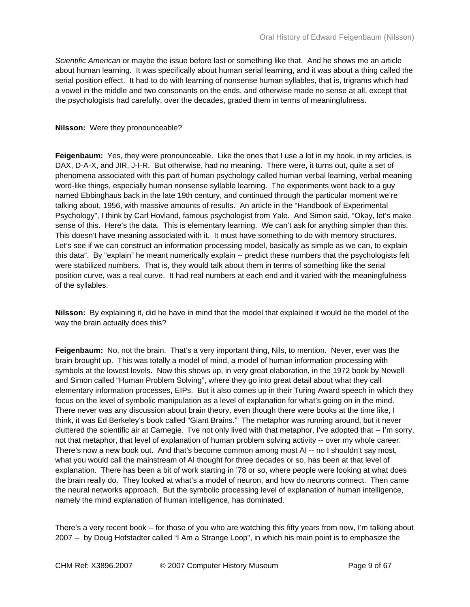*Scientific American* or maybe the issue before last or something like that. And he shows me an article about human learning. It was specifically about human serial learning, and it was about a thing called the serial position effect. It had to do with learning of nonsense human syllables, that is, trigrams which had a vowel in the middle and two consonants on the ends, and otherwise made no sense at all, except that the psychologists had carefully, over the decades, graded them in terms of meaningfulness.

## **Nilsson:** Were they pronounceable?

**Feigenbaum:** Yes, they were pronounceable. Like the ones that I use a lot in my book, in my articles, is DAX, D-A-X, and JIR, J-I-R. But otherwise, had no meaning. There were, it turns out, quite a set of phenomena associated with this part of human psychology called human verbal learning, verbal meaning word-like things, especially human nonsense syllable learning. The experiments went back to a guy named Ebbinghaus back in the late 19th century, and continued through the particular moment we're talking about, 1956, with massive amounts of results. An article in the "Handbook of Experimental Psychology", I think by Carl Hovland, famous psychologist from Yale. And Simon said, "Okay, let's make sense of this. Here's the data. This is elementary learning. We can't ask for anything simpler than this. This doesn't have meaning associated with it. It must have something to do with memory structures. Let's see if we can construct an information processing model, basically as simple as we can, to explain this data". By "explain" he meant numerically explain -- predict these numbers that the psychologists felt were stabilized numbers. That is, they would talk about them in terms of something like the serial position curve, was a real curve. It had real numbers at each end and it varied with the meaningfulness of the syllables.

**Nilsson:** By explaining it, did he have in mind that the model that explained it would be the model of the way the brain actually does this?

**Feigenbaum:** No, not the brain. That's a very important thing, Nils, to mention. Never, ever was the brain brought up. This was totally a model of mind, a model of human information processing with symbols at the lowest levels. Now this shows up, in very great elaboration, in the 1972 book by Newell and Simon called "Human Problem Solving", where they go into great detail about what they call elementary information processes, EIPs. But it also comes up in their Turing Award speech in which they focus on the level of symbolic manipulation as a level of explanation for what's going on in the mind. There never was any discussion about brain theory, even though there were books at the time like, I think, it was Ed Berkeley's book called "Giant Brains." The metaphor was running around, but it never cluttered the scientific air at Carnegie. I've not only lived with that metaphor, I've adopted that -- I'm sorry, not that metaphor, that level of explanation of human problem solving activity -- over my whole career. There's now a new book out. And that's become common among most AI -- no I shouldn't say most, what you would call the mainstream of AI thought for three decades or so, has been at that level of explanation. There has been a bit of work starting in '78 or so, where people were looking at what does the brain really do. They looked at what's a model of neuron, and how do neurons connect. Then came the neural networks approach. But the symbolic processing level of explanation of human intelligence, namely the mind explanation of human intelligence, has dominated.

There's a very recent book -- for those of you who are watching this fifty years from now, I'm talking about 2007 -- by Doug Hofstadter called "I Am a Strange Loop", in which his main point is to emphasize the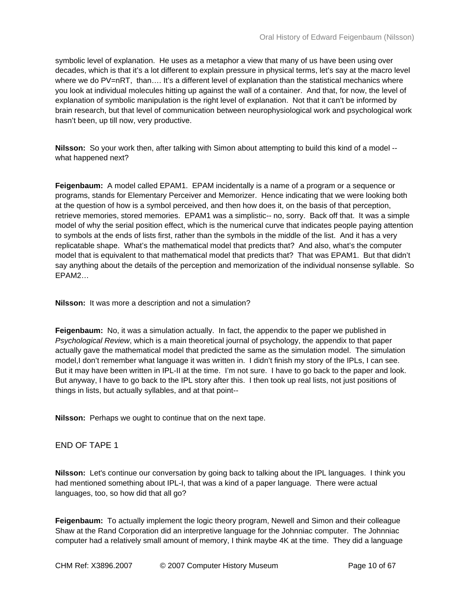symbolic level of explanation. He uses as a metaphor a view that many of us have been using over decades, which is that it's a lot different to explain pressure in physical terms, let's say at the macro level where we do PV=nRT, than.... It's a different level of explanation than the statistical mechanics where you look at individual molecules hitting up against the wall of a container. And that, for now, the level of explanation of symbolic manipulation is the right level of explanation. Not that it can't be informed by brain research, but that level of communication between neurophysiological work and psychological work hasn't been, up till now, very productive.

**Nilsson:** So your work then, after talking with Simon about attempting to build this kind of a model - what happened next?

**Feigenbaum:** A model called EPAM1. EPAM incidentally is a name of a program or a sequence or programs, stands for Elementary Perceiver and Memorizer. Hence indicating that we were looking both at the question of how is a symbol perceived, and then how does it, on the basis of that perception, retrieve memories, stored memories. EPAM1 was a simplistic-- no, sorry. Back off that. It was a simple model of why the serial position effect, which is the numerical curve that indicates people paying attention to symbols at the ends of lists first, rather than the symbols in the middle of the list. And it has a very replicatable shape. What's the mathematical model that predicts that? And also, what's the computer model that is equivalent to that mathematical model that predicts that? That was EPAM1. But that didn't say anything about the details of the perception and memorization of the individual nonsense syllable. So EPAM2…

**Nilsson:** It was more a description and not a simulation?

**Feigenbaum:** No, it was a simulation actually. In fact, the appendix to the paper we published in *Psychological Review*, which is a main theoretical journal of psychology, the appendix to that paper actually gave the mathematical model that predicted the same as the simulation model. The simulation model,I don't remember what language it was written in. I didn't finish my story of the IPLs, I can see. But it may have been written in IPL-II at the time. I'm not sure. I have to go back to the paper and look. But anyway, I have to go back to the IPL story after this. I then took up real lists, not just positions of things in lists, but actually syllables, and at that point--

**Nilsson:** Perhaps we ought to continue that on the next tape.

## END OF TAPE 1

**Nilsson:** Let's continue our conversation by going back to talking about the IPL languages. I think you had mentioned something about IPL-I, that was a kind of a paper language. There were actual languages, too, so how did that all go?

**Feigenbaum:** To actually implement the logic theory program, Newell and Simon and their colleague Shaw at the Rand Corporation did an interpretive language for the Johnniac computer. The Johnniac computer had a relatively small amount of memory, I think maybe 4K at the time. They did a language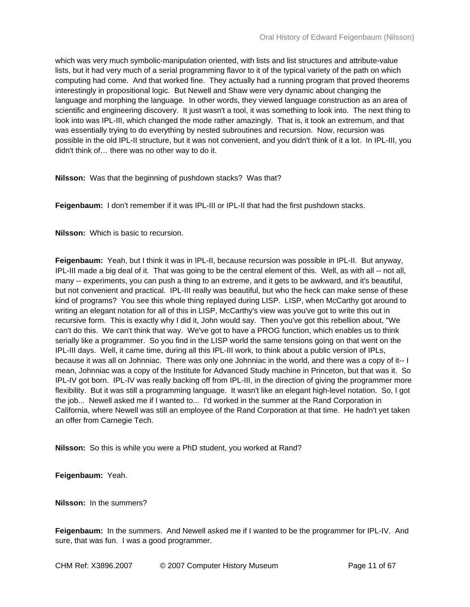which was very much symbolic-manipulation oriented, with lists and list structures and attribute-value lists, but it had very much of a serial programming flavor to it of the typical variety of the path on which computing had come. And that worked fine. They actually had a running program that proved theorems interestingly in propositional logic. But Newell and Shaw were very dynamic about changing the language and morphing the language. In other words, they viewed language construction as an area of scientific and engineering discovery. It just wasn't a tool, it was something to look into. The next thing to look into was IPL-III, which changed the mode rather amazingly. That is, it took an extremum, and that was essentially trying to do everything by nested subroutines and recursion. Now, recursion was possible in the old IPL-II structure, but it was not convenient, and you didn't think of it a lot. In IPL-III, you didn't think of… there was no other way to do it.

**Nilsson:** Was that the beginning of pushdown stacks? Was that?

**Feigenbaum:** I don't remember if it was IPL-III or IPL-II that had the first pushdown stacks.

**Nilsson:** Which is basic to recursion.

**Feigenbaum:** Yeah, but I think it was in IPL-II, because recursion was possible in IPL-II. But anyway, IPL-III made a big deal of it. That was going to be the central element of this. Well, as with all -- not all, many -- experiments, you can push a thing to an extreme, and it gets to be awkward, and it's beautiful, but not convenient and practical. IPL-III really was beautiful, but who the heck can make sense of these kind of programs? You see this whole thing replayed during LISP. LISP, when McCarthy got around to writing an elegant notation for all of this in LISP, McCarthy's view was you've got to write this out in recursive form. This is exactly why I did it, John would say. Then you've got this rebellion about, "We can't do this. We can't think that way. We've got to have a PROG function, which enables us to think serially like a programmer. So you find in the LISP world the same tensions going on that went on the IPL-III days. Well, it came time, during all this IPL-III work, to think about a public version of IPLs, because it was all on Johnniac. There was only one Johnniac in the world, and there was a copy of it-- I mean, Johnniac was a copy of the Institute for Advanced Study machine in Princeton, but that was it. So IPL-IV got born. IPL-IV was really backing off from IPL-III, in the direction of giving the programmer more flexibility. But it was still a programming language. It wasn't like an elegant high-level notation. So, I got the job... Newell asked me if I wanted to... I'd worked in the summer at the Rand Corporation in California, where Newell was still an employee of the Rand Corporation at that time. He hadn't yet taken an offer from Carnegie Tech.

**Nilsson:** So this is while you were a PhD student, you worked at Rand?

**Feigenbaum:** Yeah.

**Nilsson:** In the summers?

**Feigenbaum:** In the summers. And Newell asked me if I wanted to be the programmer for IPL-IV. And sure, that was fun. I was a good programmer.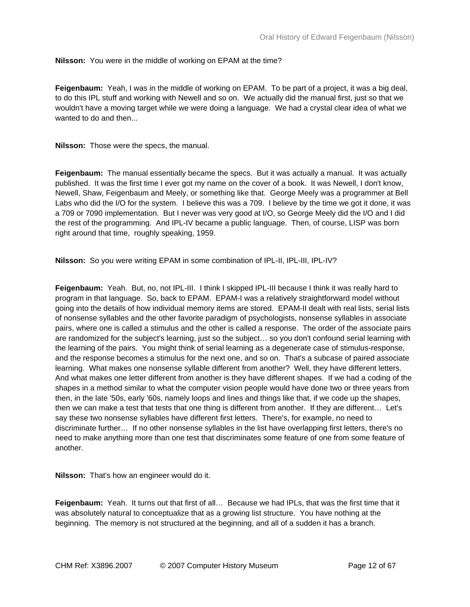**Nilsson:** You were in the middle of working on EPAM at the time?

**Feigenbaum:** Yeah, I was in the middle of working on EPAM. To be part of a project, it was a big deal, to do this IPL stuff and working with Newell and so on. We actually did the manual first, just so that we wouldn't have a moving target while we were doing a language. We had a crystal clear idea of what we wanted to do and then...

**Nilsson:** Those were the specs, the manual.

**Feigenbaum:** The manual essentially became the specs. But it was actually a manual. It was actually published. It was the first time I ever got my name on the cover of a book. It was Newell, I don't know, Newell, Shaw, Feigenbaum and Meely, or something like that. George Meely was a programmer at Bell Labs who did the I/O for the system. I believe this was a 709. I believe by the time we got it done, it was a 709 or 7090 implementation. But I never was very good at I/O, so George Meely did the I/O and I did the rest of the programming. And IPL-IV became a public language. Then, of course, LISP was born right around that time, roughly speaking, 1959.

**Nilsson:** So you were writing EPAM in some combination of IPL-II, IPL-III, IPL-IV?

**Feigenbaum:** Yeah. But, no, not IPL-III. I think I skipped IPL-III because I think it was really hard to program in that language. So, back to EPAM. EPAM-I was a relatively straightforward model without going into the details of how individual memory items are stored. EPAM-II dealt with real lists, serial lists of nonsense syllables and the other favorite paradigm of psychologists, nonsense syllables in associate pairs, where one is called a stimulus and the other is called a response. The order of the associate pairs are randomized for the subject's learning, just so the subject… so you don't confound serial learning with the learning of the pairs. You might think of serial learning as a degenerate case of stimulus-response, and the response becomes a stimulus for the next one, and so on. That's a subcase of paired associate learning. What makes one nonsense syllable different from another? Well, they have different letters. And what makes one letter different from another is they have different shapes. If we had a coding of the shapes in a method similar to what the computer vision people would have done two or three years from then, in the late '50s, early '60s, namely loops and lines and things like that, if we code up the shapes, then we can make a test that tests that one thing is different from another. If they are different… Let's say these two nonsense syllables have different first letters. There's, for example, no need to discriminate further… If no other nonsense syllables in the list have overlapping first letters, there's no need to make anything more than one test that discriminates some feature of one from some feature of another.

**Nilsson:** That's how an engineer would do it.

**Feigenbaum:** Yeah. It turns out that first of all… Because we had IPLs, that was the first time that it was absolutely natural to conceptualize that as a growing list structure. You have nothing at the beginning. The memory is not structured at the beginning, and all of a sudden it has a branch.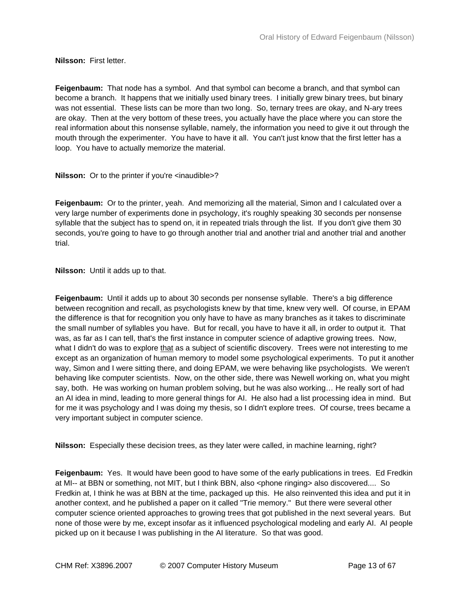**Nilsson:** First letter.

**Feigenbaum:** That node has a symbol. And that symbol can become a branch, and that symbol can become a branch. It happens that we initially used binary trees. I initially grew binary trees, but binary was not essential. These lists can be more than two long. So, ternary trees are okay, and N-ary trees are okay. Then at the very bottom of these trees, you actually have the place where you can store the real information about this nonsense syllable, namely, the information you need to give it out through the mouth through the experimenter. You have to have it all. You can't just know that the first letter has a loop. You have to actually memorize the material.

**Nilsson:** Or to the printer if you're <inaudible>?

**Feigenbaum:** Or to the printer, yeah. And memorizing all the material, Simon and I calculated over a very large number of experiments done in psychology, it's roughly speaking 30 seconds per nonsense syllable that the subject has to spend on, it in repeated trials through the list. If you don't give them 30 seconds, you're going to have to go through another trial and another trial and another trial and another trial.

**Nilsson:** Until it adds up to that.

**Feigenbaum:** Until it adds up to about 30 seconds per nonsense syllable. There's a big difference between recognition and recall, as psychologists knew by that time, knew very well. Of course, in EPAM the difference is that for recognition you only have to have as many branches as it takes to discriminate the small number of syllables you have. But for recall, you have to have it all, in order to output it. That was, as far as I can tell, that's the first instance in computer science of adaptive growing trees. Now, what I didn't do was to explore that as a subject of scientific discovery. Trees were not interesting to me except as an organization of human memory to model some psychological experiments. To put it another way, Simon and I were sitting there, and doing EPAM, we were behaving like psychologists. We weren't behaving like computer scientists. Now, on the other side, there was Newell working on, what you might say, both. He was working on human problem solving, but he was also working… He really sort of had an AI idea in mind, leading to more general things for AI. He also had a list processing idea in mind. But for me it was psychology and I was doing my thesis, so I didn't explore trees. Of course, trees became a very important subject in computer science.

**Nilsson:** Especially these decision trees, as they later were called, in machine learning, right?

**Feigenbaum:** Yes. It would have been good to have some of the early publications in trees. Ed Fredkin at MI-- at BBN or something, not MIT, but I think BBN, also <phone ringing> also discovered.... So Fredkin at, I think he was at BBN at the time, packaged up this. He also reinvented this idea and put it in another context, and he published a paper on it called "Trie memory." But there were several other computer science oriented approaches to growing trees that got published in the next several years. But none of those were by me, except insofar as it influenced psychological modeling and early AI. AI people picked up on it because I was publishing in the AI literature. So that was good.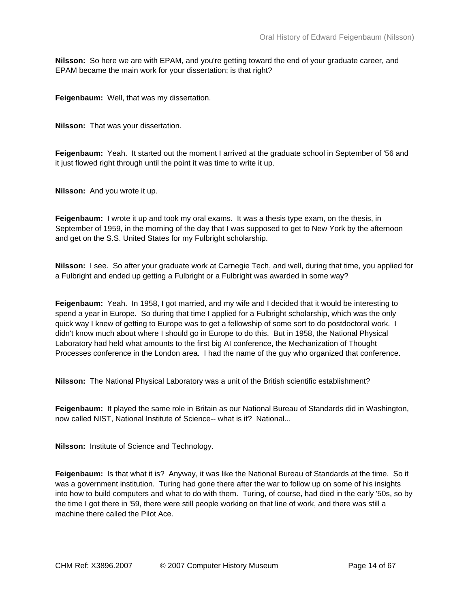**Nilsson:** So here we are with EPAM, and you're getting toward the end of your graduate career, and EPAM became the main work for your dissertation; is that right?

**Feigenbaum:** Well, that was my dissertation.

**Nilsson:** That was your dissertation.

**Feigenbaum:** Yeah. It started out the moment I arrived at the graduate school in September of '56 and it just flowed right through until the point it was time to write it up.

**Nilsson:** And you wrote it up.

**Feigenbaum:** I wrote it up and took my oral exams. It was a thesis type exam, on the thesis, in September of 1959, in the morning of the day that I was supposed to get to New York by the afternoon and get on the S.S. United States for my Fulbright scholarship.

**Nilsson:** I see. So after your graduate work at Carnegie Tech, and well, during that time, you applied for a Fulbright and ended up getting a Fulbright or a Fulbright was awarded in some way?

**Feigenbaum:** Yeah. In 1958, I got married, and my wife and I decided that it would be interesting to spend a year in Europe. So during that time I applied for a Fulbright scholarship, which was the only quick way I knew of getting to Europe was to get a fellowship of some sort to do postdoctoral work. I didn't know much about where I should go in Europe to do this. But in 1958, the National Physical Laboratory had held what amounts to the first big AI conference, the Mechanization of Thought Processes conference in the London area. I had the name of the guy who organized that conference.

**Nilsson:** The National Physical Laboratory was a unit of the British scientific establishment?

**Feigenbaum:** It played the same role in Britain as our National Bureau of Standards did in Washington, now called NIST, National Institute of Science-- what is it? National...

**Nilsson:** Institute of Science and Technology.

**Feigenbaum:** Is that what it is? Anyway, it was like the National Bureau of Standards at the time. So it was a government institution. Turing had gone there after the war to follow up on some of his insights into how to build computers and what to do with them. Turing, of course, had died in the early '50s, so by the time I got there in '59, there were still people working on that line of work, and there was still a machine there called the Pilot Ace.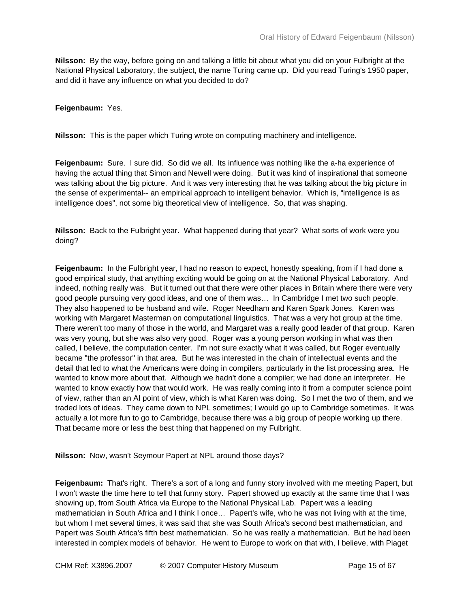**Nilsson:** By the way, before going on and talking a little bit about what you did on your Fulbright at the National Physical Laboratory, the subject, the name Turing came up. Did you read Turing's 1950 paper, and did it have any influence on what you decided to do?

**Feigenbaum:** Yes.

**Nilsson:** This is the paper which Turing wrote on computing machinery and intelligence.

**Feigenbaum:** Sure. I sure did. So did we all. Its influence was nothing like the a-ha experience of having the actual thing that Simon and Newell were doing. But it was kind of inspirational that someone was talking about the big picture. And it was very interesting that he was talking about the big picture in the sense of experimental-- an empirical approach to intelligent behavior. Which is, "intelligence is as intelligence does", not some big theoretical view of intelligence. So, that was shaping.

**Nilsson:** Back to the Fulbright year. What happened during that year? What sorts of work were you doing?

**Feigenbaum:** In the Fulbright year, I had no reason to expect, honestly speaking, from if I had done a good empirical study, that anything exciting would be going on at the National Physical Laboratory. And indeed, nothing really was. But it turned out that there were other places in Britain where there were very good people pursuing very good ideas, and one of them was… In Cambridge I met two such people. They also happened to be husband and wife. Roger Needham and Karen Spark Jones. Karen was working with Margaret Masterman on computational linguistics. That was a very hot group at the time. There weren't too many of those in the world, and Margaret was a really good leader of that group. Karen was very young, but she was also very good. Roger was a young person working in what was then called, I believe, the computation center. I'm not sure exactly what it was called, but Roger eventually became "the professor" in that area. But he was interested in the chain of intellectual events and the detail that led to what the Americans were doing in compilers, particularly in the list processing area. He wanted to know more about that. Although we hadn't done a compiler; we had done an interpreter. He wanted to know exactly how that would work. He was really coming into it from a computer science point of view, rather than an AI point of view, which is what Karen was doing. So I met the two of them, and we traded lots of ideas. They came down to NPL sometimes; I would go up to Cambridge sometimes. It was actually a lot more fun to go to Cambridge, because there was a big group of people working up there. That became more or less the best thing that happened on my Fulbright.

**Nilsson:** Now, wasn't Seymour Papert at NPL around those days?

**Feigenbaum:** That's right. There's a sort of a long and funny story involved with me meeting Papert, but I won't waste the time here to tell that funny story. Papert showed up exactly at the same time that I was showing up, from South Africa via Europe to the National Physical Lab. Papert was a leading mathematician in South Africa and I think I once… Papert's wife, who he was not living with at the time, but whom I met several times, it was said that she was South Africa's second best mathematician, and Papert was South Africa's fifth best mathematician. So he was really a mathematician. But he had been interested in complex models of behavior. He went to Europe to work on that with, I believe, with Piaget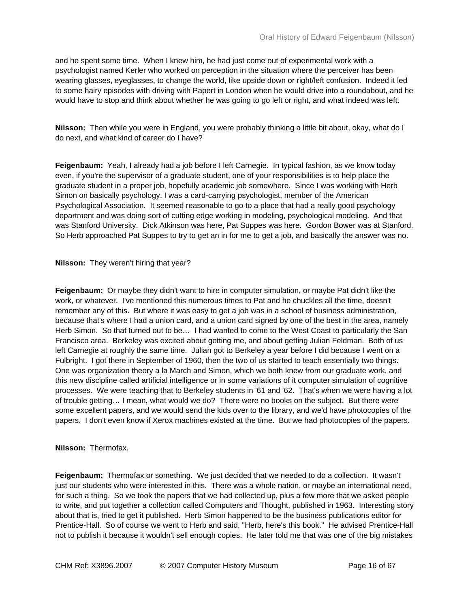and he spent some time. When I knew him, he had just come out of experimental work with a psychologist named Kerler who worked on perception in the situation where the perceiver has been wearing glasses, eyeglasses, to change the world, like upside down or right/left confusion. Indeed it led to some hairy episodes with driving with Papert in London when he would drive into a roundabout, and he would have to stop and think about whether he was going to go left or right, and what indeed was left.

**Nilsson:** Then while you were in England, you were probably thinking a little bit about, okay, what do I do next, and what kind of career do I have?

**Feigenbaum:** Yeah, I already had a job before I left Carnegie. In typical fashion, as we know today even, if you're the supervisor of a graduate student, one of your responsibilities is to help place the graduate student in a proper job, hopefully academic job somewhere. Since I was working with Herb Simon on basically psychology, I was a card-carrying psychologist, member of the American Psychological Association. It seemed reasonable to go to a place that had a really good psychology department and was doing sort of cutting edge working in modeling, psychological modeling. And that was Stanford University. Dick Atkinson was here, Pat Suppes was here. Gordon Bower was at Stanford. So Herb approached Pat Suppes to try to get an in for me to get a job, and basically the answer was no.

**Nilsson:** They weren't hiring that year?

**Feigenbaum:** Or maybe they didn't want to hire in computer simulation, or maybe Pat didn't like the work, or whatever. I've mentioned this numerous times to Pat and he chuckles all the time, doesn't remember any of this. But where it was easy to get a job was in a school of business administration, because that's where I had a union card, and a union card signed by one of the best in the area, namely Herb Simon. So that turned out to be… I had wanted to come to the West Coast to particularly the San Francisco area. Berkeley was excited about getting me, and about getting Julian Feldman. Both of us left Carnegie at roughly the same time. Julian got to Berkeley a year before I did because I went on a Fulbright. I got there in September of 1960, then the two of us started to teach essentially two things. One was organization theory a la March and Simon, which we both knew from our graduate work, and this new discipline called artificial intelligence or in some variations of it computer simulation of cognitive processes. We were teaching that to Berkeley students in '61 and '62. That's when we were having a lot of trouble getting… I mean, what would we do? There were no books on the subject. But there were some excellent papers, and we would send the kids over to the library, and we'd have photocopies of the papers. I don't even know if Xerox machines existed at the time. But we had photocopies of the papers.

## **Nilsson:** Thermofax.

**Feigenbaum:** Thermofax or something. We just decided that we needed to do a collection. It wasn't just our students who were interested in this. There was a whole nation, or maybe an international need, for such a thing. So we took the papers that we had collected up, plus a few more that we asked people to write, and put together a collection called Computers and Thought, published in 1963. Interesting story about that is, tried to get it published. Herb Simon happened to be the business publications editor for Prentice-Hall. So of course we went to Herb and said, "Herb, here's this book." He advised Prentice-Hall not to publish it because it wouldn't sell enough copies. He later told me that was one of the big mistakes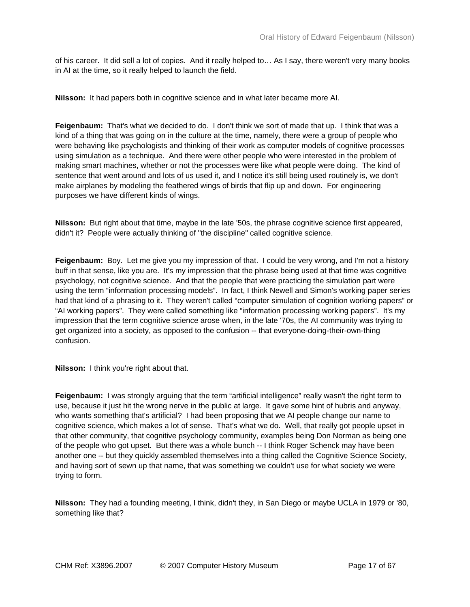of his career. It did sell a lot of copies. And it really helped to… As I say, there weren't very many books in AI at the time, so it really helped to launch the field.

**Nilsson:** It had papers both in cognitive science and in what later became more AI.

**Feigenbaum:** That's what we decided to do. I don't think we sort of made that up. I think that was a kind of a thing that was going on in the culture at the time, namely, there were a group of people who were behaving like psychologists and thinking of their work as computer models of cognitive processes using simulation as a technique. And there were other people who were interested in the problem of making smart machines, whether or not the processes were like what people were doing. The kind of sentence that went around and lots of us used it, and I notice it's still being used routinely is, we don't make airplanes by modeling the feathered wings of birds that flip up and down. For engineering purposes we have different kinds of wings.

**Nilsson:** But right about that time, maybe in the late '50s, the phrase cognitive science first appeared, didn't it? People were actually thinking of "the discipline" called cognitive science.

**Feigenbaum:** Boy. Let me give you my impression of that. I could be very wrong, and I'm not a history buff in that sense, like you are. It's my impression that the phrase being used at that time was cognitive psychology, not cognitive science. And that the people that were practicing the simulation part were using the term "information processing models". In fact, I think Newell and Simon's working paper series had that kind of a phrasing to it. They weren't called "computer simulation of cognition working papers" or "AI working papers". They were called something like "information processing working papers". It's my impression that the term cognitive science arose when, in the late '70s, the AI community was trying to get organized into a society, as opposed to the confusion -- that everyone-doing-their-own-thing confusion.

**Nilsson:** I think you're right about that.

**Feigenbaum:** I was strongly arguing that the term "artificial intelligence" really wasn't the right term to use, because it just hit the wrong nerve in the public at large. It gave some hint of hubris and anyway, who wants something that's artificial? I had been proposing that we AI people change our name to cognitive science, which makes a lot of sense. That's what we do. Well, that really got people upset in that other community, that cognitive psychology community, examples being Don Norman as being one of the people who got upset. But there was a whole bunch -- I think Roger Schenck may have been another one -- but they quickly assembled themselves into a thing called the Cognitive Science Society, and having sort of sewn up that name, that was something we couldn't use for what society we were trying to form.

**Nilsson:** They had a founding meeting, I think, didn't they, in San Diego or maybe UCLA in 1979 or '80, something like that?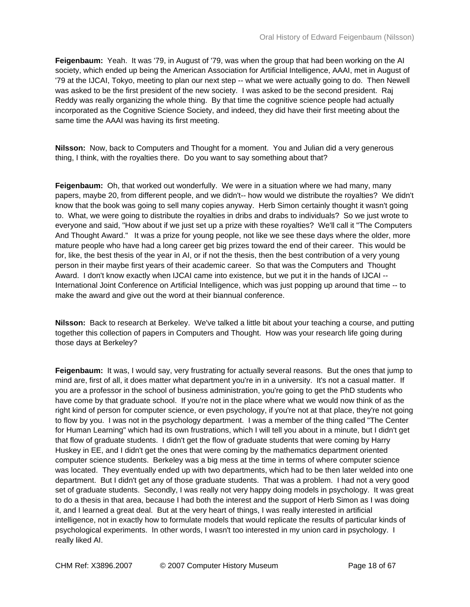**Feigenbaum:** Yeah. It was '79, in August of '79, was when the group that had been working on the AI society, which ended up being the American Association for Artificial Intelligence, AAAI, met in August of '79 at the IJCAI, Tokyo, meeting to plan our next step -- what we were actually going to do. Then Newell was asked to be the first president of the new society. I was asked to be the second president. Raj Reddy was really organizing the whole thing. By that time the cognitive science people had actually incorporated as the Cognitive Science Society, and indeed, they did have their first meeting about the same time the AAAI was having its first meeting.

**Nilsson:** Now, back to Computers and Thought for a moment. You and Julian did a very generous thing, I think, with the royalties there. Do you want to say something about that?

**Feigenbaum:** Oh, that worked out wonderfully. We were in a situation where we had many, many papers, maybe 20, from different people, and we didn't-- how would we distribute the royalties? We didn't know that the book was going to sell many copies anyway. Herb Simon certainly thought it wasn't going to. What, we were going to distribute the royalties in dribs and drabs to individuals? So we just wrote to everyone and said, "How about if we just set up a prize with these royalties? We'll call it "The Computers And Thought Award." It was a prize for young people, not like we see these days where the older, more mature people who have had a long career get big prizes toward the end of their career. This would be for, like, the best thesis of the year in AI, or if not the thesis, then the best contribution of a very young person in their maybe first years of their academic career. So that was the Computers and Thought Award. I don't know exactly when IJCAI came into existence, but we put it in the hands of IJCAI -- International Joint Conference on Artificial Intelligence, which was just popping up around that time -- to make the award and give out the word at their biannual conference.

**Nilsson:** Back to research at Berkeley. We've talked a little bit about your teaching a course, and putting together this collection of papers in Computers and Thought. How was your research life going during those days at Berkeley?

**Feigenbaum:** It was, I would say, very frustrating for actually several reasons. But the ones that jump to mind are, first of all, it does matter what department you're in in a university. It's not a casual matter. If you are a professor in the school of business administration, you're going to get the PhD students who have come by that graduate school. If you're not in the place where what we would now think of as the right kind of person for computer science, or even psychology, if you're not at that place, they're not going to flow by you. I was not in the psychology department. I was a member of the thing called "The Center for Human Learning" which had its own frustrations, which I will tell you about in a minute, but I didn't get that flow of graduate students. I didn't get the flow of graduate students that were coming by Harry Huskey in EE, and I didn't get the ones that were coming by the mathematics department oriented computer science students. Berkeley was a big mess at the time in terms of where computer science was located. They eventually ended up with two departments, which had to be then later welded into one department. But I didn't get any of those graduate students. That was a problem. I had not a very good set of graduate students. Secondly, I was really not very happy doing models in psychology. It was great to do a thesis in that area, because I had both the interest and the support of Herb Simon as I was doing it, and I learned a great deal. But at the very heart of things, I was really interested in artificial intelligence, not in exactly how to formulate models that would replicate the results of particular kinds of psychological experiments. In other words, I wasn't too interested in my union card in psychology. I really liked AI.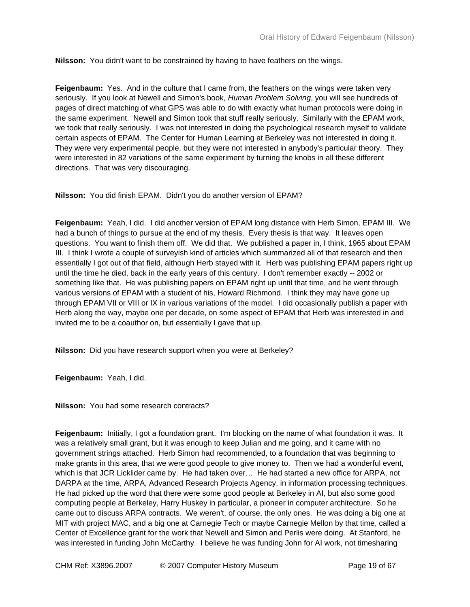**Nilsson:** You didn't want to be constrained by having to have feathers on the wings.

**Feigenbaum:** Yes. And in the culture that I came from, the feathers on the wings were taken very seriously. If you look at Newell and Simon's book, *Human Problem Solving*, you will see hundreds of pages of direct matching of what GPS was able to do with exactly what human protocols were doing in the same experiment. Newell and Simon took that stuff really seriously. Similarly with the EPAM work, we took that really seriously. I was not interested in doing the psychological research myself to validate certain aspects of EPAM. The Center for Human Learning at Berkeley was not interested in doing it. They were very experimental people, but they were not interested in anybody's particular theory. They were interested in 82 variations of the same experiment by turning the knobs in all these different directions. That was very discouraging.

**Nilsson:** You did finish EPAM. Didn't you do another version of EPAM?

**Feigenbaum:** Yeah, I did. I did another version of EPAM long distance with Herb Simon, EPAM III. We had a bunch of things to pursue at the end of my thesis. Every thesis is that way. It leaves open questions. You want to finish them off. We did that. We published a paper in, I think, 1965 about EPAM III. I think I wrote a couple of surveyish kind of articles which summarized all of that research and then essentially I got out of that field, although Herb stayed with it. Herb was publishing EPAM papers right up until the time he died, back in the early years of this century. I don't remember exactly -- 2002 or something like that. He was publishing papers on EPAM right up until that time, and he went through various versions of EPAM with a student of his, Howard Richmond. I think they may have gone up through EPAM VII or VIII or IX in various variations of the model. I did occasionally publish a paper with Herb along the way, maybe one per decade, on some aspect of EPAM that Herb was interested in and invited me to be a coauthor on, but essentially I gave that up.

**Nilsson:** Did you have research support when you were at Berkeley?

**Feigenbaum:** Yeah, I did.

**Nilsson:** You had some research contracts?

**Feigenbaum:** Initially, I got a foundation grant. I'm blocking on the name of what foundation it was. It was a relatively small grant, but it was enough to keep Julian and me going, and it came with no government strings attached. Herb Simon had recommended, to a foundation that was beginning to make grants in this area, that we were good people to give money to. Then we had a wonderful event, which is that JCR Licklider came by. He had taken over… He had started a new office for ARPA, not DARPA at the time, ARPA, Advanced Research Projects Agency, in information processing techniques. He had picked up the word that there were some good people at Berkeley in AI, but also some good computing people at Berkeley, Harry Huskey in particular, a pioneer in computer architecture. So he came out to discuss ARPA contracts. We weren't, of course, the only ones. He was doing a big one at MIT with project MAC, and a big one at Carnegie Tech or maybe Carnegie Mellon by that time, called a Center of Excellence grant for the work that Newell and Simon and Perlis were doing. At Stanford, he was interested in funding John McCarthy. I believe he was funding John for AI work, not timesharing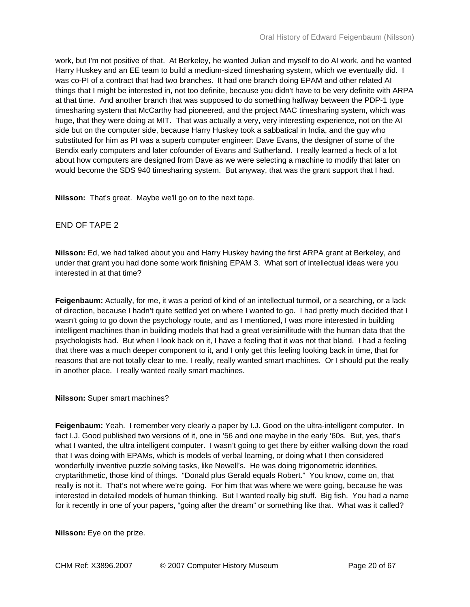work, but I'm not positive of that. At Berkeley, he wanted Julian and myself to do AI work, and he wanted Harry Huskey and an EE team to build a medium-sized timesharing system, which we eventually did. I was co-PI of a contract that had two branches. It had one branch doing EPAM and other related AI things that I might be interested in, not too definite, because you didn't have to be very definite with ARPA at that time. And another branch that was supposed to do something halfway between the PDP-1 type timesharing system that McCarthy had pioneered, and the project MAC timesharing system, which was huge, that they were doing at MIT. That was actually a very, very interesting experience, not on the AI side but on the computer side, because Harry Huskey took a sabbatical in India, and the guy who substituted for him as PI was a superb computer engineer: Dave Evans, the designer of some of the Bendix early computers and later cofounder of Evans and Sutherland. I really learned a heck of a lot about how computers are designed from Dave as we were selecting a machine to modify that later on would become the SDS 940 timesharing system. But anyway, that was the grant support that I had.

**Nilsson:** That's great. Maybe we'll go on to the next tape.

## END OF TAPE 2

**Nilsson:** Ed, we had talked about you and Harry Huskey having the first ARPA grant at Berkeley, and under that grant you had done some work finishing EPAM 3. What sort of intellectual ideas were you interested in at that time?

**Feigenbaum:** Actually, for me, it was a period of kind of an intellectual turmoil, or a searching, or a lack of direction, because I hadn't quite settled yet on where I wanted to go. I had pretty much decided that I wasn't going to go down the psychology route, and as I mentioned, I was more interested in building intelligent machines than in building models that had a great verisimilitude with the human data that the psychologists had. But when I look back on it, I have a feeling that it was not that bland. I had a feeling that there was a much deeper component to it, and I only get this feeling looking back in time, that for reasons that are not totally clear to me, I really, really wanted smart machines. Or I should put the really in another place. I really wanted really smart machines.

## **Nilsson:** Super smart machines?

**Feigenbaum:** Yeah. I remember very clearly a paper by I.J. Good on the ultra-intelligent computer. In fact I.J. Good published two versions of it, one in '56 and one maybe in the early '60s. But, yes, that's what I wanted, the ultra intelligent computer. I wasn't going to get there by either walking down the road that I was doing with EPAMs, which is models of verbal learning, or doing what I then considered wonderfully inventive puzzle solving tasks, like Newell's. He was doing trigonometric identities, cryptarithmetic, those kind of things. "Donald plus Gerald equals Robert." You know, come on, that really is not it. That's not where we're going. For him that was where we were going, because he was interested in detailed models of human thinking. But I wanted really big stuff. Big fish. You had a name for it recently in one of your papers, "going after the dream" or something like that. What was it called?

**Nilsson:** Eye on the prize.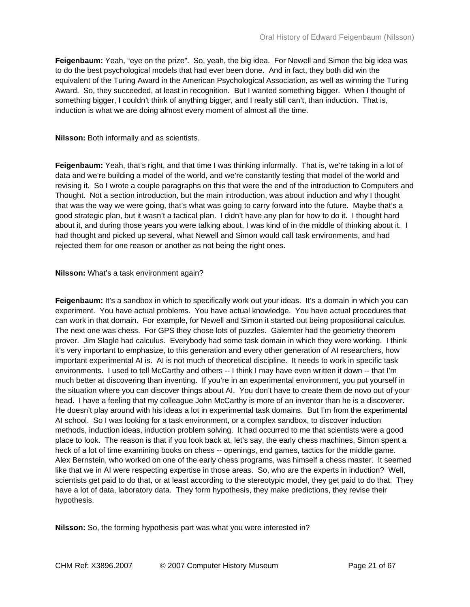**Feigenbaum:** Yeah, "eye on the prize". So, yeah, the big idea. For Newell and Simon the big idea was to do the best psychological models that had ever been done. And in fact, they both did win the equivalent of the Turing Award in the American Psychological Association, as well as winning the Turing Award. So, they succeeded, at least in recognition. But I wanted something bigger. When I thought of something bigger, I couldn't think of anything bigger, and I really still can't, than induction. That is, induction is what we are doing almost every moment of almost all the time.

**Nilsson:** Both informally and as scientists.

**Feigenbaum:** Yeah, that's right, and that time I was thinking informally. That is, we're taking in a lot of data and we're building a model of the world, and we're constantly testing that model of the world and revising it. So I wrote a couple paragraphs on this that were the end of the introduction to Computers and Thought. Not a section introduction, but the main introduction, was about induction and why I thought that was the way we were going, that's what was going to carry forward into the future. Maybe that's a good strategic plan, but it wasn't a tactical plan. I didn't have any plan for how to do it. I thought hard about it, and during those years you were talking about, I was kind of in the middle of thinking about it. I had thought and picked up several, what Newell and Simon would call task environments, and had rejected them for one reason or another as not being the right ones.

**Nilsson:** What's a task environment again?

**Feigenbaum:** It's a sandbox in which to specifically work out your ideas. It's a domain in which you can experiment. You have actual problems. You have actual knowledge. You have actual procedures that can work in that domain. For example, for Newell and Simon it started out being propositional calculus. The next one was chess. For GPS they chose lots of puzzles. Galernter had the geometry theorem prover. Jim Slagle had calculus. Everybody had some task domain in which they were working. I think it's very important to emphasize, to this generation and every other generation of AI researchers, how important experimental AI is. AI is not much of theoretical discipline. It needs to work in specific task environments. I used to tell McCarthy and others -- I think I may have even written it down -- that I'm much better at discovering than inventing. If you're in an experimental environment, you put yourself in the situation where you can discover things about AI. You don't have to create them de novo out of your head. I have a feeling that my colleague John McCarthy is more of an inventor than he is a discoverer. He doesn't play around with his ideas a lot in experimental task domains. But I'm from the experimental AI school. So I was looking for a task environment, or a complex sandbox, to discover induction methods, induction ideas, induction problem solving. It had occurred to me that scientists were a good place to look. The reason is that if you look back at, let's say, the early chess machines, Simon spent a heck of a lot of time examining books on chess -- openings, end games, tactics for the middle game. Alex Bernstein, who worked on one of the early chess programs, was himself a chess master. It seemed like that we in AI were respecting expertise in those areas. So, who are the experts in induction? Well, scientists get paid to do that, or at least according to the stereotypic model, they get paid to do that. They have a lot of data, laboratory data. They form hypothesis, they make predictions, they revise their hypothesis.

**Nilsson:** So, the forming hypothesis part was what you were interested in?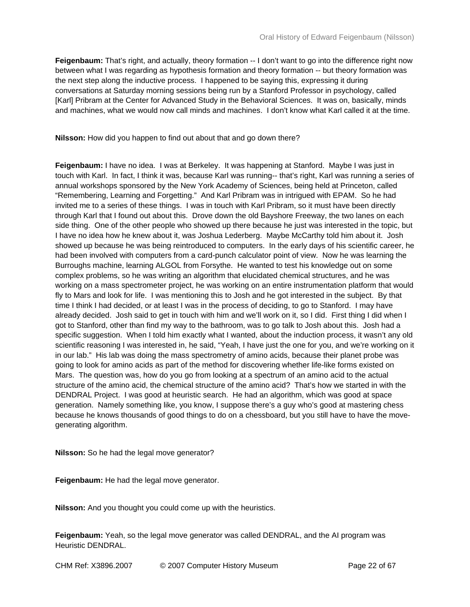**Feigenbaum:** That's right, and actually, theory formation -- I don't want to go into the difference right now between what I was regarding as hypothesis formation and theory formation -- but theory formation was the next step along the inductive process. I happened to be saying this, expressing it during conversations at Saturday morning sessions being run by a Stanford Professor in psychology, called [Karl] Pribram at the Center for Advanced Study in the Behavioral Sciences. It was on, basically, minds and machines, what we would now call minds and machines. I don't know what Karl called it at the time.

**Nilsson:** How did you happen to find out about that and go down there?

**Feigenbaum:** I have no idea. I was at Berkeley. It was happening at Stanford. Maybe I was just in touch with Karl. In fact, I think it was, because Karl was running-- that's right, Karl was running a series of annual workshops sponsored by the New York Academy of Sciences, being held at Princeton, called "Remembering, Learning and Forgetting." And Karl Pribram was in intrigued with EPAM. So he had invited me to a series of these things. I was in touch with Karl Pribram, so it must have been directly through Karl that I found out about this. Drove down the old Bayshore Freeway, the two lanes on each side thing. One of the other people who showed up there because he just was interested in the topic, but I have no idea how he knew about it, was Joshua Lederberg. Maybe McCarthy told him about it. Josh showed up because he was being reintroduced to computers. In the early days of his scientific career, he had been involved with computers from a card-punch calculator point of view. Now he was learning the Burroughs machine, learning ALGOL from Forsythe. He wanted to test his knowledge out on some complex problems, so he was writing an algorithm that elucidated chemical structures, and he was working on a mass spectrometer project, he was working on an entire instrumentation platform that would fly to Mars and look for life. I was mentioning this to Josh and he got interested in the subject. By that time I think I had decided, or at least I was in the process of deciding, to go to Stanford. I may have already decided. Josh said to get in touch with him and we'll work on it, so I did. First thing I did when I got to Stanford, other than find my way to the bathroom, was to go talk to Josh about this. Josh had a specific suggestion. When I told him exactly what I wanted, about the induction process, it wasn't any old scientific reasoning I was interested in, he said, "Yeah, I have just the one for you, and we're working on it in our lab." His lab was doing the mass spectrometry of amino acids, because their planet probe was going to look for amino acids as part of the method for discovering whether life-like forms existed on Mars. The question was, how do you go from looking at a spectrum of an amino acid to the actual structure of the amino acid, the chemical structure of the amino acid? That's how we started in with the DENDRAL Project. I was good at heuristic search. He had an algorithm, which was good at space generation. Namely something like, you know, I suppose there's a guy who's good at mastering chess because he knows thousands of good things to do on a chessboard, but you still have to have the movegenerating algorithm.

**Nilsson:** So he had the legal move generator?

**Feigenbaum:** He had the legal move generator.

**Nilsson:** And you thought you could come up with the heuristics.

**Feigenbaum:** Yeah, so the legal move generator was called DENDRAL, and the AI program was Heuristic DENDRAL.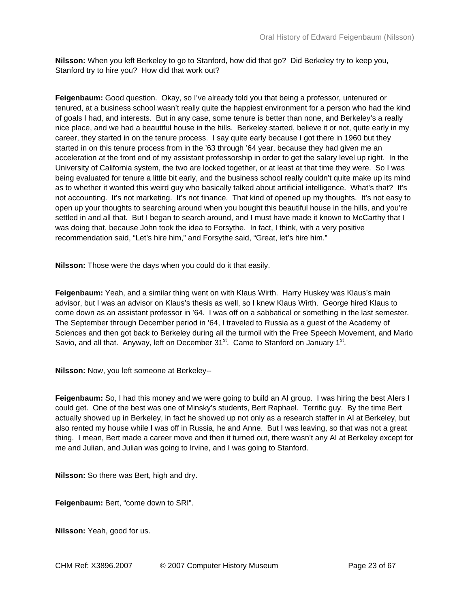**Nilsson:** When you left Berkeley to go to Stanford, how did that go? Did Berkeley try to keep you, Stanford try to hire you? How did that work out?

**Feigenbaum:** Good question. Okay, so I've already told you that being a professor, untenured or tenured, at a business school wasn't really quite the happiest environment for a person who had the kind of goals I had, and interests. But in any case, some tenure is better than none, and Berkeley's a really nice place, and we had a beautiful house in the hills. Berkeley started, believe it or not, quite early in my career, they started in on the tenure process. I say quite early because I got there in 1960 but they started in on this tenure process from in the '63 through '64 year, because they had given me an acceleration at the front end of my assistant professorship in order to get the salary level up right. In the University of California system, the two are locked together, or at least at that time they were. So I was being evaluated for tenure a little bit early, and the business school really couldn't quite make up its mind as to whether it wanted this weird guy who basically talked about artificial intelligence. What's that? It's not accounting. It's not marketing. It's not finance. That kind of opened up my thoughts. It's not easy to open up your thoughts to searching around when you bought this beautiful house in the hills, and you're settled in and all that. But I began to search around, and I must have made it known to McCarthy that I was doing that, because John took the idea to Forsythe. In fact, I think, with a very positive recommendation said, "Let's hire him," and Forsythe said, "Great, let's hire him."

**Nilsson:** Those were the days when you could do it that easily.

**Feigenbaum:** Yeah, and a similar thing went on with Klaus Wirth. Harry Huskey was Klaus's main advisor, but I was an advisor on Klaus's thesis as well, so I knew Klaus Wirth. George hired Klaus to come down as an assistant professor in '64. I was off on a sabbatical or something in the last semester. The September through December period in '64, I traveled to Russia as a guest of the Academy of Sciences and then got back to Berkeley during all the turmoil with the Free Speech Movement, and Mario Savio, and all that. Anyway, left on December  $31<sup>st</sup>$ . Came to Stanford on January  $1<sup>st</sup>$ .

**Nilsson:** Now, you left someone at Berkeley--

**Feigenbaum:** So, I had this money and we were going to build an AI group. I was hiring the best AIers I could get. One of the best was one of Minsky's students, Bert Raphael. Terrific guy. By the time Bert actually showed up in Berkeley, in fact he showed up not only as a research staffer in AI at Berkeley, but also rented my house while I was off in Russia, he and Anne. But I was leaving, so that was not a great thing. I mean, Bert made a career move and then it turned out, there wasn't any AI at Berkeley except for me and Julian, and Julian was going to Irvine, and I was going to Stanford.

**Nilsson:** So there was Bert, high and dry.

**Feigenbaum:** Bert, "come down to SRI".

**Nilsson:** Yeah, good for us.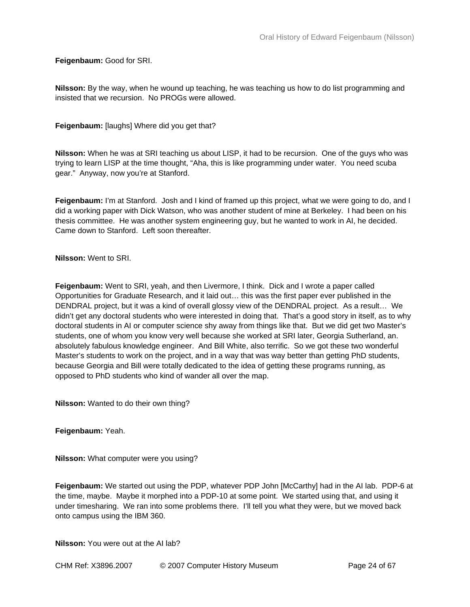**Feigenbaum:** Good for SRI.

**Nilsson:** By the way, when he wound up teaching, he was teaching us how to do list programming and insisted that we recursion. No PROGs were allowed.

**Feigenbaum:** [laughs] Where did you get that?

**Nilsson:** When he was at SRI teaching us about LISP, it had to be recursion. One of the guys who was trying to learn LISP at the time thought, "Aha, this is like programming under water. You need scuba gear." Anyway, now you're at Stanford.

**Feigenbaum:** I'm at Stanford. Josh and I kind of framed up this project, what we were going to do, and I did a working paper with Dick Watson, who was another student of mine at Berkeley. I had been on his thesis committee. He was another system engineering guy, but he wanted to work in AI, he decided. Came down to Stanford. Left soon thereafter.

**Nilsson:** Went to SRI.

**Feigenbaum:** Went to SRI, yeah, and then Livermore, I think. Dick and I wrote a paper called Opportunities for Graduate Research, and it laid out… this was the first paper ever published in the DENDRAL project, but it was a kind of overall glossy view of the DENDRAL project. As a result… We didn't get any doctoral students who were interested in doing that. That's a good story in itself, as to why doctoral students in AI or computer science shy away from things like that. But we did get two Master's students, one of whom you know very well because she worked at SRI later, Georgia Sutherland, an. absolutely fabulous knowledge engineer. And Bill White, also terrific. So we got these two wonderful Master's students to work on the project, and in a way that was way better than getting PhD students, because Georgia and Bill were totally dedicated to the idea of getting these programs running, as opposed to PhD students who kind of wander all over the map.

**Nilsson:** Wanted to do their own thing?

**Feigenbaum:** Yeah.

**Nilsson:** What computer were you using?

**Feigenbaum:** We started out using the PDP, whatever PDP John [McCarthy] had in the AI lab. PDP-6 at the time, maybe. Maybe it morphed into a PDP-10 at some point. We started using that, and using it under timesharing. We ran into some problems there. I'll tell you what they were, but we moved back onto campus using the IBM 360.

**Nilsson:** You were out at the AI lab?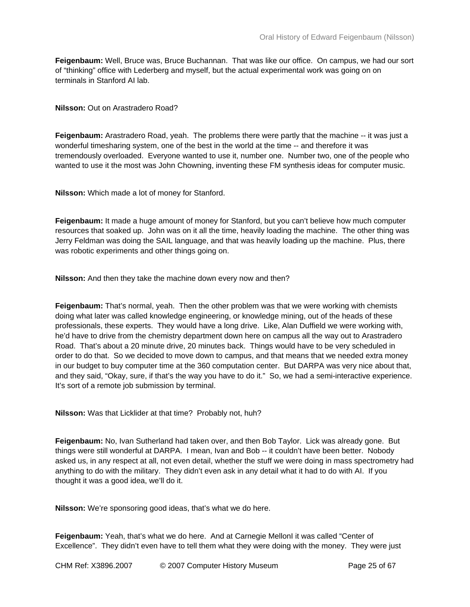**Feigenbaum:** Well, Bruce was, Bruce Buchannan. That was like our office. On campus, we had our sort of "thinking" office with Lederberg and myself, but the actual experimental work was going on on terminals in Stanford AI lab.

**Nilsson:** Out on Arastradero Road?

**Feigenbaum:** Arastradero Road, yeah. The problems there were partly that the machine -- it was just a wonderful timesharing system, one of the best in the world at the time -- and therefore it was tremendously overloaded. Everyone wanted to use it, number one. Number two, one of the people who wanted to use it the most was John Chowning, inventing these FM synthesis ideas for computer music.

**Nilsson:** Which made a lot of money for Stanford.

**Feigenbaum:** It made a huge amount of money for Stanford, but you can't believe how much computer resources that soaked up. John was on it all the time, heavily loading the machine. The other thing was Jerry Feldman was doing the SAIL language, and that was heavily loading up the machine. Plus, there was robotic experiments and other things going on.

**Nilsson:** And then they take the machine down every now and then?

**Feigenbaum:** That's normal, yeah. Then the other problem was that we were working with chemists doing what later was called knowledge engineering, or knowledge mining, out of the heads of these professionals, these experts. They would have a long drive. Like, Alan Duffield we were working with, he'd have to drive from the chemistry department down here on campus all the way out to Arastradero Road. That's about a 20 minute drive, 20 minutes back. Things would have to be very scheduled in order to do that. So we decided to move down to campus, and that means that we needed extra money in our budget to buy computer time at the 360 computation center. But DARPA was very nice about that, and they said, "Okay, sure, if that's the way you have to do it." So, we had a semi-interactive experience. It's sort of a remote job submission by terminal.

**Nilsson:** Was that Licklider at that time? Probably not, huh?

**Feigenbaum:** No, Ivan Sutherland had taken over, and then Bob Taylor. Lick was already gone. But things were still wonderful at DARPA. I mean, Ivan and Bob -- it couldn't have been better. Nobody asked us, in any respect at all, not even detail, whether the stuff we were doing in mass spectrometry had anything to do with the military. They didn't even ask in any detail what it had to do with AI. If you thought it was a good idea, we'll do it.

**Nilsson:** We're sponsoring good ideas, that's what we do here.

**Feigenbaum:** Yeah, that's what we do here. And at Carnegie MellonI it was called "Center of Excellence". They didn't even have to tell them what they were doing with the money. They were just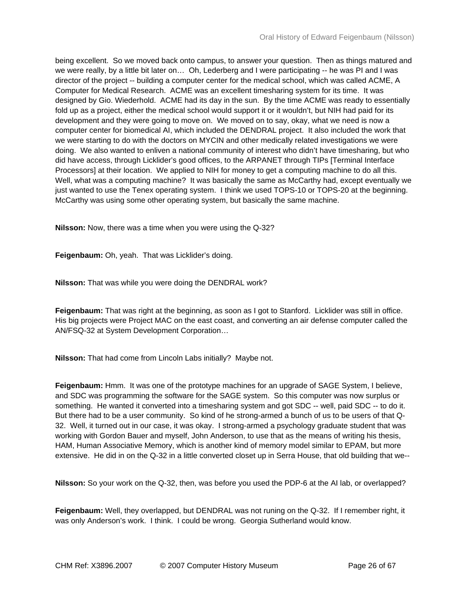being excellent. So we moved back onto campus, to answer your question. Then as things matured and we were really, by a little bit later on… Oh, Lederberg and I were participating -- he was PI and I was director of the project -- building a computer center for the medical school, which was called ACME, A Computer for Medical Research. ACME was an excellent timesharing system for its time. It was designed by Gio. Wiederhold. ACME had its day in the sun. By the time ACME was ready to essentially fold up as a project, either the medical school would support it or it wouldn't, but NIH had paid for its development and they were going to move on. We moved on to say, okay, what we need is now a computer center for biomedical AI, which included the DENDRAL project. It also included the work that we were starting to do with the doctors on MYCIN and other medically related investigations we were doing. We also wanted to enliven a national community of interest who didn't have timesharing, but who did have access, through Licklider's good offices, to the ARPANET through TIPs [Terminal Interface Processors] at their location. We applied to NIH for money to get a computing machine to do all this. Well, what was a computing machine? It was basically the same as McCarthy had, except eventually we just wanted to use the Tenex operating system. I think we used TOPS-10 or TOPS-20 at the beginning. McCarthy was using some other operating system, but basically the same machine.

**Nilsson:** Now, there was a time when you were using the Q-32?

**Feigenbaum:** Oh, yeah. That was Licklider's doing.

**Nilsson:** That was while you were doing the DENDRAL work?

**Feigenbaum:** That was right at the beginning, as soon as I got to Stanford. Licklider was still in office. His big projects were Project MAC on the east coast, and converting an air defense computer called the AN/FSQ-32 at System Development Corporation…

**Nilsson:** That had come from Lincoln Labs initially? Maybe not.

**Feigenbaum:** Hmm. It was one of the prototype machines for an upgrade of SAGE System, I believe, and SDC was programming the software for the SAGE system. So this computer was now surplus or something. He wanted it converted into a timesharing system and got SDC -- well, paid SDC -- to do it. But there had to be a user community. So kind of he strong-armed a bunch of us to be users of that Q-32. Well, it turned out in our case, it was okay. I strong-armed a psychology graduate student that was working with Gordon Bauer and myself, John Anderson, to use that as the means of writing his thesis, HAM, Human Associative Memory, which is another kind of memory model similar to EPAM, but more extensive. He did in on the Q-32 in a little converted closet up in Serra House, that old building that we--

**Nilsson:** So your work on the Q-32, then, was before you used the PDP-6 at the AI lab, or overlapped?

**Feigenbaum:** Well, they overlapped, but DENDRAL was not runing on the Q-32. If I remember right, it was only Anderson's work. I think. I could be wrong. Georgia Sutherland would know.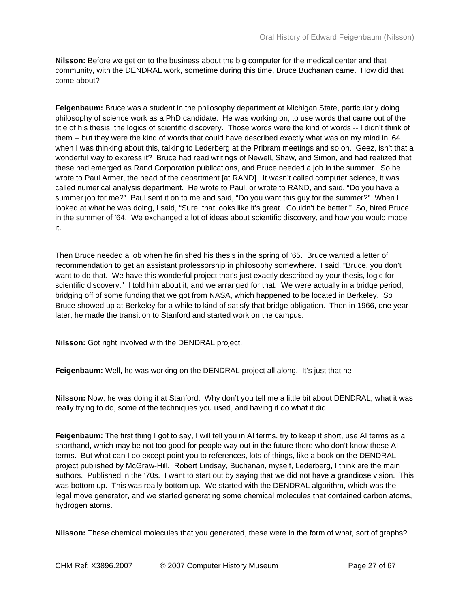**Nilsson:** Before we get on to the business about the big computer for the medical center and that community, with the DENDRAL work, sometime during this time, Bruce Buchanan came. How did that come about?

**Feigenbaum:** Bruce was a student in the philosophy department at Michigan State, particularly doing philosophy of science work as a PhD candidate. He was working on, to use words that came out of the title of his thesis, the logics of scientific discovery. Those words were the kind of words -- I didn't think of them -- but they were the kind of words that could have described exactly what was on my mind in '64 when I was thinking about this, talking to Lederberg at the Pribram meetings and so on. Geez, isn't that a wonderful way to express it? Bruce had read writings of Newell, Shaw, and Simon, and had realized that these had emerged as Rand Corporation publications, and Bruce needed a job in the summer. So he wrote to Paul Armer, the head of the department [at RAND]. It wasn't called computer science, it was called numerical analysis department. He wrote to Paul, or wrote to RAND, and said, "Do you have a summer job for me?" Paul sent it on to me and said, "Do you want this guy for the summer?" When I looked at what he was doing, I said, "Sure, that looks like it's great. Couldn't be better." So, hired Bruce in the summer of '64. We exchanged a lot of ideas about scientific discovery, and how you would model it.

Then Bruce needed a job when he finished his thesis in the spring of '65. Bruce wanted a letter of recommendation to get an assistant professorship in philosophy somewhere. I said, "Bruce, you don't want to do that. We have this wonderful project that's just exactly described by your thesis, logic for scientific discovery." I told him about it, and we arranged for that. We were actually in a bridge period, bridging off of some funding that we got from NASA, which happened to be located in Berkeley. So Bruce showed up at Berkeley for a while to kind of satisfy that bridge obligation. Then in 1966, one year later, he made the transition to Stanford and started work on the campus.

**Nilsson:** Got right involved with the DENDRAL project.

**Feigenbaum:** Well, he was working on the DENDRAL project all along. It's just that he--

**Nilsson:** Now, he was doing it at Stanford. Why don't you tell me a little bit about DENDRAL, what it was really trying to do, some of the techniques you used, and having it do what it did.

**Feigenbaum:** The first thing I got to say, I will tell you in AI terms, try to keep it short, use AI terms as a shorthand, which may be not too good for people way out in the future there who don't know these AI terms. But what can I do except point you to references, lots of things, like a book on the DENDRAL project published by McGraw-Hill. Robert Lindsay, Buchanan, myself, Lederberg, I think are the main authors. Published in the '70s. I want to start out by saying that we did not have a grandiose vision. This was bottom up. This was really bottom up. We started with the DENDRAL algorithm, which was the legal move generator, and we started generating some chemical molecules that contained carbon atoms, hydrogen atoms.

**Nilsson:** These chemical molecules that you generated, these were in the form of what, sort of graphs?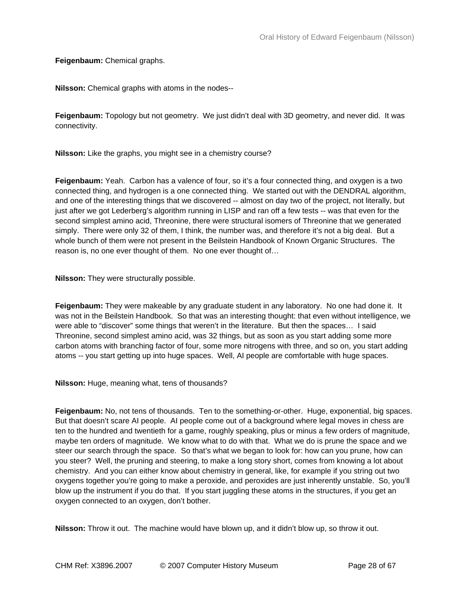**Feigenbaum:** Chemical graphs.

**Nilsson:** Chemical graphs with atoms in the nodes--

**Feigenbaum:** Topology but not geometry. We just didn't deal with 3D geometry, and never did. It was connectivity.

**Nilsson:** Like the graphs, you might see in a chemistry course?

**Feigenbaum:** Yeah. Carbon has a valence of four, so it's a four connected thing, and oxygen is a two connected thing, and hydrogen is a one connected thing. We started out with the DENDRAL algorithm, and one of the interesting things that we discovered -- almost on day two of the project, not literally, but just after we got Lederberg's algorithm running in LISP and ran off a few tests -- was that even for the second simplest amino acid, Threonine, there were structural isomers of Threonine that we generated simply. There were only 32 of them, I think, the number was, and therefore it's not a big deal. But a whole bunch of them were not present in the Beilstein Handbook of Known Organic Structures. The reason is, no one ever thought of them. No one ever thought of…

**Nilsson:** They were structurally possible.

**Feigenbaum:** They were makeable by any graduate student in any laboratory. No one had done it. It was not in the Beilstein Handbook. So that was an interesting thought: that even without intelligence, we were able to "discover" some things that weren't in the literature. But then the spaces… I said Threonine, second simplest amino acid, was 32 things, but as soon as you start adding some more carbon atoms with branching factor of four, some more nitrogens with three, and so on, you start adding atoms -- you start getting up into huge spaces. Well, AI people are comfortable with huge spaces.

**Nilsson:** Huge, meaning what, tens of thousands?

**Feigenbaum:** No, not tens of thousands. Ten to the something-or-other. Huge, exponential, big spaces. But that doesn't scare AI people. AI people come out of a background where legal moves in chess are ten to the hundred and twentieth for a game, roughly speaking, plus or minus a few orders of magnitude, maybe ten orders of magnitude. We know what to do with that. What we do is prune the space and we steer our search through the space. So that's what we began to look for: how can you prune, how can you steer? Well, the pruning and steering, to make a long story short, comes from knowing a lot about chemistry. And you can either know about chemistry in general, like, for example if you string out two oxygens together you're going to make a peroxide, and peroxides are just inherently unstable. So, you'll blow up the instrument if you do that. If you start juggling these atoms in the structures, if you get an oxygen connected to an oxygen, don't bother.

**Nilsson:** Throw it out. The machine would have blown up, and it didn't blow up, so throw it out.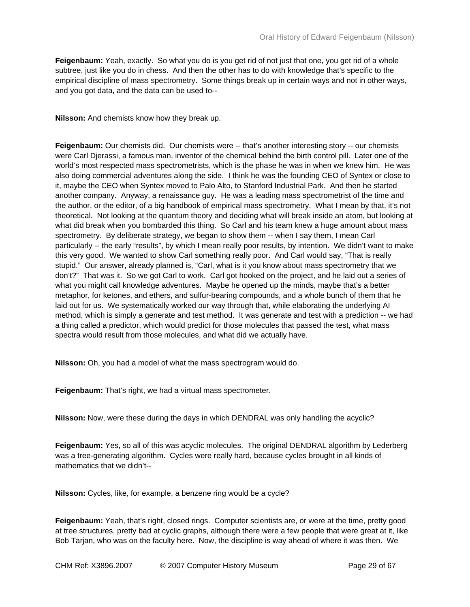**Feigenbaum:** Yeah, exactly. So what you do is you get rid of not just that one, you get rid of a whole subtree, just like you do in chess. And then the other has to do with knowledge that's specific to the empirical discipline of mass spectrometry. Some things break up in certain ways and not in other ways, and you got data, and the data can be used to--

**Nilsson:** And chemists know how they break up.

**Feigenbaum:** Our chemists did. Our chemists were -- that's another interesting story -- our chemists were Carl Djerassi, a famous man, inventor of the chemical behind the birth control pill. Later one of the world's most respected mass spectrometrists, which is the phase he was in when we knew him. He was also doing commercial adventures along the side. I think he was the founding CEO of Syntex or close to it, maybe the CEO when Syntex moved to Palo Alto, to Stanford Industrial Park. And then he started another company. Anyway, a renaissance guy. He was a leading mass spectrometrist of the time and the author, or the editor, of a big handbook of empirical mass spectrometry. What I mean by that, it's not theoretical. Not looking at the quantum theory and deciding what will break inside an atom, but looking at what did break when you bombarded this thing. So Carl and his team knew a huge amount about mass spectrometry. By deliberate strategy, we began to show them -- when I say them, I mean Carl particularly -- the early "results", by which I mean really poor results, by intention. We didn't want to make this very good. We wanted to show Carl something really poor. And Carl would say, "That is really stupid." Our answer, already planned is, "Carl, what is it you know about mass spectrometry that we don't?" That was it. So we got Carl to work. Carl got hooked on the project, and he laid out a series of what you might call knowledge adventures. Maybe he opened up the minds, maybe that's a better metaphor, for ketones, and ethers, and sulfur-bearing compounds, and a whole bunch of them that he laid out for us. We systematically worked our way through that, while elaborating the underlying AI method, which is simply a generate and test method. It was generate and test with a prediction -- we had a thing called a predictor, which would predict for those molecules that passed the test, what mass spectra would result from those molecules, and what did we actually have.

**Nilsson:** Oh, you had a model of what the mass spectrogram would do.

**Feigenbaum:** That's right, we had a virtual mass spectrometer.

**Nilsson:** Now, were these during the days in which DENDRAL was only handling the acyclic?

**Feigenbaum:** Yes, so all of this was acyclic molecules. The original DENDRAL algorithm by Lederberg was a tree-generating algorithm. Cycles were really hard, because cycles brought in all kinds of mathematics that we didn't--

**Nilsson:** Cycles, like, for example, a benzene ring would be a cycle?

**Feigenbaum:** Yeah, that's right, closed rings. Computer scientists are, or were at the time, pretty good at tree structures, pretty bad at cyclic graphs, although there were a few people that were great at it, like Bob Tarjan, who was on the faculty here. Now, the discipline is way ahead of where it was then. We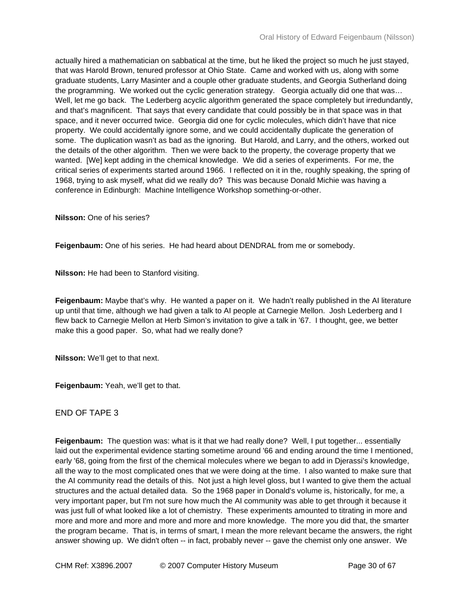actually hired a mathematician on sabbatical at the time, but he liked the project so much he just stayed, that was Harold Brown, tenured professor at Ohio State. Came and worked with us, along with some graduate students, Larry Masinter and a couple other graduate students, and Georgia Sutherland doing the programming. We worked out the cyclic generation strategy. Georgia actually did one that was… Well, let me go back. The Lederberg acyclic algorithm generated the space completely but irredundantly, and that's magnificent. That says that every candidate that could possibly be in that space was in that space, and it never occurred twice. Georgia did one for cyclic molecules, which didn't have that nice property. We could accidentally ignore some, and we could accidentally duplicate the generation of some. The duplication wasn't as bad as the ignoring. But Harold, and Larry, and the others, worked out the details of the other algorithm. Then we were back to the property, the coverage property that we wanted. [We] kept adding in the chemical knowledge. We did a series of experiments. For me, the critical series of experiments started around 1966. I reflected on it in the, roughly speaking, the spring of 1968, trying to ask myself, what did we really do? This was because Donald Michie was having a conference in Edinburgh: Machine Intelligence Workshop something-or-other.

**Nilsson:** One of his series?

**Feigenbaum:** One of his series. He had heard about DENDRAL from me or somebody.

**Nilsson:** He had been to Stanford visiting.

**Feigenbaum:** Maybe that's why. He wanted a paper on it. We hadn't really published in the AI literature up until that time, although we had given a talk to AI people at Carnegie Mellon. Josh Lederberg and I flew back to Carnegie Mellon at Herb Simon's invitation to give a talk in '67. I thought, gee, we better make this a good paper. So, what had we really done?

**Nilsson:** We'll get to that next.

**Feigenbaum:** Yeah, we'll get to that.

END OF TAPE 3

**Feigenbaum:** The question was: what is it that we had really done? Well, I put together... essentially laid out the experimental evidence starting sometime around '66 and ending around the time I mentioned, early '68, going from the first of the chemical molecules where we began to add in Djerassi's knowledge, all the way to the most complicated ones that we were doing at the time. I also wanted to make sure that the AI community read the details of this. Not just a high level gloss, but I wanted to give them the actual structures and the actual detailed data. So the 1968 paper in Donald's volume is, historically, for me, a very important paper, but I'm not sure how much the AI community was able to get through it because it was just full of what looked like a lot of chemistry. These experiments amounted to titrating in more and more and more and more and more and more and more knowledge. The more you did that, the smarter the program became. That is, in terms of smart, I mean the more relevant became the answers, the right answer showing up. We didn't often -- in fact, probably never -- gave the chemist only one answer. We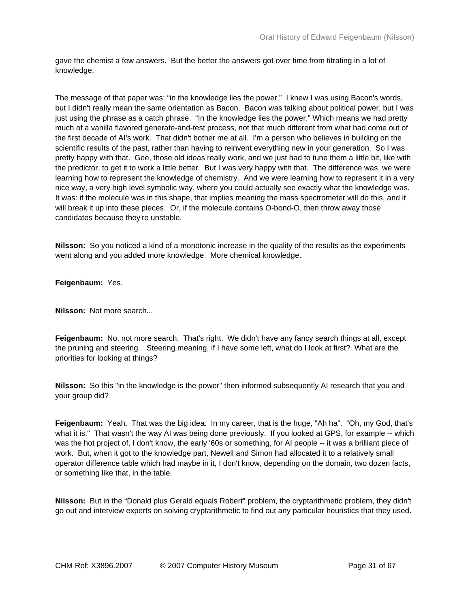gave the chemist a few answers. But the better the answers got over time from titrating in a lot of knowledge.

The message of that paper was: "in the knowledge lies the power." I knew I was using Bacon's words, but I didn't really mean the same orientation as Bacon. Bacon was talking about political power, but I was just using the phrase as a catch phrase. "In the knowledge lies the power." Which means we had pretty much of a vanilla flavored generate-and-test process, not that much different from what had come out of the first decade of AI's work. That didn't bother me at all. I'm a person who believes in building on the scientific results of the past, rather than having to reinvent everything new in your generation. So I was pretty happy with that. Gee, those old ideas really work, and we just had to tune them a little bit, like with the predictor, to get it to work a little better. But I was very happy with that. The difference was, we were learning how to represent the knowledge of chemistry. And we were learning how to represent it in a very nice way, a very high level symbolic way, where you could actually see exactly what the knowledge was. It was: if the molecule was in this shape, that implies meaning the mass spectrometer will do this, and it will break it up into these pieces. Or, if the molecule contains O-bond-O, then throw away those candidates because they're unstable.

**Nilsson:** So you noticed a kind of a monotonic increase in the quality of the results as the experiments went along and you added more knowledge. More chemical knowledge.

**Feigenbaum:** Yes.

**Nilsson:** Not more search...

**Feigenbaum:** No, not more search. That's right. We didn't have any fancy search things at all, except the pruning and steering. Steering meaning, if I have some left, what do I look at first? What are the priorities for looking at things?

**Nilsson:** So this "in the knowledge is the power" then informed subsequently AI research that you and your group did?

**Feigenbaum:** Yeah. That was the big idea. In my career, that is the huge, "Ah ha". "Oh, my God, that's what it is." That wasn't the way AI was being done previously. If you looked at GPS, for example -- which was the hot project of, I don't know, the early '60s or something, for AI people -- it was a brilliant piece of work. But, when it got to the knowledge part, Newell and Simon had allocated it to a relatively small operator difference table which had maybe in it, I don't know, depending on the domain, two dozen facts, or something like that, in the table.

**Nilsson:** But in the "Donald plus Gerald equals Robert" problem, the cryptarithmetic problem, they didn't go out and interview experts on solving cryptarithmetic to find out any particular heuristics that they used.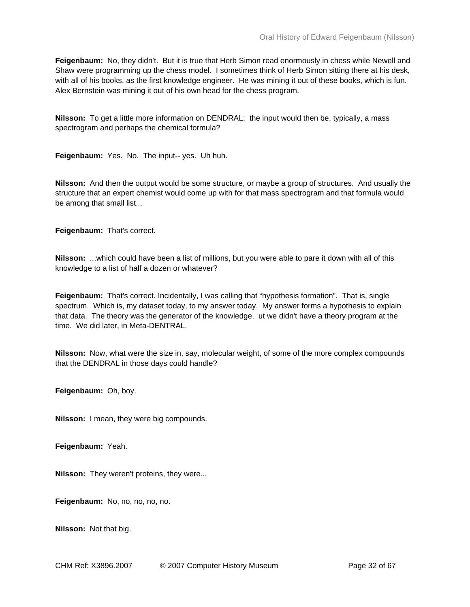**Feigenbaum:** No, they didn't. But it is true that Herb Simon read enormously in chess while Newell and Shaw were programming up the chess model. I sometimes think of Herb Simon sitting there at his desk, with all of his books, as the first knowledge engineer. He was mining it out of these books, which is fun. Alex Bernstein was mining it out of his own head for the chess program.

**Nilsson:** To get a little more information on DENDRAL: the input would then be, typically, a mass spectrogram and perhaps the chemical formula?

**Feigenbaum:** Yes. No. The input-- yes. Uh huh.

**Nilsson:** And then the output would be some structure, or maybe a group of structures. And usually the structure that an expert chemist would come up with for that mass spectrogram and that formula would be among that small list...

**Feigenbaum:** That's correct.

**Nilsson:** ...which could have been a list of millions, but you were able to pare it down with all of this knowledge to a list of half a dozen or whatever?

**Feigenbaum:** That's correct. Incidentally, I was calling that "hypothesis formation". That is, single spectrum. Which is, my dataset today, to my answer today. My answer forms a hypothesis to explain that data. The theory was the generator of the knowledge. ut we didn't have a theory program at the time. We did later, in Meta-DENTRAL.

**Nilsson:** Now, what were the size in, say, molecular weight, of some of the more complex compounds that the DENDRAL in those days could handle?

**Feigenbaum:** Oh, boy.

**Nilsson:** I mean, they were big compounds.

**Feigenbaum:** Yeah.

**Nilsson:** They weren't proteins, they were...

**Feigenbaum:** No, no, no, no, no.

**Nilsson:** Not that big.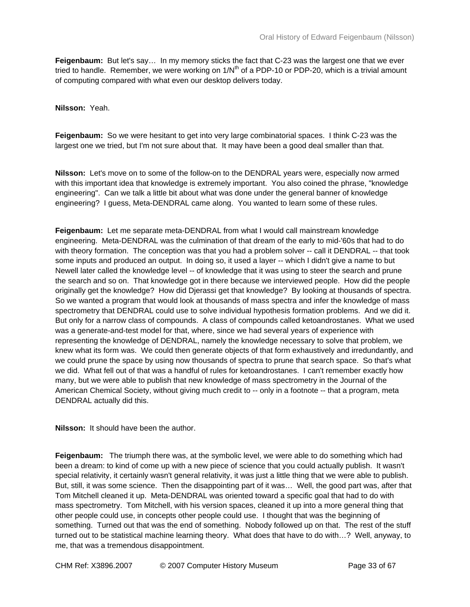**Feigenbaum:** But let's say… In my memory sticks the fact that C-23 was the largest one that we ever tried to handle. Remember, we were working on  $1/N<sup>th</sup>$  of a PDP-10 or PDP-20, which is a trivial amount of computing compared with what even our desktop delivers today.

**Nilsson:** Yeah.

**Feigenbaum:** So we were hesitant to get into very large combinatorial spaces. I think C-23 was the largest one we tried, but I'm not sure about that. It may have been a good deal smaller than that.

**Nilsson:** Let's move on to some of the follow-on to the DENDRAL years were, especially now armed with this important idea that knowledge is extremely important. You also coined the phrase, "knowledge engineering". Can we talk a little bit about what was done under the general banner of knowledge engineering? I guess, Meta-DENDRAL came along. You wanted to learn some of these rules.

**Feigenbaum:** Let me separate meta-DENDRAL from what I would call mainstream knowledge engineering. Meta-DENDRAL was the culmination of that dream of the early to mid-'60s that had to do with theory formation. The conception was that you had a problem solver -- call it DENDRAL -- that took some inputs and produced an output. In doing so, it used a layer -- which I didn't give a name to but Newell later called the knowledge level -- of knowledge that it was using to steer the search and prune the search and so on. That knowledge got in there because we interviewed people. How did the people originally get the knowledge? How did Djerassi get that knowledge? By looking at thousands of spectra. So we wanted a program that would look at thousands of mass spectra and infer the knowledge of mass spectrometry that DENDRAL could use to solve individual hypothesis formation problems. And we did it. But only for a narrow class of compounds. A class of compounds called ketoandrostanes. What we used was a generate-and-test model for that, where, since we had several years of experience with representing the knowledge of DENDRAL, namely the knowledge necessary to solve that problem, we knew what its form was. We could then generate objects of that form exhaustively and irredundantly, and we could prune the space by using now thousands of spectra to prune that search space. So that's what we did. What fell out of that was a handful of rules for ketoandrostanes. I can't remember exactly how many, but we were able to publish that new knowledge of mass spectrometry in the Journal of the American Chemical Society, without giving much credit to -- only in a footnote -- that a program, meta DENDRAL actually did this.

**Nilsson:** It should have been the author.

**Feigenbaum:** The triumph there was, at the symbolic level, we were able to do something which had been a dream: to kind of come up with a new piece of science that you could actually publish. It wasn't special relativity, it certainly wasn't general relativity, it was just a little thing that we were able to publish. But, still, it was some science. Then the disappointing part of it was… Well, the good part was, after that Tom Mitchell cleaned it up. Meta-DENDRAL was oriented toward a specific goal that had to do with mass spectrometry. Tom Mitchell, with his version spaces, cleaned it up into a more general thing that other people could use, in concepts other people could use. I thought that was the beginning of something. Turned out that was the end of something. Nobody followed up on that. The rest of the stuff turned out to be statistical machine learning theory. What does that have to do with…? Well, anyway, to me, that was a tremendous disappointment.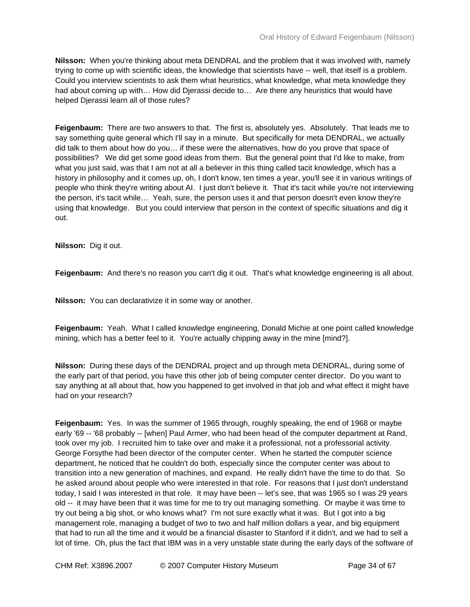**Nilsson:** When you're thinking about meta DENDRAL and the problem that it was involved with, namely trying to come up with scientific ideas, the knowledge that scientists have -- well, that itself is a problem. Could you interview scientists to ask them what heuristics, what knowledge, what meta knowledge they had about coming up with… How did Djerassi decide to… Are there any heuristics that would have helped Djerassi learn all of those rules?

**Feigenbaum:** There are two answers to that. The first is, absolutely yes. Absolutely. That leads me to say something quite general which I'll say in a minute. But specifically for meta DENDRAL, we actually did talk to them about how do you… if these were the alternatives, how do you prove that space of possibilities? We did get some good ideas from them. But the general point that I'd like to make, from what you just said, was that I am not at all a believer in this thing called tacit knowledge, which has a history in philosophy and it comes up, oh, I don't know, ten times a year, you'll see it in various writings of people who think they're writing about AI. I just don't believe it. That it's tacit while you're not interviewing the person, it's tacit while… Yeah, sure, the person uses it and that person doesn't even know they're using that knowledge. But you could interview that person in the context of specific situations and dig it out.

**Nilsson:** Dig it out.

**Feigenbaum:** And there's no reason you can't dig it out. That's what knowledge engineering is all about.

**Nilsson:** You can declarativize it in some way or another.

**Feigenbaum:** Yeah. What I called knowledge engineering, Donald Michie at one point called knowledge mining, which has a better feel to it. You're actually chipping away in the mine [mind?].

**Nilsson:** During these days of the DENDRAL project and up through meta DENDRAL, during some of the early part of that period, you have this other job of being computer center director. Do you want to say anything at all about that, how you happened to get involved in that job and what effect it might have had on your research?

**Feigenbaum:** Yes. In was the summer of 1965 through, roughly speaking, the end of 1968 or maybe early '69 -- '68 probably -- [when] Paul Armer, who had been head of the computer department at Rand, took over my job. I recruited him to take over and make it a professional, not a professorial activity. George Forsythe had been director of the computer center. When he started the computer science department, he noticed that he couldn't do both, especially since the computer center was about to transition into a new generation of machines, and expand. He really didn't have the time to do that. So he asked around about people who were interested in that role. For reasons that I just don't understand today, I said I was interested in that role. It may have been -- let's see, that was 1965 so I was 29 years old -- it may have been that it was time for me to try out managing something. Or maybe it was time to try out being a big shot, or who knows what? I'm not sure exactly what it was. But I got into a big management role, managing a budget of two to two and half million dollars a year, and big equipment that had to run all the time and it would be a financial disaster to Stanford if it didn't, and we had to sell a lot of time. Oh, plus the fact that IBM was in a very unstable state during the early days of the software of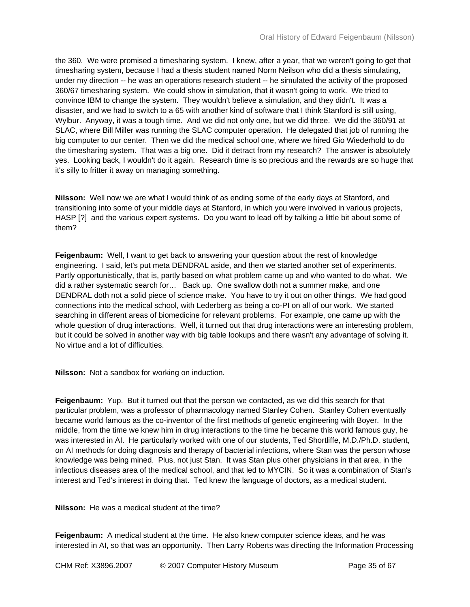the 360. We were promised a timesharing system. I knew, after a year, that we weren't going to get that timesharing system, because I had a thesis student named Norm Neilson who did a thesis simulating, under my direction -- he was an operations research student -- he simulated the activity of the proposed 360/67 timesharing system. We could show in simulation, that it wasn't going to work. We tried to convince IBM to change the system. They wouldn't believe a simulation, and they didn't. It was a disaster, and we had to switch to a 65 with another kind of software that I think Stanford is still using, Wylbur. Anyway, it was a tough time. And we did not only one, but we did three. We did the 360/91 at SLAC, where Bill Miller was running the SLAC computer operation. He delegated that job of running the big computer to our center. Then we did the medical school one, where we hired Gio Wiederhold to do the timesharing system. That was a big one. Did it detract from my research? The answer is absolutely yes. Looking back, I wouldn't do it again. Research time is so precious and the rewards are so huge that it's silly to fritter it away on managing something.

**Nilsson:** Well now we are what I would think of as ending some of the early days at Stanford, and transitioning into some of your middle days at Stanford, in which you were involved in various projects, HASP [?] and the various expert systems. Do you want to lead off by talking a little bit about some of them?

**Feigenbaum:** Well, I want to get back to answering your question about the rest of knowledge engineering. I said, let's put meta DENDRAL aside, and then we started another set of experiments. Partly opportunistically, that is, partly based on what problem came up and who wanted to do what. We did a rather systematic search for… Back up. One swallow doth not a summer make, and one DENDRAL doth not a solid piece of science make. You have to try it out on other things. We had good connections into the medical school, with Lederberg as being a co-PI on all of our work. We started searching in different areas of biomedicine for relevant problems. For example, one came up with the whole question of drug interactions. Well, it turned out that drug interactions were an interesting problem, but it could be solved in another way with big table lookups and there wasn't any advantage of solving it. No virtue and a lot of difficulties.

**Nilsson:** Not a sandbox for working on induction.

**Feigenbaum:** Yup. But it turned out that the person we contacted, as we did this search for that particular problem, was a professor of pharmacology named Stanley Cohen. Stanley Cohen eventually became world famous as the co-inventor of the first methods of genetic engineering with Boyer. In the middle, from the time we knew him in drug interactions to the time he became this world famous guy, he was interested in AI. He particularly worked with one of our students, Ted Shortliffe, M.D./Ph.D. student, on AI methods for doing diagnosis and therapy of bacterial infections, where Stan was the person whose knowledge was being mined. Plus, not just Stan. It was Stan plus other physicians in that area, in the infectious diseases area of the medical school, and that led to MYCIN. So it was a combination of Stan's interest and Ted's interest in doing that. Ted knew the language of doctors, as a medical student.

**Nilsson:** He was a medical student at the time?

**Feigenbaum:** A medical student at the time. He also knew computer science ideas, and he was interested in AI, so that was an opportunity. Then Larry Roberts was directing the Information Processing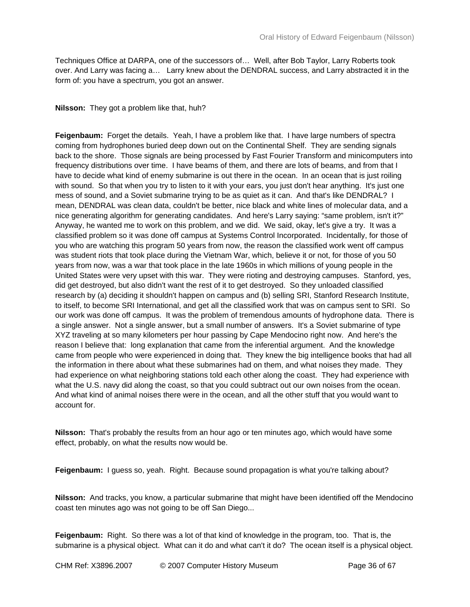Techniques Office at DARPA, one of the successors of… Well, after Bob Taylor, Larry Roberts took over. And Larry was facing a… Larry knew about the DENDRAL success, and Larry abstracted it in the form of: you have a spectrum, you got an answer.

## **Nilsson:** They got a problem like that, huh?

**Feigenbaum:** Forget the details. Yeah, I have a problem like that. I have large numbers of spectra coming from hydrophones buried deep down out on the Continental Shelf. They are sending signals back to the shore. Those signals are being processed by Fast Fourier Transform and minicomputers into frequency distributions over time. I have beams of them, and there are lots of beams, and from that I have to decide what kind of enemy submarine is out there in the ocean. In an ocean that is just roiling with sound. So that when you try to listen to it with your ears, you just don't hear anything. It's just one mess of sound, and a Soviet submarine trying to be as quiet as it can. And that's like DENDRAL? I mean, DENDRAL was clean data, couldn't be better, nice black and white lines of molecular data, and a nice generating algorithm for generating candidates. And here's Larry saying: "same problem, isn't it?" Anyway, he wanted me to work on this problem, and we did. We said, okay, let's give a try. It was a classified problem so it was done off campus at Systems Control Incorporated. Incidentally, for those of you who are watching this program 50 years from now, the reason the classified work went off campus was student riots that took place during the Vietnam War, which, believe it or not, for those of you 50 years from now, was a war that took place in the late 1960s in which millions of young people in the United States were very upset with this war. They were rioting and destroying campuses. Stanford, yes, did get destroyed, but also didn't want the rest of it to get destroyed. So they unloaded classified research by (a) deciding it shouldn't happen on campus and (b) selling SRI, Stanford Research Institute, to itself, to become SRI International, and get all the classified work that was on campus sent to SRI. So our work was done off campus. It was the problem of tremendous amounts of hydrophone data. There is a single answer. Not a single answer, but a small number of answers. It's a Soviet submarine of type XYZ traveling at so many kilometers per hour passing by Cape Mendocino right now. And here's the reason I believe that: long explanation that came from the inferential argument. And the knowledge came from people who were experienced in doing that. They knew the big intelligence books that had all the information in there about what these submarines had on them, and what noises they made. They had experience on what neighboring stations told each other along the coast. They had experience with what the U.S. navy did along the coast, so that you could subtract out our own noises from the ocean. And what kind of animal noises there were in the ocean, and all the other stuff that you would want to account for.

**Nilsson:** That's probably the results from an hour ago or ten minutes ago, which would have some effect, probably, on what the results now would be.

**Feigenbaum:** I guess so, yeah. Right. Because sound propagation is what you're talking about?

**Nilsson:** And tracks, you know, a particular submarine that might have been identified off the Mendocino coast ten minutes ago was not going to be off San Diego...

**Feigenbaum:** Right. So there was a lot of that kind of knowledge in the program, too. That is, the submarine is a physical object. What can it do and what can't it do? The ocean itself is a physical object.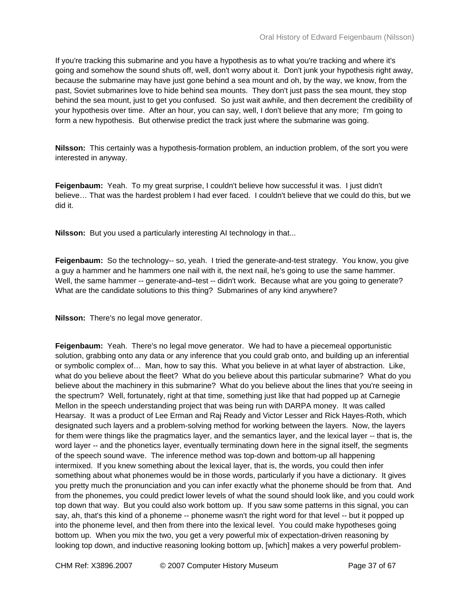If you're tracking this submarine and you have a hypothesis as to what you're tracking and where it's going and somehow the sound shuts off, well, don't worry about it. Don't junk your hypothesis right away, because the submarine may have just gone behind a sea mount and oh, by the way, we know, from the past, Soviet submarines love to hide behind sea mounts. They don't just pass the sea mount, they stop behind the sea mount, just to get you confused. So just wait awhile, and then decrement the credibility of your hypothesis over time. After an hour, you can say, well, I don't believe that any more; I'm going to form a new hypothesis. But otherwise predict the track just where the submarine was going.

**Nilsson:** This certainly was a hypothesis-formation problem, an induction problem, of the sort you were interested in anyway.

**Feigenbaum:** Yeah. To my great surprise, I couldn't believe how successful it was. I just didn't believe… That was the hardest problem I had ever faced. I couldn't believe that we could do this, but we did it.

**Nilsson:** But you used a particularly interesting AI technology in that...

**Feigenbaum:** So the technology-- so, yeah. I tried the generate-and-test strategy. You know, you give a guy a hammer and he hammers one nail with it, the next nail, he's going to use the same hammer. Well, the same hammer -- generate-and–test -- didn't work. Because what are you going to generate? What are the candidate solutions to this thing? Submarines of any kind anywhere?

**Nilsson:** There's no legal move generator.

**Feigenbaum:** Yeah. There's no legal move generator. We had to have a piecemeal opportunistic solution, grabbing onto any data or any inference that you could grab onto, and building up an inferential or symbolic complex of… Man, how to say this. What you believe in at what layer of abstraction. Like, what do you believe about the fleet? What do you believe about this particular submarine? What do you believe about the machinery in this submarine? What do you believe about the lines that you're seeing in the spectrum? Well, fortunately, right at that time, something just like that had popped up at Carnegie Mellon in the speech understanding project that was being run with DARPA money. It was called Hearsay. It was a product of Lee Erman and Raj Ready and Victor Lesser and Rick Hayes-Roth, which designated such layers and a problem-solving method for working between the layers. Now, the layers for them were things like the pragmatics layer, and the semantics layer, and the lexical layer -- that is, the word layer -- and the phonetics layer, eventually terminating down here in the signal itself, the segments of the speech sound wave. The inference method was top-down and bottom-up all happening intermixed. If you knew something about the lexical layer, that is, the words, you could then infer something about what phonemes would be in those words, particularly if you have a dictionary. It gives you pretty much the pronunciation and you can infer exactly what the phoneme should be from that. And from the phonemes, you could predict lower levels of what the sound should look like, and you could work top down that way. But you could also work bottom up. If you saw some patterns in this signal, you can say, ah, that's this kind of a phoneme -- phoneme wasn't the right word for that level -- but it popped up into the phoneme level, and then from there into the lexical level. You could make hypotheses going bottom up. When you mix the two, you get a very powerful mix of expectation-driven reasoning by looking top down, and inductive reasoning looking bottom up, [which] makes a very powerful problem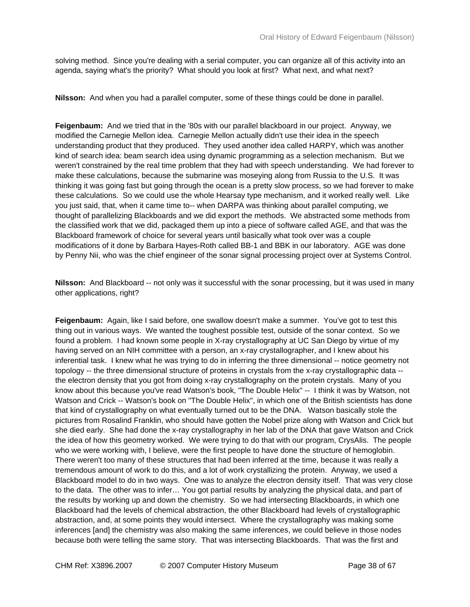solving method. Since you're dealing with a serial computer, you can organize all of this activity into an agenda, saying what's the priority? What should you look at first? What next, and what next?

**Nilsson:** And when you had a parallel computer, some of these things could be done in parallel.

**Feigenbaum:** And we tried that in the '80s with our parallel blackboard in our project. Anyway, we modified the Carnegie Mellon idea. Carnegie Mellon actually didn't use their idea in the speech understanding product that they produced. They used another idea called HARPY, which was another kind of search idea: beam search idea using dynamic programming as a selection mechanism. But we weren't constrained by the real time problem that they had with speech understanding. We had forever to make these calculations, because the submarine was moseying along from Russia to the U.S. It was thinking it was going fast but going through the ocean is a pretty slow process, so we had forever to make these calculations. So we could use the whole Hearsay type mechanism, and it worked really well. Like you just said, that, when it came time to-- when DARPA was thinking about parallel computing, we thought of parallelizing Blackboards and we did export the methods. We abstracted some methods from the classified work that we did, packaged them up into a piece of software called AGE, and that was the Blackboard framework of choice for several years until basically what took over was a couple modifications of it done by Barbara Hayes-Roth called BB-1 and BBK in our laboratory. AGE was done by Penny Nii, who was the chief engineer of the sonar signal processing project over at Systems Control.

**Nilsson:** And Blackboard -- not only was it successful with the sonar processing, but it was used in many other applications, right?

**Feigenbaum:** Again, like I said before, one swallow doesn't make a summer. You've got to test this thing out in various ways. We wanted the toughest possible test, outside of the sonar context. So we found a problem. I had known some people in X-ray crystallography at UC San Diego by virtue of my having served on an NIH committee with a person, an x-ray crystallographer, and I knew about his inferential task. I knew what he was trying to do in inferring the three dimensional -- notice geometry not topology -- the three dimensional structure of proteins in crystals from the x-ray crystallographic data - the electron density that you got from doing x-ray crystallography on the protein crystals. Many of you know about this because you've read Watson's book, "The Double Helix" -- I think it was by Watson, not Watson and Crick -- Watson's book on "The Double Helix", in which one of the British scientists has done that kind of crystallography on what eventually turned out to be the DNA. Watson basically stole the pictures from Rosalind Franklin, who should have gotten the Nobel prize along with Watson and Crick but she died early. She had done the x-ray crystallography in her lab of the DNA that gave Watson and Crick the idea of how this geometry worked. We were trying to do that with our program, CrysAlis. The people who we were working with, I believe, were the first people to have done the structure of hemoglobin. There weren't too many of these structures that had been inferred at the time, because it was really a tremendous amount of work to do this, and a lot of work crystallizing the protein. Anyway, we used a Blackboard model to do in two ways. One was to analyze the electron density itself. That was very close to the data. The other was to infer… You got partial results by analyzing the physical data, and part of the results by working up and down the chemistry. So we had intersecting Blackboards, in which one Blackboard had the levels of chemical abstraction, the other Blackboard had levels of crystallographic abstraction, and, at some points they would intersect. Where the crystallography was making some inferences [and] the chemistry was also making the same inferences, we could believe in those nodes because both were telling the same story. That was intersecting Blackboards. That was the first and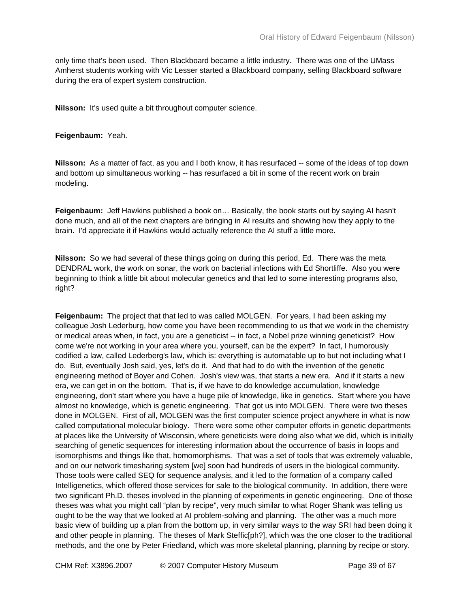only time that's been used. Then Blackboard became a little industry. There was one of the UMass Amherst students working with Vic Lesser started a Blackboard company, selling Blackboard software during the era of expert system construction.

**Nilsson:** It's used quite a bit throughout computer science.

## **Feigenbaum:** Yeah.

**Nilsson:** As a matter of fact, as you and I both know, it has resurfaced -- some of the ideas of top down and bottom up simultaneous working -- has resurfaced a bit in some of the recent work on brain modeling.

**Feigenbaum:** Jeff Hawkins published a book on… Basically, the book starts out by saying AI hasn't done much, and all of the next chapters are bringing in AI results and showing how they apply to the brain. I'd appreciate it if Hawkins would actually reference the AI stuff a little more.

**Nilsson:** So we had several of these things going on during this period, Ed. There was the meta DENDRAL work, the work on sonar, the work on bacterial infections with Ed Shortliffe. Also you were beginning to think a little bit about molecular genetics and that led to some interesting programs also, right?

Feigenbaum: The project that that led to was called MOLGEN. For years, I had been asking my colleague Josh Lederburg, how come you have been recommending to us that we work in the chemistry or medical areas when, in fact, you are a geneticist -- in fact, a Nobel prize winning geneticist? How come we're not working in your area where you, yourself, can be the expert? In fact, I humorously codified a law, called Lederberg's law, which is: everything is automatable up to but not including what I do. But, eventually Josh said, yes, let's do it. And that had to do with the invention of the genetic engineering method of Boyer and Cohen. Josh's view was, that starts a new era. And if it starts a new era, we can get in on the bottom. That is, if we have to do knowledge accumulation, knowledge engineering, don't start where you have a huge pile of knowledge, like in genetics. Start where you have almost no knowledge, which is genetic engineering. That got us into MOLGEN. There were two theses done in MOLGEN. First of all, MOLGEN was the first computer science project anywhere in what is now called computational molecular biology. There were some other computer efforts in genetic departments at places like the University of Wisconsin, where geneticists were doing also what we did, which is initially searching of genetic sequences for interesting information about the occurrence of basis in loops and isomorphisms and things like that, homomorphisms. That was a set of tools that was extremely valuable, and on our network timesharing system [we] soon had hundreds of users in the biological community. Those tools were called SEQ for sequence analysis, and it led to the formation of a company called Intelligenetics, which offered those services for sale to the biological community. In addition, there were two significant Ph.D. theses involved in the planning of experiments in genetic engineering. One of those theses was what you might call "plan by recipe", very much similar to what Roger Shank was telling us ought to be the way that we looked at AI problem-solving and planning. The other was a much more basic view of building up a plan from the bottom up, in very similar ways to the way SRI had been doing it and other people in planning. The theses of Mark Steffic[ph?], which was the one closer to the traditional methods, and the one by Peter Friedland, which was more skeletal planning, planning by recipe or story.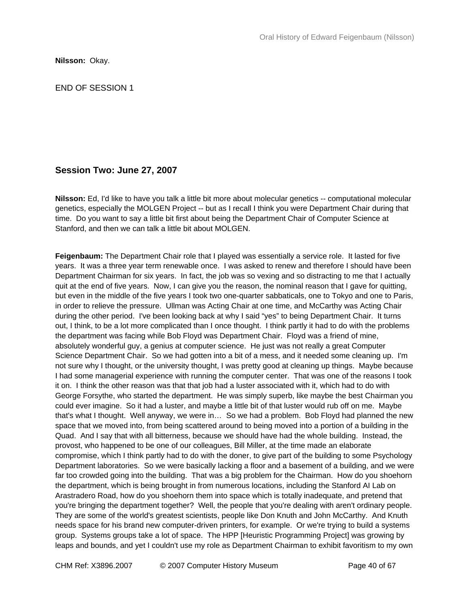**Nilsson:** Okay.

END OF SESSION 1

# **Session Two: June 27, 2007**

**Nilsson:** Ed, I'd like to have you talk a little bit more about molecular genetics -- computational molecular genetics, especially the MOLGEN Project -- but as I recall I think you were Department Chair during that time. Do you want to say a little bit first about being the Department Chair of Computer Science at Stanford, and then we can talk a little bit about MOLGEN.

**Feigenbaum:** The Department Chair role that I played was essentially a service role. It lasted for five years. It was a three year term renewable once. I was asked to renew and therefore I should have been Department Chairman for six years. In fact, the job was so vexing and so distracting to me that I actually quit at the end of five years. Now, I can give you the reason, the nominal reason that I gave for quitting, but even in the middle of the five years I took two one-quarter sabbaticals, one to Tokyo and one to Paris, in order to relieve the pressure. Ullman was Acting Chair at one time, and McCarthy was Acting Chair during the other period. I've been looking back at why I said "yes" to being Department Chair. It turns out, I think, to be a lot more complicated than I once thought. I think partly it had to do with the problems the department was facing while Bob Floyd was Department Chair. Floyd was a friend of mine, absolutely wonderful guy, a genius at computer science. He just was not really a great Computer Science Department Chair. So we had gotten into a bit of a mess, and it needed some cleaning up. I'm not sure why I thought, or the university thought, I was pretty good at cleaning up things. Maybe because I had some managerial experience with running the computer center. That was one of the reasons I took it on. I think the other reason was that that job had a luster associated with it, which had to do with George Forsythe, who started the department. He was simply superb, like maybe the best Chairman you could ever imagine. So it had a luster, and maybe a little bit of that luster would rub off on me. Maybe that's what I thought. Well anyway, we were in… So we had a problem. Bob Floyd had planned the new space that we moved into, from being scattered around to being moved into a portion of a building in the Quad. And I say that with all bitterness, because we should have had the whole building. Instead, the provost, who happened to be one of our colleagues, Bill Miller, at the time made an elaborate compromise, which I think partly had to do with the doner, to give part of the building to some Psychology Department laboratories. So we were basically lacking a floor and a basement of a building, and we were far too crowded going into the building. That was a big problem for the Chairman. How do you shoehorn the department, which is being brought in from numerous locations, including the Stanford AI Lab on Arastradero Road, how do you shoehorn them into space which is totally inadequate, and pretend that you're bringing the department together? Well, the people that you're dealing with aren't ordinary people. They are some of the world's greatest scientists, people like Don Knuth and John McCarthy. And Knuth needs space for his brand new computer-driven printers, for example. Or we're trying to build a systems group. Systems groups take a lot of space. The HPP [Heuristic Programming Project] was growing by leaps and bounds, and yet I couldn't use my role as Department Chairman to exhibit favoritism to my own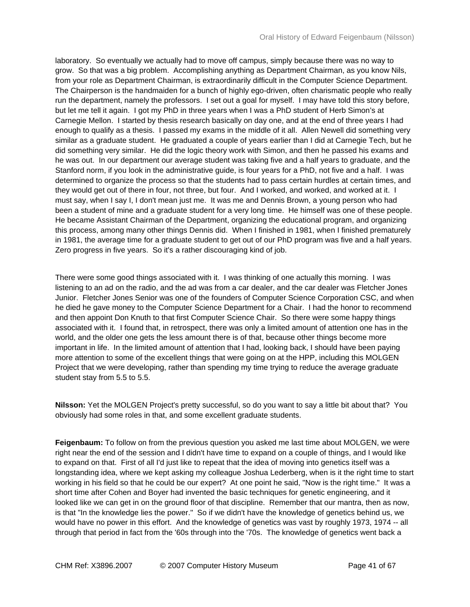laboratory. So eventually we actually had to move off campus, simply because there was no way to grow. So that was a big problem. Accomplishing anything as Department Chairman, as you know Nils, from your role as Department Chairman, is extraordinarily difficult in the Computer Science Department. The Chairperson is the handmaiden for a bunch of highly ego-driven, often charismatic people who really run the department, namely the professors. I set out a goal for myself. I may have told this story before, but let me tell it again. I got my PhD in three years when I was a PhD student of Herb Simon's at Carnegie Mellon. I started by thesis research basically on day one, and at the end of three years I had enough to qualify as a thesis. I passed my exams in the middle of it all. Allen Newell did something very similar as a graduate student. He graduated a couple of years earlier than I did at Carnegie Tech, but he did something very similar. He did the logic theory work with Simon, and then he passed his exams and he was out. In our department our average student was taking five and a half years to graduate, and the Stanford norm, if you look in the administrative guide, is four years for a PhD, not five and a half. I was determined to organize the process so that the students had to pass certain hurdles at certain times, and they would get out of there in four, not three, but four. And I worked, and worked, and worked at it. I must say, when I say I, I don't mean just me. It was me and Dennis Brown, a young person who had been a student of mine and a graduate student for a very long time. He himself was one of these people. He became Assistant Chairman of the Department, organizing the educational program, and organizing this process, among many other things Dennis did. When I finished in 1981, when I finished prematurely in 1981, the average time for a graduate student to get out of our PhD program was five and a half years. Zero progress in five years. So it's a rather discouraging kind of job.

There were some good things associated with it. I was thinking of one actually this morning. I was listening to an ad on the radio, and the ad was from a car dealer, and the car dealer was Fletcher Jones Junior. Fletcher Jones Senior was one of the founders of Computer Science Corporation CSC, and when he died he gave money to the Computer Science Department for a Chair. I had the honor to recommend and then appoint Don Knuth to that first Computer Science Chair. So there were some happy things associated with it. I found that, in retrospect, there was only a limited amount of attention one has in the world, and the older one gets the less amount there is of that, because other things become more important in life. In the limited amount of attention that I had, looking back, I should have been paying more attention to some of the excellent things that were going on at the HPP, including this MOLGEN Project that we were developing, rather than spending my time trying to reduce the average graduate student stay from 5.5 to 5.5.

**Nilsson:** Yet the MOLGEN Project's pretty successful, so do you want to say a little bit about that? You obviously had some roles in that, and some excellent graduate students.

**Feigenbaum:** To follow on from the previous question you asked me last time about MOLGEN, we were right near the end of the session and I didn't have time to expand on a couple of things, and I would like to expand on that. First of all I'd just like to repeat that the idea of moving into genetics itself was a longstanding idea, where we kept asking my colleague Joshua Lederberg, when is it the right time to start working in his field so that he could be our expert? At one point he said, "Now is the right time." It was a short time after Cohen and Boyer had invented the basic techniques for genetic engineering, and it looked like we can get in on the ground floor of that discipline. Remember that our mantra, then as now, is that "In the knowledge lies the power." So if we didn't have the knowledge of genetics behind us, we would have no power in this effort. And the knowledge of genetics was vast by roughly 1973, 1974 -- all through that period in fact from the '60s through into the '70s. The knowledge of genetics went back a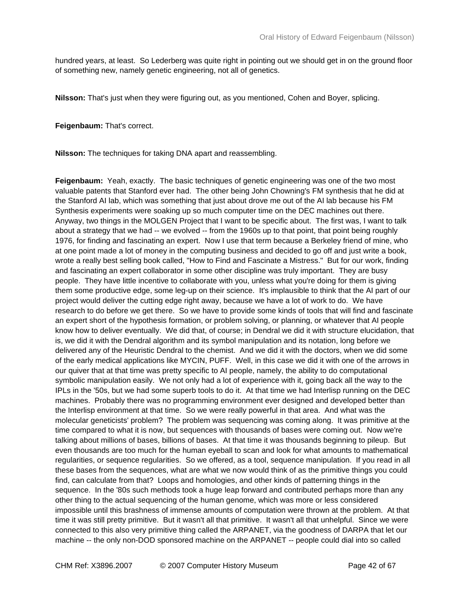hundred years, at least. So Lederberg was quite right in pointing out we should get in on the ground floor of something new, namely genetic engineering, not all of genetics.

**Nilsson:** That's just when they were figuring out, as you mentioned, Cohen and Boyer, splicing.

**Feigenbaum:** That's correct.

**Nilsson:** The techniques for taking DNA apart and reassembling.

**Feigenbaum:** Yeah, exactly. The basic techniques of genetic engineering was one of the two most valuable patents that Stanford ever had. The other being John Chowning's FM synthesis that he did at the Stanford AI lab, which was something that just about drove me out of the AI lab because his FM Synthesis experiments were soaking up so much computer time on the DEC machines out there. Anyway, two things in the MOLGEN Project that I want to be specific about. The first was, I want to talk about a strategy that we had -- we evolved -- from the 1960s up to that point, that point being roughly 1976, for finding and fascinating an expert. Now I use that term because a Berkeley friend of mine, who at one point made a lot of money in the computing business and decided to go off and just write a book, wrote a really best selling book called, "How to Find and Fascinate a Mistress." But for our work, finding and fascinating an expert collaborator in some other discipline was truly important. They are busy people. They have little incentive to collaborate with you, unless what you're doing for them is giving them some productive edge, some leg-up on their science. It's implausible to think that the AI part of our project would deliver the cutting edge right away, because we have a lot of work to do. We have research to do before we get there. So we have to provide some kinds of tools that will find and fascinate an expert short of the hypothesis formation, or problem solving, or planning, or whatever that AI people know how to deliver eventually. We did that, of course; in Dendral we did it with structure elucidation, that is, we did it with the Dendral algorithm and its symbol manipulation and its notation, long before we delivered any of the Heuristic Dendral to the chemist. And we did it with the doctors, when we did some of the early medical applications like MYCIN, PUFF. Well, in this case we did it with one of the arrows in our quiver that at that time was pretty specific to AI people, namely, the ability to do computational symbolic manipulation easily. We not only had a lot of experience with it, going back all the way to the IPLs in the '50s, but we had some superb tools to do it. At that time we had Interlisp running on the DEC machines. Probably there was no programming environment ever designed and developed better than the Interlisp environment at that time. So we were really powerful in that area. And what was the molecular geneticists' problem? The problem was sequencing was coming along. It was primitive at the time compared to what it is now, but sequences with thousands of bases were coming out. Now we're talking about millions of bases, billions of bases. At that time it was thousands beginning to pileup. But even thousands are too much for the human eyeball to scan and look for what amounts to mathematical regularities, or sequence regularities. So we offered, as a tool, sequence manipulation. If you read in all these bases from the sequences, what are what we now would think of as the primitive things you could find, can calculate from that? Loops and homologies, and other kinds of patterning things in the sequence. In the '80s such methods took a huge leap forward and contributed perhaps more than any other thing to the actual sequencing of the human genome, which was more or less considered impossible until this brashness of immense amounts of computation were thrown at the problem. At that time it was still pretty primitive. But it wasn't all that primitive. It wasn't all that unhelpful. Since we were connected to this also very primitive thing called the ARPANET, via the goodness of DARPA that let our machine -- the only non-DOD sponsored machine on the ARPANET -- people could dial into so called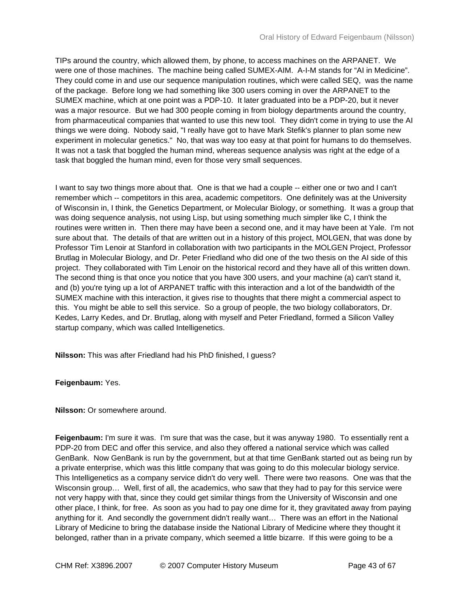TIPs around the country, which allowed them, by phone, to access machines on the ARPANET. We were one of those machines. The machine being called SUMEX-AIM. A-I-M stands for "AI in Medicine". They could come in and use our sequence manipulation routines, which were called SEQ, was the name of the package. Before long we had something like 300 users coming in over the ARPANET to the SUMEX machine, which at one point was a PDP-10. It later graduated into be a PDP-20, but it never was a major resource. But we had 300 people coming in from biology departments around the country, from pharmaceutical companies that wanted to use this new tool. They didn't come in trying to use the AI things we were doing. Nobody said, "I really have got to have Mark Stefik's planner to plan some new experiment in molecular genetics." No, that was way too easy at that point for humans to do themselves. It was not a task that boggled the human mind, whereas sequence analysis was right at the edge of a task that boggled the human mind, even for those very small sequences.

I want to say two things more about that. One is that we had a couple -- either one or two and I can't remember which -- competitors in this area, academic competitors. One definitely was at the University of Wisconsin in, I think, the Genetics Department, or Molecular Biology, or something. It was a group that was doing sequence analysis, not using Lisp, but using something much simpler like C, I think the routines were written in. Then there may have been a second one, and it may have been at Yale. I'm not sure about that. The details of that are written out in a history of this project, MOLGEN, that was done by Professor Tim Lenoir at Stanford in collaboration with two participants in the MOLGEN Project, Professor Brutlag in Molecular Biology, and Dr. Peter Friedland who did one of the two thesis on the AI side of this project. They collaborated with Tim Lenoir on the historical record and they have all of this written down. The second thing is that once you notice that you have 300 users, and your machine (a) can't stand it, and (b) you're tying up a lot of ARPANET traffic with this interaction and a lot of the bandwidth of the SUMEX machine with this interaction, it gives rise to thoughts that there might a commercial aspect to this. You might be able to sell this service. So a group of people, the two biology collaborators, Dr. Kedes, Larry Kedes, and Dr. Brutlag, along with myself and Peter Friedland, formed a Silicon Valley startup company, which was called Intelligenetics.

**Nilsson:** This was after Friedland had his PhD finished, I guess?

**Feigenbaum:** Yes.

## **Nilsson:** Or somewhere around.

**Feigenbaum:** I'm sure it was. I'm sure that was the case, but it was anyway 1980. To essentially rent a PDP-20 from DEC and offer this service, and also they offered a national service which was called GenBank. Now GenBank is run by the government, but at that time GenBank started out as being run by a private enterprise, which was this little company that was going to do this molecular biology service. This Intelligenetics as a company service didn't do very well. There were two reasons. One was that the Wisconsin group… Well, first of all, the academics, who saw that they had to pay for this service were not very happy with that, since they could get similar things from the University of Wisconsin and one other place, I think, for free. As soon as you had to pay one dime for it, they gravitated away from paying anything for it. And secondly the government didn't really want… There was an effort in the National Library of Medicine to bring the database inside the National Library of Medicine where they thought it belonged, rather than in a private company, which seemed a little bizarre. If this were going to be a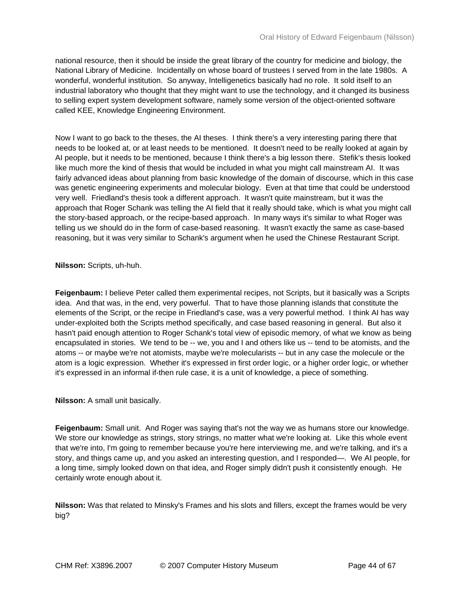national resource, then it should be inside the great library of the country for medicine and biology, the National Library of Medicine. Incidentally on whose board of trustees I served from in the late 1980s. A wonderful, wonderful institution. So anyway, Intelligenetics basically had no role. It sold itself to an industrial laboratory who thought that they might want to use the technology, and it changed its business to selling expert system development software, namely some version of the object-oriented software called KEE, Knowledge Engineering Environment.

Now I want to go back to the theses, the AI theses. I think there's a very interesting paring there that needs to be looked at, or at least needs to be mentioned. It doesn't need to be really looked at again by AI people, but it needs to be mentioned, because I think there's a big lesson there. Stefik's thesis looked like much more the kind of thesis that would be included in what you might call mainstream AI. It was fairly advanced ideas about planning from basic knowledge of the domain of discourse, which in this case was genetic engineering experiments and molecular biology. Even at that time that could be understood very well. Friedland's thesis took a different approach. It wasn't quite mainstream, but it was the approach that Roger Schank was telling the AI field that it really should take, which is what you might call the story-based approach, or the recipe-based approach. In many ways it's similar to what Roger was telling us we should do in the form of case-based reasoning. It wasn't exactly the same as case-based reasoning, but it was very similar to Schank's argument when he used the Chinese Restaurant Script.

**Nilsson:** Scripts, uh-huh.

**Feigenbaum:** I believe Peter called them experimental recipes, not Scripts, but it basically was a Scripts idea. And that was, in the end, very powerful. That to have those planning islands that constitute the elements of the Script, or the recipe in Friedland's case, was a very powerful method. I think AI has way under-exploited both the Scripts method specifically, and case based reasoning in general. But also it hasn't paid enough attention to Roger Schank's total view of episodic memory, of what we know as being encapsulated in stories. We tend to be -- we, you and I and others like us -- tend to be atomists, and the atoms -- or maybe we're not atomists, maybe we're molecularists -- but in any case the molecule or the atom is a logic expression. Whether it's expressed in first order logic, or a higher order logic, or whether it's expressed in an informal if-then rule case, it is a unit of knowledge, a piece of something.

**Nilsson:** A small unit basically.

**Feigenbaum:** Small unit. And Roger was saying that's not the way we as humans store our knowledge. We store our knowledge as strings, story strings, no matter what we're looking at. Like this whole event that we're into, I'm going to remember because you're here interviewing me, and we're talking, and it's a story, and things came up, and you asked an interesting question, and I responded—. We AI people, for a long time, simply looked down on that idea, and Roger simply didn't push it consistently enough. He certainly wrote enough about it.

**Nilsson:** Was that related to Minsky's Frames and his slots and fillers, except the frames would be very big?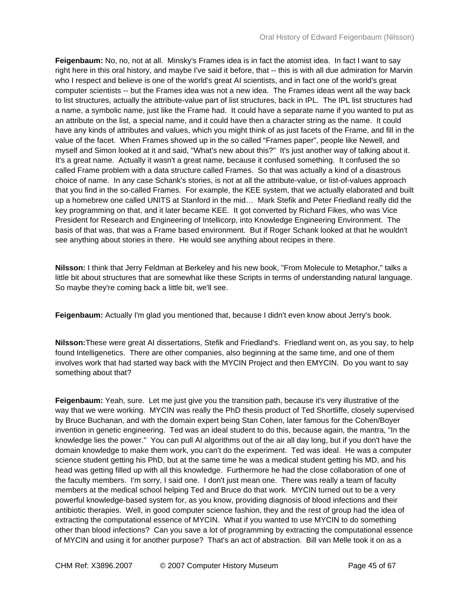**Feigenbaum:** No, no, not at all. Minsky's Frames idea is in fact the atomist idea. In fact I want to say right here in this oral history, and maybe I've said it before, that -- this is with all due admiration for Marvin who I respect and believe is one of the world's great AI scientists, and in fact one of the world's great computer scientists -- but the Frames idea was not a new idea. The Frames ideas went all the way back to list structures, actually the attribute-value part of list structures, back in IPL. The IPL list structures had a name, a symbolic name, just like the Frame had. It could have a separate name if you wanted to put as an attribute on the list, a special name, and it could have then a character string as the name. It could have any kinds of attributes and values, which you might think of as just facets of the Frame, and fill in the value of the facet. When Frames showed up in the so called "Frames paper", people like Newell, and myself and Simon looked at it and said, "What's new about this?" It's just another way of talking about it. It's a great name. Actually it wasn't a great name, because it confused something. It confused the so called Frame problem with a data structure called Frames. So that was actually a kind of a disastrous choice of name. In any case Schank's stories, is not at all the attribute-value, or list-of-values approach that you find in the so-called Frames. For example, the KEE system, that we actually elaborated and built up a homebrew one called UNITS at Stanford in the mid… Mark Stefik and Peter Friedland really did the key programming on that, and it later became KEE. It got converted by Richard Fikes, who was Vice President for Research and Engineering of Intellicorp, into Knowledge Engineering Environment. The basis of that was, that was a Frame based environment. But if Roger Schank looked at that he wouldn't see anything about stories in there. He would see anything about recipes in there.

**Nilsson:** I think that Jerry Feldman at Berkeley and his new book, "From Molecule to Metaphor," talks a little bit about structures that are somewhat like these Scripts in terms of understanding natural language. So maybe they're coming back a little bit, we'll see.

**Feigenbaum:** Actually I'm glad you mentioned that, because I didn't even know about Jerry's book.

**Nilsson:**These were great AI dissertations, Stefik and Friedland's. Friedland went on, as you say, to help found Intelligenetics. There are other companies, also beginning at the same time, and one of them involves work that had started way back with the MYCIN Project and then EMYCIN. Do you want to say something about that?

**Feigenbaum:** Yeah, sure. Let me just give you the transition path, because it's very illustrative of the way that we were working. MYCIN was really the PhD thesis product of Ted Shortliffe, closely supervised by Bruce Buchanan, and with the domain expert being Stan Cohen, later famous for the Cohen/Boyer invention in genetic engineering. Ted was an ideal student to do this, because again, the mantra, "In the knowledge lies the power." You can pull AI algorithms out of the air all day long, but if you don't have the domain knowledge to make them work, you can't do the experiment. Ted was ideal. He was a computer science student getting his PhD, but at the same time he was a medical student getting his MD, and his head was getting filled up with all this knowledge. Furthermore he had the close collaboration of one of the faculty members. I'm sorry, I said one. I don't just mean one. There was really a team of faculty members at the medical school helping Ted and Bruce do that work. MYCIN turned out to be a very powerful knowledge-based system for, as you know, providing diagnosis of blood infections and their antibiotic therapies. Well, in good computer science fashion, they and the rest of group had the idea of extracting the computational essence of MYCIN. What if you wanted to use MYCIN to do something other than blood infections? Can you save a lot of programming by extracting the computational essence of MYCIN and using it for another purpose? That's an act of abstraction. Bill van Melle took it on as a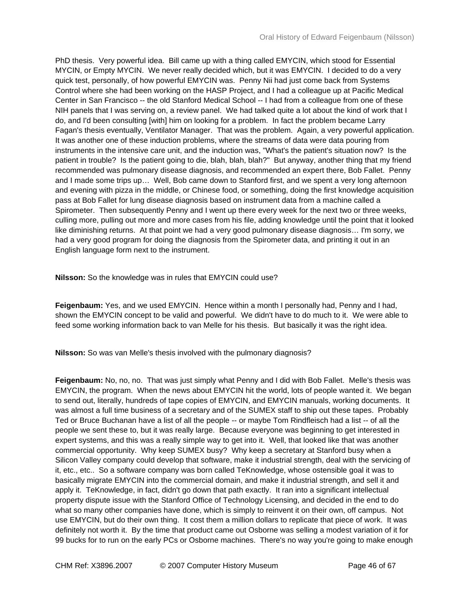PhD thesis. Very powerful idea. Bill came up with a thing called EMYCIN, which stood for Essential MYCIN, or Empty MYCIN. We never really decided which, but it was EMYCIN. I decided to do a very quick test, personally, of how powerful EMYCIN was. Penny Nii had just come back from Systems Control where she had been working on the HASP Project, and I had a colleague up at Pacific Medical Center in San Francisco -- the old Stanford Medical School -- I had from a colleague from one of these NIH panels that I was serving on, a review panel. We had talked quite a lot about the kind of work that I do, and I'd been consulting [with] him on looking for a problem. In fact the problem became Larry Fagan's thesis eventually, Ventilator Manager. That was the problem. Again, a very powerful application. It was another one of these induction problems, where the streams of data were data pouring from instruments in the intensive care unit, and the induction was, "What's the patient's situation now? Is the patient in trouble? Is the patient going to die, blah, blah, blah?" But anyway, another thing that my friend recommended was pulmonary disease diagnosis, and recommended an expert there, Bob Fallet. Penny and I made some trips up… Well, Bob came down to Stanford first, and we spent a very long afternoon and evening with pizza in the middle, or Chinese food, or something, doing the first knowledge acquisition pass at Bob Fallet for lung disease diagnosis based on instrument data from a machine called a Spirometer. Then subsequently Penny and I went up there every week for the next two or three weeks, culling more, pulling out more and more cases from his file, adding knowledge until the point that it looked like diminishing returns. At that point we had a very good pulmonary disease diagnosis… I'm sorry, we had a very good program for doing the diagnosis from the Spirometer data, and printing it out in an English language form next to the instrument.

**Nilsson:** So the knowledge was in rules that EMYCIN could use?

**Feigenbaum:** Yes, and we used EMYCIN. Hence within a month I personally had, Penny and I had, shown the EMYCIN concept to be valid and powerful. We didn't have to do much to it. We were able to feed some working information back to van Melle for his thesis. But basically it was the right idea.

**Nilsson:** So was van Melle's thesis involved with the pulmonary diagnosis?

**Feigenbaum:** No, no, no. That was just simply what Penny and I did with Bob Fallet. Melle's thesis was EMYCIN, the program. When the news about EMYCIN hit the world, lots of people wanted it. We began to send out, literally, hundreds of tape copies of EMYCIN, and EMYCIN manuals, working documents. It was almost a full time business of a secretary and of the SUMEX staff to ship out these tapes. Probably Ted or Bruce Buchanan have a list of all the people -- or maybe Tom Rindfleisch had a list -- of all the people we sent these to, but it was really large. Because everyone was beginning to get interested in expert systems, and this was a really simple way to get into it. Well, that looked like that was another commercial opportunity. Why keep SUMEX busy? Why keep a secretary at Stanford busy when a Silicon Valley company could develop that software, make it industrial strength, deal with the servicing of it, etc., etc.. So a software company was born called TeKnowledge, whose ostensible goal it was to basically migrate EMYCIN into the commercial domain, and make it industrial strength, and sell it and apply it. TeKnowledge, in fact, didn't go down that path exactly. It ran into a significant intellectual property dispute issue with the Stanford Office of Technology Licensing, and decided in the end to do what so many other companies have done, which is simply to reinvent it on their own, off campus. Not use EMYCIN, but do their own thing. It cost them a million dollars to replicate that piece of work. It was definitely not worth it. By the time that product came out Osborne was selling a modest variation of it for 99 bucks for to run on the early PCs or Osborne machines. There's no way you're going to make enough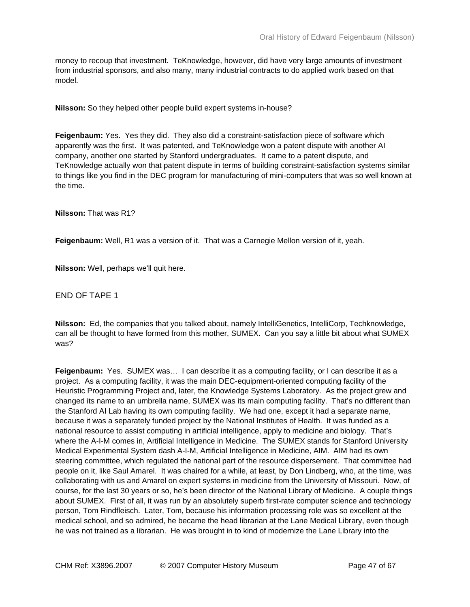money to recoup that investment. TeKnowledge, however, did have very large amounts of investment from industrial sponsors, and also many, many industrial contracts to do applied work based on that model.

**Nilsson:** So they helped other people build expert systems in-house?

**Feigenbaum:** Yes. Yes they did. They also did a constraint-satisfaction piece of software which apparently was the first. It was patented, and TeKnowledge won a patent dispute with another AI company, another one started by Stanford undergraduates. It came to a patent dispute, and TeKnowledge actually won that patent dispute in terms of building constraint-satisfaction systems similar to things like you find in the DEC program for manufacturing of mini-computers that was so well known at the time.

**Nilsson:** That was R1?

**Feigenbaum:** Well, R1 was a version of it. That was a Carnegie Mellon version of it, yeah.

**Nilsson:** Well, perhaps we'll quit here.

END OF TAPE 1

**Nilsson:** Ed, the companies that you talked about, namely IntelliGenetics, IntelliCorp, Techknowledge, can all be thought to have formed from this mother, SUMEX. Can you say a little bit about what SUMEX was?

**Feigenbaum:** Yes. SUMEX was… I can describe it as a computing facility, or I can describe it as a project. As a computing facility, it was the main DEC-equipment-oriented computing facility of the Heuristic Programming Project and, later, the Knowledge Systems Laboratory. As the project grew and changed its name to an umbrella name, SUMEX was its main computing facility. That's no different than the Stanford AI Lab having its own computing facility. We had one, except it had a separate name, because it was a separately funded project by the National Institutes of Health. It was funded as a national resource to assist computing in artificial intelligence, apply to medicine and biology. That's where the A-I-M comes in, Artificial Intelligence in Medicine. The SUMEX stands for Stanford University Medical Experimental System dash A-I-M, Artificial Intelligence in Medicine, AIM. AIM had its own steering committee, which regulated the national part of the resource dispersement. That committee had people on it, like Saul Amarel. It was chaired for a while, at least, by Don Lindberg, who, at the time, was collaborating with us and Amarel on expert systems in medicine from the University of Missouri. Now, of course, for the last 30 years or so, he's been director of the National Library of Medicine. A couple things about SUMEX. First of all, it was run by an absolutely superb first-rate computer science and technology person, Tom Rindfleisch. Later, Tom, because his information processing role was so excellent at the medical school, and so admired, he became the head librarian at the Lane Medical Library, even though he was not trained as a librarian. He was brought in to kind of modernize the Lane Library into the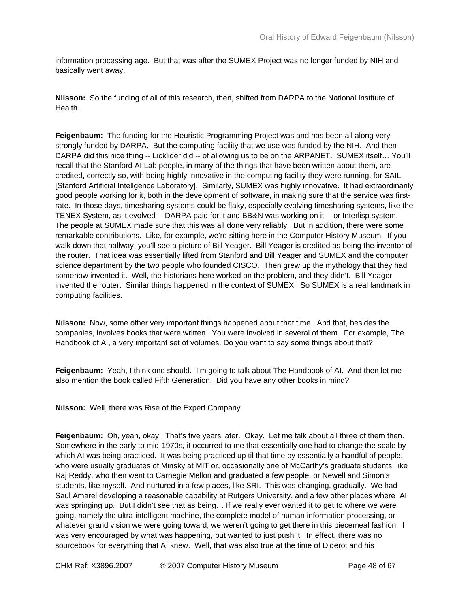information processing age. But that was after the SUMEX Project was no longer funded by NIH and basically went away.

**Nilsson:** So the funding of all of this research, then, shifted from DARPA to the National Institute of Health.

**Feigenbaum:** The funding for the Heuristic Programming Project was and has been all along very strongly funded by DARPA. But the computing facility that we use was funded by the NIH. And then DARPA did this nice thing -- Licklider did -- of allowing us to be on the ARPANET. SUMEX itself… You'll recall that the Stanford AI Lab people, in many of the things that have been written about them, are credited, correctly so, with being highly innovative in the computing facility they were running, for SAIL [Stanford Artificial Intellgence Laboratory]. Similarly, SUMEX was highly innovative. It had extraordinarily good people working for it, both in the development of software, in making sure that the service was firstrate. In those days, timesharing systems could be flaky, especially evolving timesharing systems, like the TENEX System, as it evolved -- DARPA paid for it and BB&N was working on it -- or Interlisp system. The people at SUMEX made sure that this was all done very reliably. But in addition, there were some remarkable contributions. Like, for example, we're sitting here in the Computer History Museum. If you walk down that hallway, you'll see a picture of Bill Yeager. Bill Yeager is credited as being the inventor of the router. That idea was essentially lifted from Stanford and Bill Yeager and SUMEX and the computer science department by the two people who founded CISCO. Then grew up the mythology that they had somehow invented it. Well, the historians here worked on the problem, and they didn't. Bill Yeager invented the router. Similar things happened in the context of SUMEX. So SUMEX is a real landmark in computing facilities.

**Nilsson:** Now, some other very important things happened about that time. And that, besides the companies, involves books that were written. You were involved in several of them. For example, The Handbook of AI, a very important set of volumes. Do you want to say some things about that?

**Feigenbaum:** Yeah, I think one should. I'm going to talk about The Handbook of AI. And then let me also mention the book called Fifth Generation. Did you have any other books in mind?

**Nilsson:** Well, there was Rise of the Expert Company.

**Feigenbaum:** Oh, yeah, okay. That's five years later. Okay. Let me talk about all three of them then. Somewhere in the early to mid-1970s, it occurred to me that essentially one had to change the scale by which AI was being practiced. It was being practiced up til that time by essentially a handful of people, who were usually graduates of Minsky at MIT or, occasionally one of McCarthy's graduate students, like Raj Reddy, who then went to Carnegie Mellon and graduated a few people, or Newell and Simon's students, like myself. And nurtured in a few places, like SRI. This was changing, gradually. We had Saul Amarel developing a reasonable capability at Rutgers University, and a few other places where AI was springing up. But I didn't see that as being… If we really ever wanted it to get to where we were going, namely the ultra-intelligent machine, the complete model of human information processing, or whatever grand vision we were going toward, we weren't going to get there in this piecemeal fashion. I was very encouraged by what was happening, but wanted to just push it. In effect, there was no sourcebook for everything that AI knew. Well, that was also true at the time of Diderot and his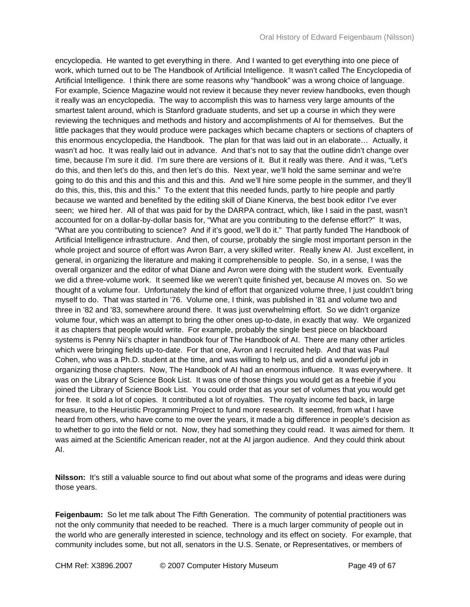encyclopedia. He wanted to get everything in there. And I wanted to get everything into one piece of work, which turned out to be The Handbook of Artificial Intelligence. It wasn't called The Encyclopedia of Artificial Intelligence. I think there are some reasons why "handbook" was a wrong choice of language. For example, Science Magazine would not review it because they never review handbooks, even though it really was an encyclopedia. The way to accomplish this was to harness very large amounts of the smartest talent around, which is Stanford graduate students, and set up a course in which they were reviewing the techniques and methods and history and accomplishments of AI for themselves. But the little packages that they would produce were packages which became chapters or sections of chapters of this enormous encyclopedia, the Handbook. The plan for that was laid out in an elaborate… Actually, it wasn't ad hoc. It was really laid out in advance. And that's not to say that the outline didn't change over time, because I'm sure it did. I'm sure there are versions of it. But it really was there. And it was, "Let's do this, and then let's do this, and then let's do this. Next year, we'll hold the same seminar and we're going to do this and this and this and this and this. And we'll hire some people in the summer, and they'll do this, this, this, this and this." To the extent that this needed funds, partly to hire people and partly because we wanted and benefited by the editing skill of Diane Kinerva, the best book editor I've ever seen; we hired her. All of that was paid for by the DARPA contract, which, like I said in the past, wasn't accounted for on a dollar-by-dollar basis for, "What are you contributing to the defense effort?" It was, "What are you contributing to science? And if it's good, we'll do it." That partly funded The Handbook of Artificial Intelligence infrastructure. And then, of course, probably the single most important person in the whole project and source of effort was Avron Barr, a very skilled writer. Really knew AI. Just excellent, in general, in organizing the literature and making it comprehensible to people. So, in a sense, I was the overall organizer and the editor of what Diane and Avron were doing with the student work. Eventually we did a three-volume work. It seemed like we weren't quite finished yet, because AI moves on. So we thought of a volume four. Unfortunately the kind of effort that organized volume three, I just couldn't bring myself to do. That was started in '76. Volume one, I think, was published in '81 and volume two and three in '82 and '83, somewhere around there. It was just overwhelming effort. So we didn't organize volume four, which was an attempt to bring the other ones up-to-date, in exactly that way. We organized it as chapters that people would write. For example, probably the single best piece on blackboard systems is Penny Nii's chapter in handbook four of The Handbook of AI. There are many other articles which were bringing fields up-to-date. For that one, Avron and I recruited help. And that was Paul Cohen, who was a Ph.D. student at the time, and was willing to help us, and did a wonderful job in organizing those chapters. Now, The Handbook of AI had an enormous influence. It was everywhere. It was on the Library of Science Book List. It was one of those things you would get as a freebie if you joined the Library of Science Book List. You could order that as your set of volumes that you would get for free. It sold a lot of copies. It contributed a lot of royalties. The royalty income fed back, in large measure, to the Heuristic Programming Project to fund more research. It seemed, from what I have heard from others, who have come to me over the years, it made a big difference in people's decision as to whether to go into the field or not. Now, they had something they could read. It was aimed for them. It was aimed at the Scientific American reader, not at the AI jargon audience. And they could think about AI.

**Nilsson:** It's still a valuable source to find out about what some of the programs and ideas were during those years.

**Feigenbaum:** So let me talk about The Fifth Generation. The community of potential practitioners was not the only community that needed to be reached. There is a much larger community of people out in the world who are generally interested in science, technology and its effect on society. For example, that community includes some, but not all, senators in the U.S. Senate, or Representatives, or members of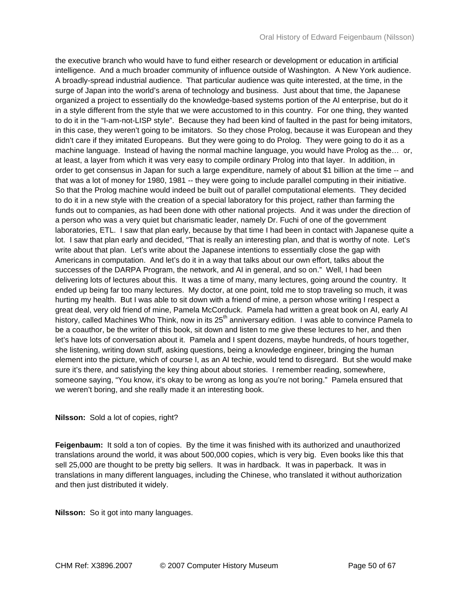the executive branch who would have to fund either research or development or education in artificial intelligence. And a much broader community of influence outside of Washington. A New York audience. A broadly-spread industrial audience. That particular audience was quite interested, at the time, in the surge of Japan into the world's arena of technology and business. Just about that time, the Japanese organized a project to essentially do the knowledge-based systems portion of the AI enterprise, but do it in a style different from the style that we were accustomed to in this country. For one thing, they wanted to do it in the "I-am-not-LISP style". Because they had been kind of faulted in the past for being imitators, in this case, they weren't going to be imitators. So they chose Prolog, because it was European and they didn't care if they imitated Europeans. But they were going to do Prolog. They were going to do it as a machine language. Instead of having the normal machine language, you would have Prolog as the… or, at least, a layer from which it was very easy to compile ordinary Prolog into that layer. In addition, in order to get consensus in Japan for such a large expenditure, namely of about \$1 billion at the time -- and that was a lot of money for 1980, 1981 -- they were going to include parallel computing in their initiative. So that the Prolog machine would indeed be built out of parallel computational elements. They decided to do it in a new style with the creation of a special laboratory for this project, rather than farming the funds out to companies, as had been done with other national projects. And it was under the direction of a person who was a very quiet but charismatic leader, namely Dr. Fuchi of one of the government laboratories, ETL. I saw that plan early, because by that time I had been in contact with Japanese quite a lot. I saw that plan early and decided, "That is really an interesting plan, and that is worthy of note. Let's write about that plan. Let's write about the Japanese intentions to essentially close the gap with Americans in computation. And let's do it in a way that talks about our own effort, talks about the successes of the DARPA Program, the network, and AI in general, and so on." Well, I had been delivering lots of lectures about this. It was a time of many, many lectures, going around the country. It ended up being far too many lectures. My doctor, at one point, told me to stop traveling so much, it was hurting my health. But I was able to sit down with a friend of mine, a person whose writing I respect a great deal, very old friend of mine, Pamela McCorduck. Pamela had written a great book on AI, early AI history, called Machines Who Think, now in its 25<sup>th</sup> anniversary edition. I was able to convince Pamela to be a coauthor, be the writer of this book, sit down and listen to me give these lectures to her, and then let's have lots of conversation about it. Pamela and I spent dozens, maybe hundreds, of hours together, she listening, writing down stuff, asking questions, being a knowledge engineer, bringing the human element into the picture, which of course I, as an AI techie, would tend to disregard. But she would make sure it's there, and satisfying the key thing about about stories. I remember reading, somewhere, someone saying, "You know, it's okay to be wrong as long as you're not boring." Pamela ensured that we weren't boring, and she really made it an interesting book.

## **Nilsson:** Sold a lot of copies, right?

**Feigenbaum:** It sold a ton of copies. By the time it was finished with its authorized and unauthorized translations around the world, it was about 500,000 copies, which is very big. Even books like this that sell 25,000 are thought to be pretty big sellers. It was in hardback. It was in paperback. It was in translations in many different languages, including the Chinese, who translated it without authorization and then just distributed it widely.

**Nilsson:** So it got into many languages.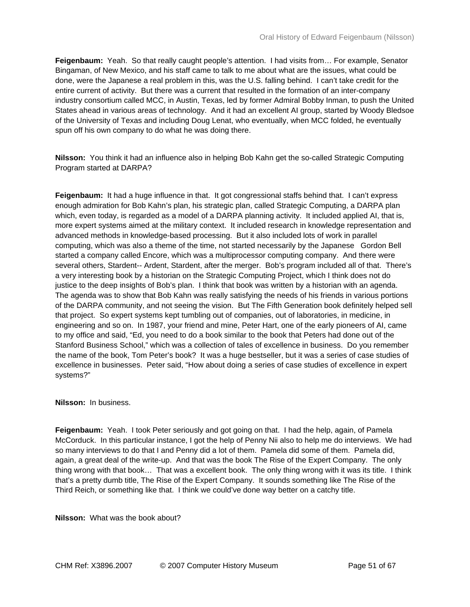**Feigenbaum:** Yeah. So that really caught people's attention. I had visits from… For example, Senator Bingaman, of New Mexico, and his staff came to talk to me about what are the issues, what could be done, were the Japanese a real problem in this, was the U.S. falling behind. I can't take credit for the entire current of activity. But there was a current that resulted in the formation of an inter-company industry consortium called MCC, in Austin, Texas, led by former Admiral Bobby Inman, to push the United States ahead in various areas of technology. And it had an excellent AI group, started by Woody Bledsoe of the University of Texas and including Doug Lenat, who eventually, when MCC folded, he eventually spun off his own company to do what he was doing there.

**Nilsson:** You think it had an influence also in helping Bob Kahn get the so-called Strategic Computing Program started at DARPA?

**Feigenbaum:** It had a huge influence in that. It got congressional staffs behind that. I can't express enough admiration for Bob Kahn's plan, his strategic plan, called Strategic Computing, a DARPA plan which, even today, is regarded as a model of a DARPA planning activity. It included applied AI, that is, more expert systems aimed at the military context. It included research in knowledge representation and advanced methods in knowledge-based processing. But it also included lots of work in parallel computing, which was also a theme of the time, not started necessarily by the Japanese Gordon Bell started a company called Encore, which was a multiprocessor computing company. And there were several others, Stardent-- Ardent, Stardent, after the merger. Bob's program included all of that. There's a very interesting book by a historian on the Strategic Computing Project, which I think does not do justice to the deep insights of Bob's plan. I think that book was written by a historian with an agenda. The agenda was to show that Bob Kahn was really satisfying the needs of his friends in various portions of the DARPA community, and not seeing the vision. But The Fifth Generation book definitely helped sell that project. So expert systems kept tumbling out of companies, out of laboratories, in medicine, in engineering and so on. In 1987, your friend and mine, Peter Hart, one of the early pioneers of AI, came to my office and said, "Ed, you need to do a book similar to the book that Peters had done out of the Stanford Business School," which was a collection of tales of excellence in business. Do you remember the name of the book, Tom Peter's book? It was a huge bestseller, but it was a series of case studies of excellence in businesses. Peter said, "How about doing a series of case studies of excellence in expert systems?"

**Nilsson:** In business.

**Feigenbaum:** Yeah. I took Peter seriously and got going on that. I had the help, again, of Pamela McCorduck. In this particular instance, I got the help of Penny Nii also to help me do interviews. We had so many interviews to do that I and Penny did a lot of them. Pamela did some of them. Pamela did, again, a great deal of the write-up. And that was the book The Rise of the Expert Company. The only thing wrong with that book… That was a excellent book. The only thing wrong with it was its title. I think that's a pretty dumb title, The Rise of the Expert Company. It sounds something like The Rise of the Third Reich, or something like that. I think we could've done way better on a catchy title.

**Nilsson:** What was the book about?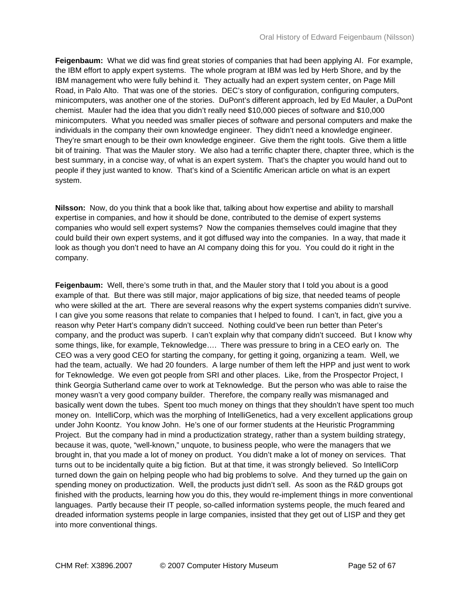**Feigenbaum:** What we did was find great stories of companies that had been applying AI. For example, the IBM effort to apply expert systems. The whole program at IBM was led by Herb Shore, and by the IBM management who were fully behind it. They actually had an expert system center, on Page Mill Road, in Palo Alto. That was one of the stories. DEC's story of configuration, configuring computers, minicomputers, was another one of the stories. DuPont's different approach, led by Ed Mauler, a DuPont chemist. Mauler had the idea that you didn't really need \$10,000 pieces of software and \$10,000 minicomputers. What you needed was smaller pieces of software and personal computers and make the individuals in the company their own knowledge engineer. They didn't need a knowledge engineer. They're smart enough to be their own knowledge engineer. Give them the right tools. Give them a little bit of training. That was the Mauler story. We also had a terrific chapter there, chapter three, which is the best summary, in a concise way, of what is an expert system. That's the chapter you would hand out to people if they just wanted to know. That's kind of a Scientific American article on what is an expert system.

**Nilsson:** Now, do you think that a book like that, talking about how expertise and ability to marshall expertise in companies, and how it should be done, contributed to the demise of expert systems companies who would sell expert systems? Now the companies themselves could imagine that they could build their own expert systems, and it got diffused way into the companies. In a way, that made it look as though you don't need to have an AI company doing this for you. You could do it right in the company.

**Feigenbaum:** Well, there's some truth in that, and the Mauler story that I told you about is a good example of that. But there was still major, major applications of big size, that needed teams of people who were skilled at the art. There are several reasons why the expert systems companies didn't survive. I can give you some reasons that relate to companies that I helped to found. I can't, in fact, give you a reason why Peter Hart's company didn't succeed. Nothing could've been run better than Peter's company, and the product was superb. I can't explain why that company didn't succeed. But I know why some things, like, for example, Teknowledge…. There was pressure to bring in a CEO early on. The CEO was a very good CEO for starting the company, for getting it going, organizing a team. Well, we had the team, actually. We had 20 founders. A large number of them left the HPP and just went to work for Teknowledge. We even got people from SRI and other places. Like, from the Prospector Project, I think Georgia Sutherland came over to work at Teknowledge. But the person who was able to raise the money wasn't a very good company builder. Therefore, the company really was mismanaged and basically went down the tubes. Spent too much money on things that they shouldn't have spent too much money on. IntelliCorp, which was the morphing of IntelliGenetics, had a very excellent applications group under John Koontz. You know John. He's one of our former students at the Heuristic Programming Project. But the company had in mind a productization strategy, rather than a system building strategy, because it was, quote, "well-known," unquote, to business people, who were the managers that we brought in, that you made a lot of money on product. You didn't make a lot of money on services. That turns out to be incidentally quite a big fiction. But at that time, it was strongly believed. So IntelliCorp turned down the gain on helping people who had big problems to solve. And they turned up the gain on spending money on productization. Well, the products just didn't sell. As soon as the R&D groups got finished with the products, learning how you do this, they would re-implement things in more conventional languages. Partly because their IT people, so-called information systems people, the much feared and dreaded information systems people in large companies, insisted that they get out of LISP and they get into more conventional things.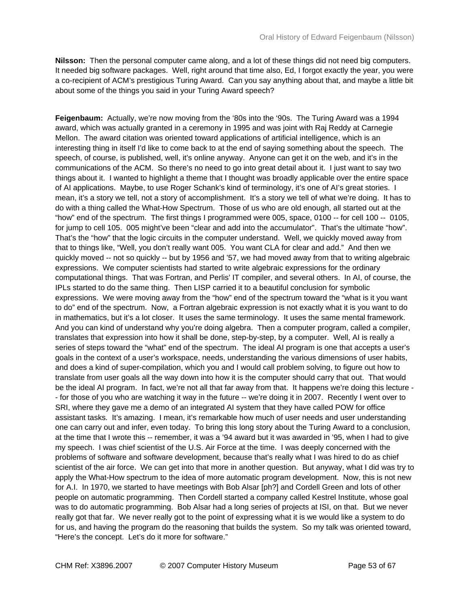**Nilsson:** Then the personal computer came along, and a lot of these things did not need big computers. It needed big software packages. Well, right around that time also, Ed, I forgot exactly the year, you were a co-recipient of ACM's prestigious Turing Award. Can you say anything about that, and maybe a little bit about some of the things you said in your Turing Award speech?

**Feigenbaum:** Actually, we're now moving from the '80s into the '90s. The Turing Award was a 1994 award, which was actually granted in a ceremony in 1995 and was joint with Raj Reddy at Carnegie Mellon. The award citation was oriented toward applications of artificial intelligence, which is an interesting thing in itself I'd like to come back to at the end of saying something about the speech. The speech, of course, is published, well, it's online anyway. Anyone can get it on the web, and it's in the communications of the ACM. So there's no need to go into great detail about it. I just want to say two things about it. I wanted to highlight a theme that I thought was broadly applicable over the entire space of AI applications. Maybe, to use Roger Schank's kind of terminology, it's one of AI's great stories. I mean, it's a story we tell, not a story of accomplishment. It's a story we tell of what we're doing. It has to do with a thing called the What-How Spectrum. Those of us who are old enough, all started out at the "how" end of the spectrum. The first things I programmed were 005, space, 0100 -- for cell 100 -- 0105, for jump to cell 105. 005 might've been "clear and add into the accumulator". That's the ultimate "how". That's the "how" that the logic circuits in the computer understand. Well, we quickly moved away from that to things like, "Well, you don't really want 005. You want CLA for clear and add." And then we quickly moved -- not so quickly -- but by 1956 and '57, we had moved away from that to writing algebraic expressions. We computer scientists had started to write algebraic expressions for the ordinary computational things. That was Fortran, and Perlis' IT compiler, and several others. In AI, of course, the IPLs started to do the same thing. Then LISP carried it to a beautiful conclusion for symbolic expressions. We were moving away from the "how" end of the spectrum toward the "what is it you want to do" end of the spectrum. Now, a Fortran algebraic expression is not exactly what it is you want to do in mathematics, but it's a lot closer. It uses the same terminology. It uses the same mental framework. And you can kind of understand why you're doing algebra. Then a computer program, called a compiler, translates that expression into how it shall be done, step-by-step, by a computer. Well, AI is really a series of steps toward the "what" end of the spectrum. The ideal AI program is one that accepts a user's goals in the context of a user's workspace, needs, understanding the various dimensions of user habits, and does a kind of super-compilation, which you and I would call problem solving, to figure out how to translate from user goals all the way down into how it is the computer should carry that out. That would be the ideal AI program. In fact, we're not all that far away from that. It happens we're doing this lecture - - for those of you who are watching it way in the future -- we're doing it in 2007. Recently I went over to SRI, where they gave me a demo of an integrated AI system that they have called POW for office assistant tasks. It's amazing. I mean, it's remarkable how much of user needs and user understanding one can carry out and infer, even today. To bring this long story about the Turing Award to a conclusion, at the time that I wrote this -- remember, it was a '94 award but it was awarded in '95, when I had to give my speech. I was chief scientist of the U.S. Air Force at the time. I was deeply concerned with the problems of software and software development, because that's really what I was hired to do as chief scientist of the air force. We can get into that more in another question. But anyway, what I did was try to apply the What-How spectrum to the idea of more automatic program development. Now, this is not new for A.I. In 1970, we started to have meetings with Bob Alsar [ph?] and Cordell Green and lots of other people on automatic programming. Then Cordell started a company called Kestrel Institute, whose goal was to do automatic programming. Bob Alsar had a long series of projects at ISI, on that. But we never really got that far. We never really got to the point of expressing what it is we would like a system to do for us, and having the program do the reasoning that builds the system. So my talk was oriented toward, "Here's the concept. Let's do it more for software."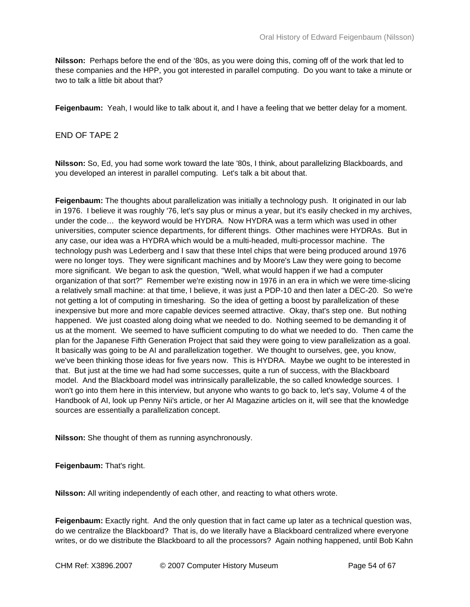**Nilsson:** Perhaps before the end of the '80s, as you were doing this, coming off of the work that led to these companies and the HPP, you got interested in parallel computing. Do you want to take a minute or two to talk a little bit about that?

**Feigenbaum:** Yeah, I would like to talk about it, and I have a feeling that we better delay for a moment.

## END OF TAPE 2

**Nilsson:** So, Ed, you had some work toward the late '80s, I think, about parallelizing Blackboards, and you developed an interest in parallel computing. Let's talk a bit about that.

**Feigenbaum:** The thoughts about parallelization was initially a technology push. It originated in our lab in 1976. I believe it was roughly '76, let's say plus or minus a year, but it's easily checked in my archives, under the code… the keyword would be HYDRA. Now HYDRA was a term which was used in other universities, computer science departments, for different things. Other machines were HYDRAs. But in any case, our idea was a HYDRA which would be a multi-headed, multi-processor machine. The technology push was Lederberg and I saw that these Intel chips that were being produced around 1976 were no longer toys. They were significant machines and by Moore's Law they were going to become more significant. We began to ask the question, "Well, what would happen if we had a computer organization of that sort?" Remember we're existing now in 1976 in an era in which we were time-slicing a relatively small machine: at that time, I believe, it was just a PDP-10 and then later a DEC-20. So we're not getting a lot of computing in timesharing. So the idea of getting a boost by parallelization of these inexpensive but more and more capable devices seemed attractive. Okay, that's step one. But nothing happened. We just coasted along doing what we needed to do. Nothing seemed to be demanding it of us at the moment. We seemed to have sufficient computing to do what we needed to do. Then came the plan for the Japanese Fifth Generation Project that said they were going to view parallelization as a goal. It basically was going to be AI and parallelization together. We thought to ourselves, gee, you know, we've been thinking those ideas for five years now. This is HYDRA. Maybe we ought to be interested in that. But just at the time we had had some successes, quite a run of success, with the Blackboard model. And the Blackboard model was intrinsically parallelizable, the so called knowledge sources. I won't go into them here in this interview, but anyone who wants to go back to, let's say, Volume 4 of the Handbook of AI, look up Penny Nii's article, or her AI Magazine articles on it, will see that the knowledge sources are essentially a parallelization concept.

**Nilsson:** She thought of them as running asynchronously.

**Feigenbaum:** That's right.

**Nilsson:** All writing independently of each other, and reacting to what others wrote.

**Feigenbaum:** Exactly right. And the only question that in fact came up later as a technical question was, do we centralize the Blackboard? That is, do we literally have a Blackboard centralized where everyone writes, or do we distribute the Blackboard to all the processors? Again nothing happened, until Bob Kahn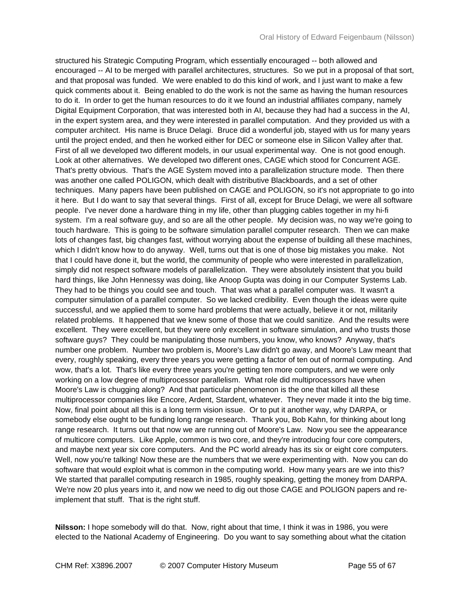structured his Strategic Computing Program, which essentially encouraged -- both allowed and encouraged -- AI to be merged with parallel architectures, structures. So we put in a proposal of that sort, and that proposal was funded. We were enabled to do this kind of work, and I just want to make a few quick comments about it. Being enabled to do the work is not the same as having the human resources to do it. In order to get the human resources to do it we found an industrial affiliates company, namely Digital Equipment Corporation, that was interested both in AI, because they had had a success in the AI, in the expert system area, and they were interested in parallel computation. And they provided us with a computer architect. His name is Bruce Delagi. Bruce did a wonderful job, stayed with us for many years until the project ended, and then he worked either for DEC or someone else in Silicon Valley after that. First of all we developed two different models, in our usual experimental way. One is not good enough. Look at other alternatives. We developed two different ones, CAGE which stood for Concurrent AGE. That's pretty obvious. That's the AGE System moved into a parallelization structure mode. Then there was another one called POLIGON, which dealt with distributive Blackboards, and a set of other techniques. Many papers have been published on CAGE and POLIGON, so it's not appropriate to go into it here. But I do want to say that several things. First of all, except for Bruce Delagi, we were all software people. I've never done a hardware thing in my life, other than plugging cables together in my hi-fi system. I'm a real software guy, and so are all the other people. My decision was, no way we're going to touch hardware. This is going to be software simulation parallel computer research. Then we can make lots of changes fast, big changes fast, without worrying about the expense of building all these machines, which I didn't know how to do anyway. Well, turns out that is one of those big mistakes you make. Not that I could have done it, but the world, the community of people who were interested in parallelization, simply did not respect software models of parallelization. They were absolutely insistent that you build hard things, like John Hennessy was doing, like Anoop Gupta was doing in our Computer Systems Lab. They had to be things you could see and touch. That was what a parallel computer was. It wasn't a computer simulation of a parallel computer. So we lacked credibility. Even though the ideas were quite successful, and we applied them to some hard problems that were actually, believe it or not, militarily related problems. It happened that we knew some of those that we could sanitize. And the results were excellent. They were excellent, but they were only excellent in software simulation, and who trusts those software guys? They could be manipulating those numbers, you know, who knows? Anyway, that's number one problem. Number two problem is, Moore's Law didn't go away, and Moore's Law meant that every, roughly speaking, every three years you were getting a factor of ten out of normal computing. And wow, that's a lot. That's like every three years you're getting ten more computers, and we were only working on a low degree of multiprocessor parallelism. What role did multiprocessors have when Moore's Law is chugging along? And that particular phenomenon is the one that killed all these multiprocessor companies like Encore, Ardent, Stardent, whatever. They never made it into the big time. Now, final point about all this is a long term vision issue. Or to put it another way, why DARPA, or somebody else ought to be funding long range research. Thank you, Bob Kahn, for thinking about long range research. It turns out that now we are running out of Moore's Law. Now you see the appearance of multicore computers. Like Apple, common is two core, and they're introducing four core computers, and maybe next year six core computers. And the PC world already has its six or eight core computers. Well, now you're talking! Now these are the numbers that we were experimenting with. Now you can do software that would exploit what is common in the computing world. How many years are we into this? We started that parallel computing research in 1985, roughly speaking, getting the money from DARPA. We're now 20 plus years into it, and now we need to dig out those CAGE and POLIGON papers and reimplement that stuff. That is the right stuff.

**Nilsson:** I hope somebody will do that. Now, right about that time, I think it was in 1986, you were elected to the National Academy of Engineering. Do you want to say something about what the citation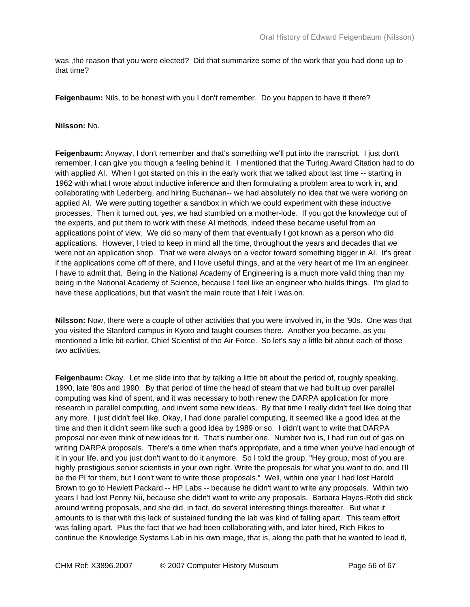was ,the reason that you were elected? Did that summarize some of the work that you had done up to that time?

**Feigenbaum:** Nils, to be honest with you I don't remember. Do you happen to have it there?

## **Nilsson:** No.

**Feigenbaum:** Anyway, I don't remember and that's something we'll put into the transcript. I just don't remember. I can give you though a feeling behind it. I mentioned that the Turing Award Citation had to do with applied AI. When I got started on this in the early work that we talked about last time -- starting in 1962 with what I wrote about inductive inference and then formulating a problem area to work in, and collaborating with Lederberg, and hiring Buchanan-- we had absolutely no idea that we were working on applied AI. We were putting together a sandbox in which we could experiment with these inductive processes. Then it turned out, yes, we had stumbled on a mother-lode. If you got the knowledge out of the experts, and put them to work with these AI methods, indeed these became useful from an applications point of view. We did so many of them that eventually I got known as a person who did applications. However, I tried to keep in mind all the time, throughout the years and decades that we were not an application shop. That we were always on a vector toward something bigger in AI. It's great if the applications come off of there, and I love useful things, and at the very heart of me I'm an engineer. I have to admit that. Being in the National Academy of Engineering is a much more valid thing than my being in the National Academy of Science, because I feel like an engineer who builds things. I'm glad to have these applications, but that wasn't the main route that I felt I was on.

**Nilsson:** Now, there were a couple of other activities that you were involved in, in the '90s. One was that you visited the Stanford campus in Kyoto and taught courses there. Another you became, as you mentioned a little bit earlier, Chief Scientist of the Air Force. So let's say a little bit about each of those two activities.

**Feigenbaum:** Okay. Let me slide into that by talking a little bit about the period of, roughly speaking, 1990, late '80s and 1990. By that period of time the head of steam that we had built up over parallel computing was kind of spent, and it was necessary to both renew the DARPA application for more research in parallel computing, and invent some new ideas. By that time I really didn't feel like doing that any more. I just didn't feel like. Okay, I had done parallel computing, it seemed like a good idea at the time and then it didn't seem like such a good idea by 1989 or so. I didn't want to write that DARPA proposal nor even think of new ideas for it. That's number one. Number two is, I had run out of gas on writing DARPA proposals. There's a time when that's appropriate, and a time when you've had enough of it in your life, and you just don't want to do it anymore. So I told the group, "Hey group, most of you are highly prestigious senior scientists in your own right. Write the proposals for what you want to do, and I'll be the PI for them, but I don't want to write those proposals." Well, within one year I had lost Harold Brown to go to Hewlett Packard -- HP Labs -- because he didn't want to write any proposals. Within two years I had lost Penny Nii, because she didn't want to write any proposals. Barbara Hayes-Roth did stick around writing proposals, and she did, in fact, do several interesting things thereafter. But what it amounts to is that with this lack of sustained funding the lab was kind of falling apart. This team effort was falling apart. Plus the fact that we had been collaborating with, and later hired, Rich Fikes to continue the Knowledge Systems Lab in his own image, that is, along the path that he wanted to lead it,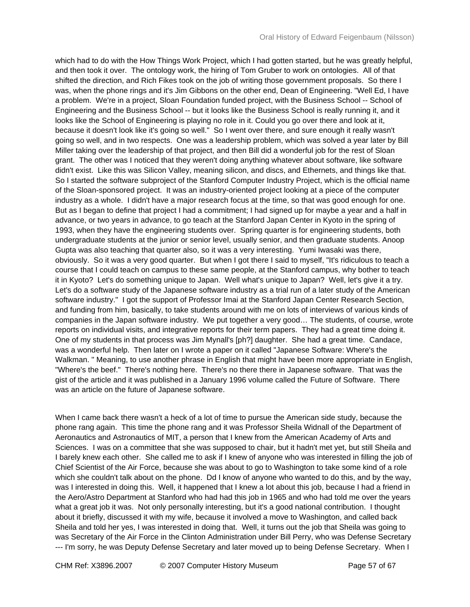which had to do with the How Things Work Project, which I had gotten started, but he was greatly helpful, and then took it over. The ontology work, the hiring of Tom Gruber to work on ontologies. All of that shifted the direction, and Rich Fikes took on the job of writing those government proposals. So there I was, when the phone rings and it's Jim Gibbons on the other end, Dean of Engineering. "Well Ed, I have a problem. We're in a project, Sloan Foundation funded project, with the Business School -- School of Engineering and the Business School -- but it looks like the Business School is really running it, and it looks like the School of Engineering is playing no role in it. Could you go over there and look at it, because it doesn't look like it's going so well." So I went over there, and sure enough it really wasn't going so well, and in two respects. One was a leadership problem, which was solved a year later by Bill Miller taking over the leadership of that project, and then Bill did a wonderful job for the rest of Sloan grant. The other was I noticed that they weren't doing anything whatever about software, like software didn't exist. Like this was Silicon Valley, meaning silicon, and discs, and Ethernets, and things like that. So I started the software subproject of the Stanford Computer Industry Project, which is the official name of the Sloan-sponsored project. It was an industry-oriented project looking at a piece of the computer industry as a whole. I didn't have a major research focus at the time, so that was good enough for one. But as I began to define that project I had a commitment; I had signed up for maybe a year and a half in advance, or two years in advance, to go teach at the Stanford Japan Center in Kyoto in the spring of 1993, when they have the engineering students over. Spring quarter is for engineering students, both undergraduate students at the junior or senior level, usually senior, and then graduate students. Anoop Gupta was also teaching that quarter also, so it was a very interesting. Yumi Iwasaki was there, obviously. So it was a very good quarter. But when I got there I said to myself, "It's ridiculous to teach a course that I could teach on campus to these same people, at the Stanford campus, why bother to teach it in Kyoto? Let's do something unique to Japan. Well what's unique to Japan? Well, let's give it a try. Let's do a software study of the Japanese software industry as a trial run of a later study of the American software industry." I got the support of Professor Imai at the Stanford Japan Center Research Section, and funding from him, basically, to take students around with me on lots of interviews of various kinds of companies in the Japan software industry. We put together a very good… The students, of course, wrote reports on individual visits, and integrative reports for their term papers. They had a great time doing it. One of my students in that process was Jim Mynall's [ph?] daughter. She had a great time. Candace, was a wonderful help. Then later on I wrote a paper on it called "Japanese Software: Where's the Walkman. " Meaning, to use another phrase in English that might have been more appropriate in English, "Where's the beef." There's nothing here. There's no there there in Japanese software. That was the gist of the article and it was published in a January 1996 volume called the Future of Software. There was an article on the future of Japanese software.

When I came back there wasn't a heck of a lot of time to pursue the American side study, because the phone rang again. This time the phone rang and it was Professor Sheila Widnall of the Department of Aeronautics and Astronautics of MIT, a person that I knew from the American Academy of Arts and Sciences. I was on a committee that she was supposed to chair, but it hadn't met yet, but still Sheila and I barely knew each other. She called me to ask if I knew of anyone who was interested in filling the job of Chief Scientist of the Air Force, because she was about to go to Washington to take some kind of a role which she couldn't talk about on the phone. Dd I know of anyone who wanted to do this, and by the way, was I interested in doing this. Well, it happened that I knew a lot about this job, because I had a friend in the Aero/Astro Department at Stanford who had had this job in 1965 and who had told me over the years what a great job it was. Not only personally interesting, but it's a good national contribution. I thought about it briefly, discussed it with my wife, because it involved a move to Washington, and called back Sheila and told her yes, I was interested in doing that. Well, it turns out the job that Sheila was going to was Secretary of the Air Force in the Clinton Administration under Bill Perry, who was Defense Secretary --- I'm sorry, he was Deputy Defense Secretary and later moved up to being Defense Secretary. When I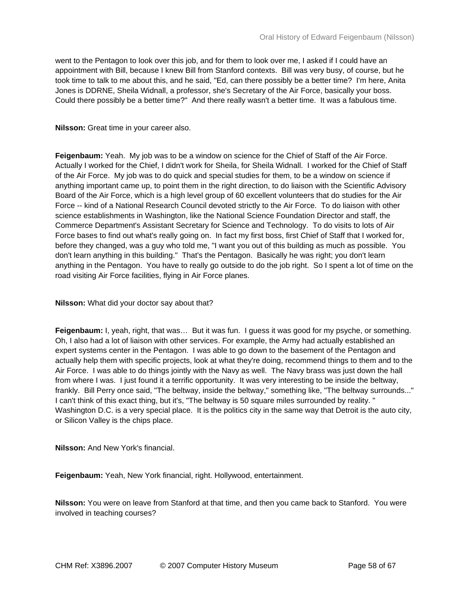went to the Pentagon to look over this job, and for them to look over me, I asked if I could have an appointment with Bill, because I knew Bill from Stanford contexts. Bill was very busy, of course, but he took time to talk to me about this, and he said, "Ed, can there possibly be a better time? I'm here, Anita Jones is DDRNE, Sheila Widnall, a professor, she's Secretary of the Air Force, basically your boss. Could there possibly be a better time?" And there really wasn't a better time. It was a fabulous time.

## **Nilsson:** Great time in your career also.

**Feigenbaum:** Yeah. My job was to be a window on science for the Chief of Staff of the Air Force. Actually I worked for the Chief, I didn't work for Sheila, for Sheila Widnall. I worked for the Chief of Staff of the Air Force. My job was to do quick and special studies for them, to be a window on science if anything important came up, to point them in the right direction, to do liaison with the Scientific Advisory Board of the Air Force, which is a high level group of 60 excellent volunteers that do studies for the Air Force -- kind of a National Research Council devoted strictly to the Air Force. To do liaison with other science establishments in Washington, like the National Science Foundation Director and staff, the Commerce Department's Assistant Secretary for Science and Technology. To do visits to lots of Air Force bases to find out what's really going on. In fact my first boss, first Chief of Staff that I worked for, before they changed, was a guy who told me, "I want you out of this building as much as possible. You don't learn anything in this building." That's the Pentagon. Basically he was right; you don't learn anything in the Pentagon. You have to really go outside to do the job right. So I spent a lot of time on the road visiting Air Force facilities, flying in Air Force planes.

## **Nilsson:** What did your doctor say about that?

**Feigenbaum:** I, yeah, right, that was… But it was fun. I guess it was good for my psyche, or something. Oh, I also had a lot of liaison with other services. For example, the Army had actually established an expert systems center in the Pentagon. I was able to go down to the basement of the Pentagon and actually help them with specific projects, look at what they're doing, recommend things to them and to the Air Force. I was able to do things jointly with the Navy as well. The Navy brass was just down the hall from where I was. I just found it a terrific opportunity. It was very interesting to be inside the beltway, frankly. Bill Perry once said, "The beltway, inside the beltway," something like, "The beltway surrounds..." I can't think of this exact thing, but it's, "The beltway is 50 square miles surrounded by reality. " Washington D.C. is a very special place. It is the politics city in the same way that Detroit is the auto city, or Silicon Valley is the chips place.

**Nilsson:** And New York's financial.

**Feigenbaum:** Yeah, New York financial, right. Hollywood, entertainment.

**Nilsson:** You were on leave from Stanford at that time, and then you came back to Stanford. You were involved in teaching courses?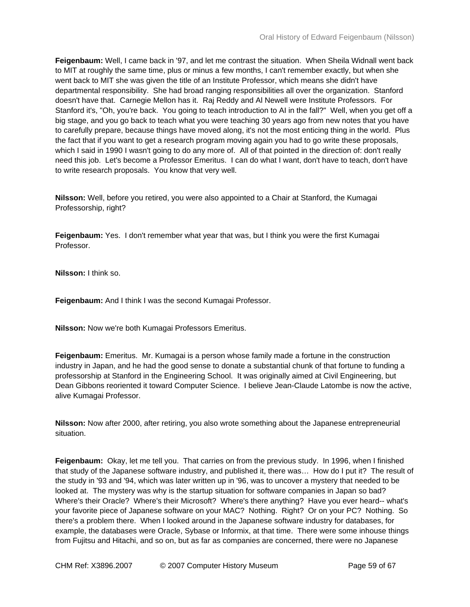**Feigenbaum:** Well, I came back in '97, and let me contrast the situation. When Sheila Widnall went back to MIT at roughly the same time, plus or minus a few months, I can't remember exactly, but when she went back to MIT she was given the title of an Institute Professor, which means she didn't have departmental responsibility. She had broad ranging responsibilities all over the organization. Stanford doesn't have that. Carnegie Mellon has it. Raj Reddy and Al Newell were Institute Professors. For Stanford it's, "Oh, you're back. You going to teach introduction to AI in the fall?" Well, when you get off a big stage, and you go back to teach what you were teaching 30 years ago from new notes that you have to carefully prepare, because things have moved along, it's not the most enticing thing in the world. Plus the fact that if you want to get a research program moving again you had to go write these proposals, which I said in 1990 I wasn't going to do any more of. All of that pointed in the direction of: don't really need this job. Let's become a Professor Emeritus. I can do what I want, don't have to teach, don't have to write research proposals. You know that very well.

**Nilsson:** Well, before you retired, you were also appointed to a Chair at Stanford, the Kumagai Professorship, right?

**Feigenbaum:** Yes. I don't remember what year that was, but I think you were the first Kumagai Professor.

**Nilsson:** I think so.

**Feigenbaum:** And I think I was the second Kumagai Professor.

**Nilsson:** Now we're both Kumagai Professors Emeritus.

**Feigenbaum:** Emeritus. Mr. Kumagai is a person whose family made a fortune in the construction industry in Japan, and he had the good sense to donate a substantial chunk of that fortune to funding a professorship at Stanford in the Engineering School. It was originally aimed at Civil Engineering, but Dean Gibbons reoriented it toward Computer Science. I believe Jean-Claude Latombe is now the active, alive Kumagai Professor.

**Nilsson:** Now after 2000, after retiring, you also wrote something about the Japanese entrepreneurial situation.

**Feigenbaum:** Okay, let me tell you. That carries on from the previous study. In 1996, when I finished that study of the Japanese software industry, and published it, there was… How do I put it? The result of the study in '93 and '94, which was later written up in '96, was to uncover a mystery that needed to be looked at. The mystery was why is the startup situation for software companies in Japan so bad? Where's their Oracle? Where's their Microsoft? Where's there anything? Have you ever heard-- what's your favorite piece of Japanese software on your MAC? Nothing. Right? Or on your PC? Nothing. So there's a problem there. When I looked around in the Japanese software industry for databases, for example, the databases were Oracle, Sybase or Informix, at that time. There were some inhouse things from Fujitsu and Hitachi, and so on, but as far as companies are concerned, there were no Japanese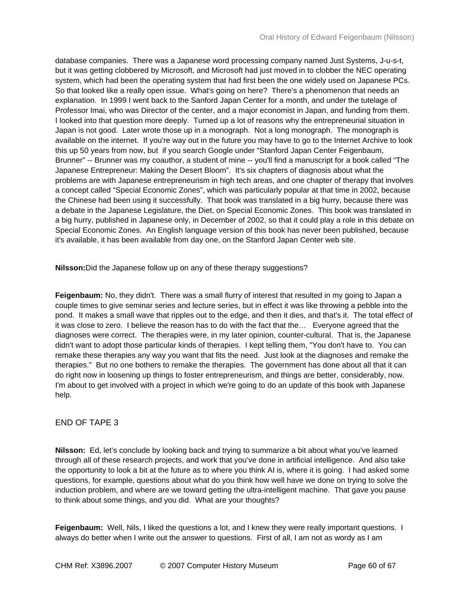database companies. There was a Japanese word processing company named Just Systems, J-u-s-t, but it was getting clobbered by Microsoft, and Microsoft had just moved in to clobber the NEC operating system, which had been the operating system that had first been the one widely used on Japanese PCs. So that looked like a really open issue. What's going on here? There's a phenomenon that needs an explanation. In 1999 I went back to the Sanford Japan Center for a month, and under the tutelage of Professor Imai, who was Director of the center, and a major economist in Japan, and funding from them. I looked into that question more deeply. Turned up a lot of reasons why the entrepreneurial situation in Japan is not good. Later wrote those up in a monograph. Not a long monograph. The monograph is available on the internet. If you're way out in the future you may have to go to the Internet Archive to look this up 50 years from now, but if you search Google under "Stanford Japan Center Feigenbaum, Brunner" -- Brunner was my coauthor, a student of mine -- you'll find a manuscript for a book called "The Japanese Entrepreneur: Making the Desert Bloom". It's six chapters of diagnosis about what the problems are with Japanese entrepreneurism in high tech areas, and one chapter of therapy that involves a concept called "Special Economic Zones", which was particularly popular at that time in 2002, because the Chinese had been using it successfully. That book was translated in a big hurry, because there was a debate in the Japanese Legislature, the Diet, on Special Economic Zones. This book was translated in a big hurry, published in Japanese only, in December of 2002, so that it could play a role in this debate on Special Economic Zones. An English language version of this book has never been published, because it's available, it has been available from day one, on the Stanford Japan Center web site.

**Nilsson:**Did the Japanese follow up on any of these therapy suggestions?

**Feigenbaum:** No, they didn't. There was a small flurry of interest that resulted in my going to Japan a couple times to give seminar series and lecture series, but in effect it was like throwing a pebble into the pond. It makes a small wave that ripples out to the edge, and then it dies, and that's it. The total effect of it was close to zero. I believe the reason has to do with the fact that the… Everyone agreed that the diagnoses were correct. The therapies were, in my later opinion, counter-cultural. That is, the Japanese didn't want to adopt those particular kinds of therapies. I kept telling them, "You don't have to. You can remake these therapies any way you want that fits the need. Just look at the diagnoses and remake the therapies." But no one bothers to remake the therapies. The government has done about all that it can do right now in loosening up things to foster entrepreneurism, and things are better, considerably, now. I'm about to get involved with a project in which we're going to do an update of this book with Japanese help.

# END OF TAPE 3

**Nilsson:** Ed, let's conclude by looking back and trying to summarize a bit about what you've learned through all of these research projects, and work that you've done in artificial intelligence. And also take the opportunity to look a bit at the future as to where you think AI is, where it is going. I had asked some questions, for example, questions about what do you think how well have we done on trying to solve the induction problem, and where are we toward getting the ultra-intelligent machine. That gave you pause to think about some things, and you did. What are your thoughts?

**Feigenbaum:** Well, Nils, I liked the questions a lot, and I knew they were really important questions. I always do better when I write out the answer to questions. First of all, I am not as wordy as I am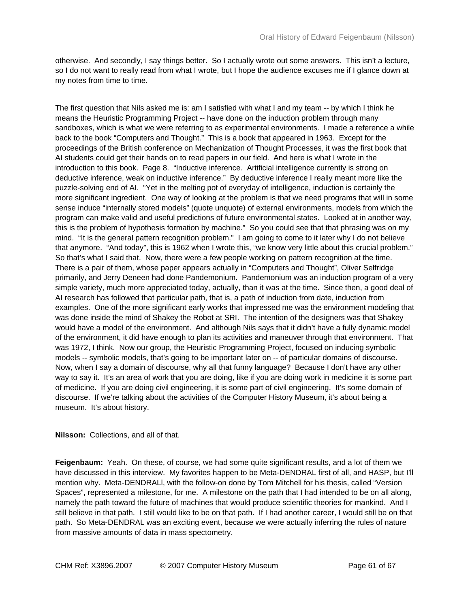otherwise. And secondly, I say things better. So I actually wrote out some answers. This isn't a lecture, so I do not want to really read from what I wrote, but I hope the audience excuses me if I glance down at my notes from time to time.

The first question that Nils asked me is: am I satisfied with what I and my team -- by which I think he means the Heuristic Programming Project -- have done on the induction problem through many sandboxes, which is what we were referring to as experimental environments. I made a reference a while back to the book "Computers and Thought." This is a book that appeared in 1963. Except for the proceedings of the British conference on Mechanization of Thought Processes, it was the first book that AI students could get their hands on to read papers in our field. And here is what I wrote in the introduction to this book. Page 8. "Inductive inference. Artificial intelligence currently is strong on deductive inference, weak on inductive inference." By deductive inference I really meant more like the puzzle-solving end of AI. "Yet in the melting pot of everyday of intelligence, induction is certainly the more significant ingredient. One way of looking at the problem is that we need programs that will in some sense induce "internally stored models" (quote unquote) of external environments, models from which the program can make valid and useful predictions of future environmental states. Looked at in another way, this is the problem of hypothesis formation by machine." So you could see that that phrasing was on my mind. "It is the general pattern recognition problem." I am going to come to it later why I do not believe that anymore. "And today", this is 1962 when I wrote this, "we know very little about this crucial problem." So that's what I said that. Now, there were a few people working on pattern recognition at the time. There is a pair of them, whose paper appears actually in "Computers and Thought", Oliver Selfridge primarily, and Jerry Deneen had done Pandemonium. Pandemonium was an induction program of a very simple variety, much more appreciated today, actually, than it was at the time. Since then, a good deal of AI research has followed that particular path, that is, a path of induction from date, induction from examples. One of the more significant early works that impressed me was the environment modeling that was done inside the mind of Shakey the Robot at SRI. The intention of the designers was that Shakey would have a model of the environment. And although Nils says that it didn't have a fully dynamic model of the environment, it did have enough to plan its activities and maneuver through that environment. That was 1972, I think. Now our group, the Heuristic Programming Project, focused on inducing symbolic models -- symbolic models, that's going to be important later on -- of particular domains of discourse. Now, when I say a domain of discourse, why all that funny language? Because I don't have any other way to say it. It's an area of work that you are doing, like if you are doing work in medicine it is some part of medicine. If you are doing civil engineering, it is some part of civil engineering. It's some domain of discourse. If we're talking about the activities of the Computer History Museum, it's about being a museum. It's about history.

**Nilsson:** Collections, and all of that.

**Feigenbaum:** Yeah. On these, of course, we had some quite significant results, and a lot of them we have discussed in this interview. My favorites happen to be Meta-DENDRAL first of all, and HASP, but I'll mention why. Meta-DENDRALl, with the follow-on done by Tom Mitchell for his thesis, called "Version Spaces", represented a milestone, for me. A milestone on the path that I had intended to be on all along, namely the path toward the future of machines that would produce scientific theories for mankind. And I still believe in that path. I still would like to be on that path. If I had another career, I would still be on that path. So Meta-DENDRAL was an exciting event, because we were actually inferring the rules of nature from massive amounts of data in mass spectometry.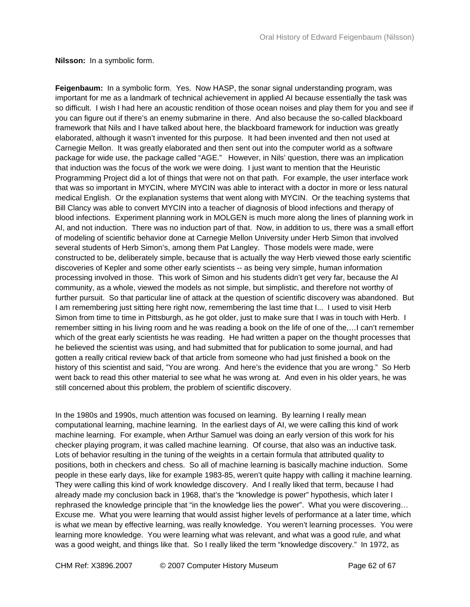**Nilsson:** In a symbolic form.

**Feigenbaum:** In a symbolic form. Yes. Now HASP, the sonar signal understanding program, was important for me as a landmark of technical achievement in applied AI because essentially the task was so difficult. I wish I had here an acoustic rendition of those ocean noises and play them for you and see if you can figure out if there's an enemy submarine in there. And also because the so-called blackboard framework that Nils and I have talked about here, the blackboard framework for induction was greatly elaborated, although it wasn't invented for this purpose. It had been invented and then not used at Carnegie Mellon. It was greatly elaborated and then sent out into the computer world as a software package for wide use, the package called "AGE." However, in Nils' question, there was an implication that induction was the focus of the work we were doing. I just want to mention that the Heuristic Programming Project did a lot of things that were not on that path. For example, the user interface work that was so important in MYCIN, where MYCIN was able to interact with a doctor in more or less natural medical English. Or the explanation systems that went along with MYCIN. Or the teaching systems that Bill Clancy was able to convert MYCIN into a teacher of diagnosis of blood infections and therapy of blood infections. Experiment planning work in MOLGEN is much more along the lines of planning work in AI, and not induction. There was no induction part of that. Now, in addition to us, there was a small effort of modeling of scientific behavior done at Carnegie Mellon University under Herb Simon that involved several students of Herb Simon's, among them Pat Langley. Those models were made, were constructed to be, deliberately simple, because that is actually the way Herb viewed those early scientific discoveries of Kepler and some other early scientists -- as being very simple, human information processing involved in those. This work of Simon and his students didn't get very far, because the AI community, as a whole, viewed the models as not simple, but simplistic, and therefore not worthy of further pursuit. So that particular line of attack at the question of scientific discovery was abandoned. But I am remembering just sitting here right now, remembering the last time that I... I used to visit Herb Simon from time to time in Pittsburgh, as he got older, just to make sure that I was in touch with Herb. I remember sitting in his living room and he was reading a book on the life of one of the,…I can't remember which of the great early scientists he was reading. He had written a paper on the thought processes that he believed the scientist was using, and had submitted that for publication to some journal, and had gotten a really critical review back of that article from someone who had just finished a book on the history of this scientist and said, "You are wrong. And here's the evidence that you are wrong." So Herb went back to read this other material to see what he was wrong at. And even in his older years, he was still concerned about this problem, the problem of scientific discovery.

In the 1980s and 1990s, much attention was focused on learning. By learning I really mean computational learning, machine learning. In the earliest days of AI, we were calling this kind of work machine learning. For example, when Arthur Samuel was doing an early version of this work for his checker playing program, it was called machine learning. Of course, that also was an inductive task. Lots of behavior resulting in the tuning of the weights in a certain formula that attributed quality to positions, both in checkers and chess. So all of machine learning is basically machine induction. Some people in these early days, like for example 1983-85, weren't quite happy with calling it machine learning. They were calling this kind of work knowledge discovery. And I really liked that term, because I had already made my conclusion back in 1968, that's the "knowledge is power" hypothesis, which later I rephrased the knowledge principle that "in the knowledge lies the power". What you were discovering… Excuse me. What you were learning that would assist higher levels of performance at a later time, which is what we mean by effective learning, was really knowledge. You weren't learning processes. You were learning more knowledge. You were learning what was relevant, and what was a good rule, and what was a good weight, and things like that. So I really liked the term "knowledge discovery." In 1972, as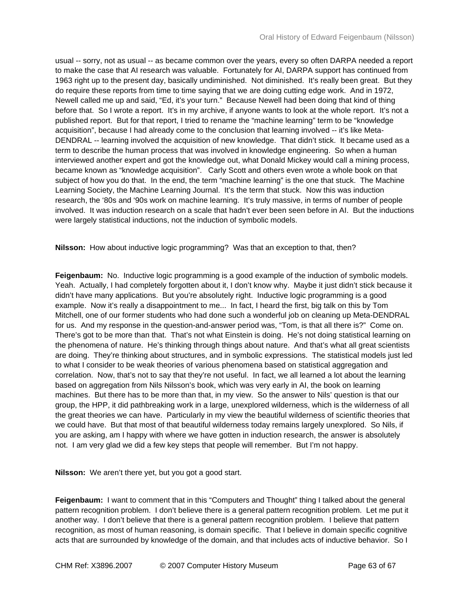usual -- sorry, not as usual -- as became common over the years, every so often DARPA needed a report to make the case that AI research was valuable. Fortunately for AI, DARPA support has continued from 1963 right up to the present day, basically undiminished. Not diminished. It's really been great. But they do require these reports from time to time saying that we are doing cutting edge work. And in 1972, Newell called me up and said, "Ed, it's your turn." Because Newell had been doing that kind of thing before that. So I wrote a report. It's in my archive, if anyone wants to look at the whole report. It's not a published report. But for that report, I tried to rename the "machine learning" term to be "knowledge acquisition", because I had already come to the conclusion that learning involved -- it's like Meta-DENDRAL -- learning involved the acquisition of new knowledge. That didn't stick. It became used as a term to describe the human process that was involved in knowledge engineering. So when a human interviewed another expert and got the knowledge out, what Donald Mickey would call a mining process, became known as "knowledge acquisition". Carly Scott and others even wrote a whole book on that subject of how you do that. In the end, the term "machine learning" is the one that stuck. The Machine Learning Society, the Machine Learning Journal. It's the term that stuck. Now this was induction research, the '80s and '90s work on machine learning. It's truly massive, in terms of number of people involved. It was induction research on a scale that hadn't ever been seen before in AI. But the inductions were largely statistical inductions, not the induction of symbolic models.

**Nilsson:** How about inductive logic programming? Was that an exception to that, then?

**Feigenbaum:** No. Inductive logic programming is a good example of the induction of symbolic models. Yeah. Actually, I had completely forgotten about it, I don't know why. Maybe it just didn't stick because it didn't have many applications. But you're absolutely right. Inductive logic programming is a good example. Now it's really a disappointment to me... In fact, I heard the first, big talk on this by Tom Mitchell, one of our former students who had done such a wonderful job on cleaning up Meta-DENDRAL for us. And my response in the question-and-answer period was, "Tom, is that all there is?" Come on. There's got to be more than that. That's not what Einstein is doing. He's not doing statistical learning on the phenomena of nature. He's thinking through things about nature. And that's what all great scientists are doing. They're thinking about structures, and in symbolic expressions. The statistical models just led to what I consider to be weak theories of various phenomena based on statistical aggregation and correlation. Now, that's not to say that they're not useful. In fact, we all learned a lot about the learning based on aggregation from Nils Nilsson's book, which was very early in AI, the book on learning machines. But there has to be more than that, in my view. So the answer to Nils' question is that our group, the HPP, it did pathbreaking work in a large, unexplored wilderness, which is the wilderness of all the great theories we can have. Particularly in my view the beautiful wilderness of scientific theories that we could have. But that most of that beautiful wilderness today remains largely unexplored. So Nils, if you are asking, am I happy with where we have gotten in induction research, the answer is absolutely not. I am very glad we did a few key steps that people will remember. But I'm not happy.

**Nilsson:** We aren't there yet, but you got a good start.

**Feigenbaum:** I want to comment that in this "Computers and Thought" thing I talked about the general pattern recognition problem. I don't believe there is a general pattern recognition problem. Let me put it another way. I don't believe that there is a general pattern recognition problem. I believe that pattern recognition, as most of human reasoning, is domain specific. That I believe in domain specific cognitive acts that are surrounded by knowledge of the domain, and that includes acts of inductive behavior. So I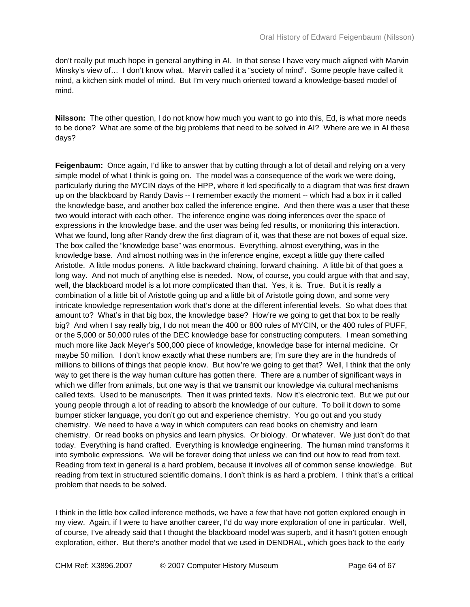don't really put much hope in general anything in AI. In that sense I have very much aligned with Marvin Minsky's view of… I don't know what. Marvin called it a "society of mind". Some people have called it mind, a kitchen sink model of mind. But I'm very much oriented toward a knowledge-based model of mind.

**Nilsson:** The other question, I do not know how much you want to go into this, Ed, is what more needs to be done? What are some of the big problems that need to be solved in AI? Where are we in AI these days?

**Feigenbaum:** Once again, I'd like to answer that by cutting through a lot of detail and relying on a very simple model of what I think is going on. The model was a consequence of the work we were doing, particularly during the MYCIN days of the HPP, where it led specifically to a diagram that was first drawn up on the blackboard by Randy Davis -- I remember exactly the moment -- which had a box in it called the knowledge base, and another box called the inference engine. And then there was a user that these two would interact with each other. The inference engine was doing inferences over the space of expressions in the knowledge base, and the user was being fed results, or monitoring this interaction. What we found, long after Randy drew the first diagram of it, was that these are not boxes of equal size. The box called the "knowledge base" was enormous. Everything, almost everything, was in the knowledge base. And almost nothing was in the inference engine, except a little guy there called Aristotle. A little modus ponens. A little backward chaining, forward chaining. A little bit of that goes a long way. And not much of anything else is needed. Now, of course, you could argue with that and say, well, the blackboard model is a lot more complicated than that. Yes, it is. True. But it is really a combination of a little bit of Aristotle going up and a little bit of Aristotle going down, and some very intricate knowledge representation work that's done at the different inferential levels. So what does that amount to? What's in that big box, the knowledge base? How're we going to get that box to be really big? And when I say really big, I do not mean the 400 or 800 rules of MYCIN, or the 400 rules of PUFF, or the 5,000 or 50,000 rules of the DEC knowledge base for constructing computers. I mean something much more like Jack Meyer's 500,000 piece of knowledge, knowledge base for internal medicine. Or maybe 50 million. I don't know exactly what these numbers are; I'm sure they are in the hundreds of millions to billions of things that people know. But how're we going to get that? Well, I think that the only way to get there is the way human culture has gotten there. There are a number of significant ways in which we differ from animals, but one way is that we transmit our knowledge via cultural mechanisms called texts. Used to be manuscripts. Then it was printed texts. Now it's electronic text. But we put our young people through a lot of reading to absorb the knowledge of our culture. To boil it down to some bumper sticker language, you don't go out and experience chemistry. You go out and you study chemistry. We need to have a way in which computers can read books on chemistry and learn chemistry. Or read books on physics and learn physics. Or biology. Or whatever. We just don't do that today. Everything is hand crafted. Everything is knowledge engineering. The human mind transforms it into symbolic expressions. We will be forever doing that unless we can find out how to read from text. Reading from text in general is a hard problem, because it involves all of common sense knowledge. But reading from text in structured scientific domains, I don't think is as hard a problem. I think that's a critical problem that needs to be solved.

I think in the little box called inference methods, we have a few that have not gotten explored enough in my view. Again, if I were to have another career, I'd do way more exploration of one in particular. Well, of course, I've already said that I thought the blackboard model was superb, and it hasn't gotten enough exploration, either. But there's another model that we used in DENDRAL, which goes back to the early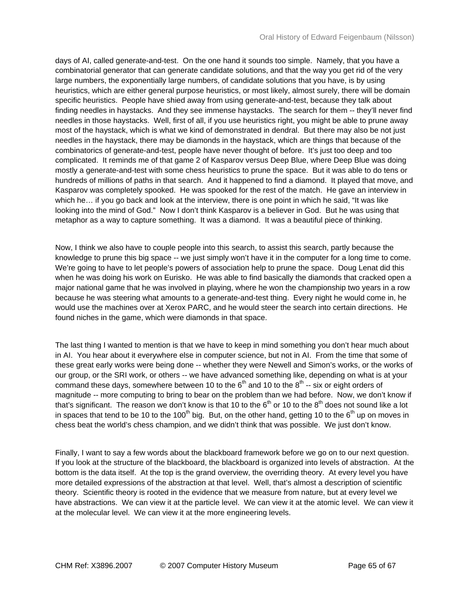days of AI, called generate-and-test. On the one hand it sounds too simple. Namely, that you have a combinatorial generator that can generate candidate solutions, and that the way you get rid of the very large numbers, the exponentially large numbers, of candidate solutions that you have, is by using heuristics, which are either general purpose heuristics, or most likely, almost surely, there will be domain specific heuristics. People have shied away from using generate-and-test, because they talk about finding needles in haystacks. And they see immense haystacks. The search for them -- they'll never find needles in those haystacks. Well, first of all, if you use heuristics right, you might be able to prune away most of the haystack, which is what we kind of demonstrated in dendral. But there may also be not just needles in the haystack, there may be diamonds in the haystack, which are things that because of the combinatorics of generate-and-test, people have never thought of before. It's just too deep and too complicated. It reminds me of that game 2 of Kasparov versus Deep Blue, where Deep Blue was doing mostly a generate-and-test with some chess heuristics to prune the space. But it was able to do tens or hundreds of millions of paths in that search. And it happened to find a diamond. It played that move, and Kasparov was completely spooked. He was spooked for the rest of the match. He gave an interview in which he… if you go back and look at the interview, there is one point in which he said, "It was like looking into the mind of God." Now I don't think Kasparov is a believer in God. But he was using that metaphor as a way to capture something. It was a diamond. It was a beautiful piece of thinking.

Now, I think we also have to couple people into this search, to assist this search, partly because the knowledge to prune this big space -- we just simply won't have it in the computer for a long time to come. We're going to have to let people's powers of association help to prune the space. Doug Lenat did this when he was doing his work on Eurisko. He was able to find basically the diamonds that cracked open a major national game that he was involved in playing, where he won the championship two years in a row because he was steering what amounts to a generate-and-test thing. Every night he would come in, he would use the machines over at Xerox PARC, and he would steer the search into certain directions. He found niches in the game, which were diamonds in that space.

The last thing I wanted to mention is that we have to keep in mind something you don't hear much about in AI. You hear about it everywhere else in computer science, but not in AI. From the time that some of these great early works were being done -- whether they were Newell and Simon's works, or the works of our group, or the SRI work, or others -- we have advanced something like, depending on what is at your command these days, somewhere between 10 to the  $6<sup>th</sup>$  and 10 to the  $8<sup>th</sup>$  -- six or eight orders of magnitude -- more computing to bring to bear on the problem than we had before. Now, we don't know if that's significant. The reason we don't know is that 10 to the  $6<sup>th</sup>$  or 10 to the  $8<sup>th</sup>$  does not sound like a lot in spaces that tend to be 10 to the 100<sup>th</sup> big. But, on the other hand, getting 10 to the  $6<sup>th</sup>$  up on moves in chess beat the world's chess champion, and we didn't think that was possible. We just don't know.

Finally, I want to say a few words about the blackboard framework before we go on to our next question. If you look at the structure of the blackboard, the blackboard is organized into levels of abstraction. At the bottom is the data itself. At the top is the grand overview, the overriding theory. At every level you have more detailed expressions of the abstraction at that level. Well, that's almost a description of scientific theory. Scientific theory is rooted in the evidence that we measure from nature, but at every level we have abstractions. We can view it at the particle level. We can view it at the atomic level. We can view it at the molecular level. We can view it at the more engineering levels.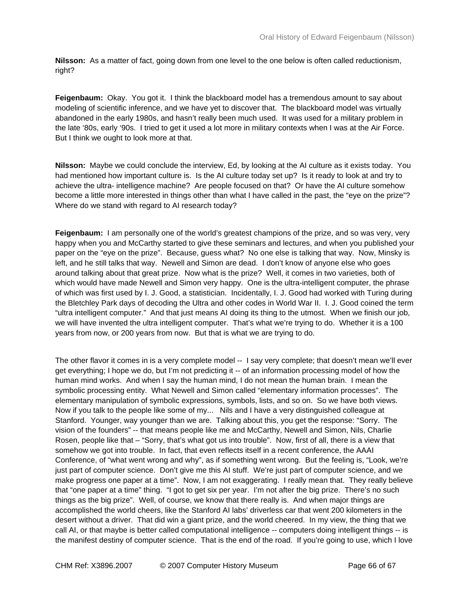**Nilsson:** As a matter of fact, going down from one level to the one below is often called reductionism, right?

**Feigenbaum:** Okay. You got it. I think the blackboard model has a tremendous amount to say about modeling of scientific inference, and we have yet to discover that. The blackboard model was virtually abandoned in the early 1980s, and hasn't really been much used. It was used for a military problem in the late '80s, early '90s. I tried to get it used a lot more in military contexts when I was at the Air Force. But I think we ought to look more at that.

**Nilsson:** Maybe we could conclude the interview, Ed, by looking at the AI culture as it exists today. You had mentioned how important culture is. Is the AI culture today set up? Is it ready to look at and try to achieve the ultra- intelligence machine? Are people focused on that? Or have the AI culture somehow become a little more interested in things other than what I have called in the past, the "eye on the prize"? Where do we stand with regard to AI research today?

**Feigenbaum:** I am personally one of the world's greatest champions of the prize, and so was very, very happy when you and McCarthy started to give these seminars and lectures, and when you published your paper on the "eye on the prize". Because, guess what? No one else is talking that way. Now, Minsky is left, and he still talks that way. Newell and Simon are dead. I don't know of anyone else who goes around talking about that great prize. Now what is the prize? Well, it comes in two varieties, both of which would have made Newell and Simon very happy. One is the ultra-intelligent computer, the phrase of which was first used by I. J. Good, a statistician. Incidentally, I. J. Good had worked with Turing during the Bletchley Park days of decoding the Ultra and other codes in World War II. I. J. Good coined the term "ultra intelligent computer." And that just means AI doing its thing to the utmost. When we finish our job, we will have invented the ultra intelligent computer. That's what we're trying to do. Whether it is a 100 years from now, or 200 years from now. But that is what we are trying to do.

The other flavor it comes in is a very complete model -- I say very complete; that doesn't mean we'll ever get everything; I hope we do, but I'm not predicting it -- of an information processing model of how the human mind works. And when I say the human mind, I do not mean the human brain. I mean the symbolic processing entity. What Newell and Simon called "elementary information processes". The elementary manipulation of symbolic expressions, symbols, lists, and so on. So we have both views. Now if you talk to the people like some of my... Nils and I have a very distinguished colleague at Stanford. Younger, way younger than we are. Talking about this, you get the response: "Sorry. The vision of the founders" -- that means people like me and McCarthy, Newell and Simon, Nils, Charlie Rosen, people like that – "Sorry, that's what got us into trouble". Now, first of all, there is a view that somehow we got into trouble. In fact, that even reflects itself in a recent conference, the AAAI Conference, of "what went wrong and why", as if something went wrong. But the feeling is, "Look, we're just part of computer science. Don't give me this AI stuff. We're just part of computer science, and we make progress one paper at a time". Now, I am not exaggerating. I really mean that. They really believe that "one paper at a time" thing. "I got to get six per year. I'm not after the big prize. There's no such things as the big prize". Well, of course, we know that there really is. And when major things are accomplished the world cheers, like the Stanford AI labs' driverless car that went 200 kilometers in the desert without a driver. That did win a giant prize, and the world cheered. In my view, the thing that we call AI, or that maybe is better called computational intelligence -- computers doing intelligent things -- is the manifest destiny of computer science. That is the end of the road. If you're going to use, which I love